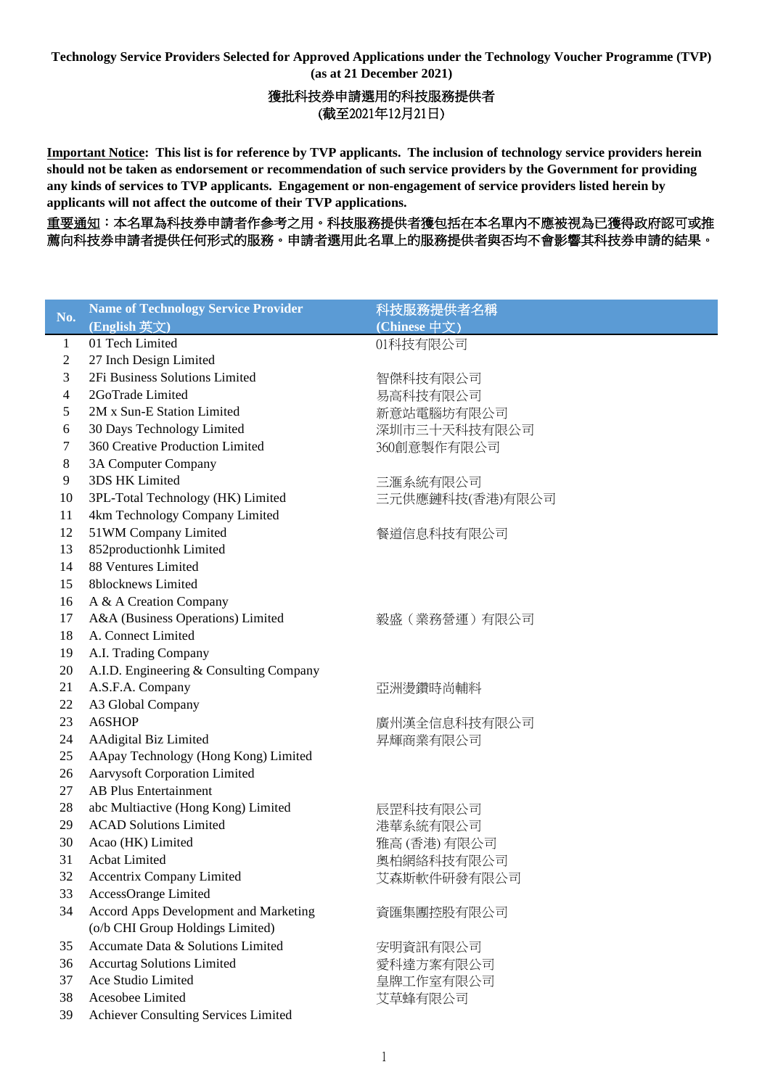**Technology Service Providers Selected for Approved Applications under the Technology Voucher Programme (TVP) (as at 21 December 2021)**

# 獲批科技券申請選用的科技服務提供者 (截至2021年12月21日)

**Important Notice: This list is for reference by TVP applicants. The inclusion of technology service providers herein should not be taken as endorsement or recommendation of such service providers by the Government for providing any kinds of services to TVP applicants. Engagement or non-engagement of service providers listed herein by applicants will not affect the outcome of their TVP applications.**

重要通知:本名單為科技券申請者作參考之用。科技服務提供者獲包括在本名單內不應被視為已獲得政府認可或推 薦向科技券申請者提供任何形式的服務。申請者選用此名單上的服務提供者與否均不會影響其科技券申請的結果。

| No.          | <b>Name of Technology Service Provider</b> | 科技服務提供者名稱       |
|--------------|--------------------------------------------|-----------------|
|              | (English 英文)                               | (Chinese 中文)    |
| $\mathbf{1}$ | 01 Tech Limited                            | 01科技有限公司        |
| 2            | 27 Inch Design Limited                     |                 |
| 3            | 2Fi Business Solutions Limited             | 智傑科技有限公司        |
| 4            | 2GoTrade Limited                           | 易高科技有限公司        |
| 5            | 2M x Sun-E Station Limited                 | 新意站電腦坊有限公司      |
| 6            | 30 Days Technology Limited                 | 深圳市三十天科技有限公司    |
| 7            | 360 Creative Production Limited            | 360創意製作有限公司     |
| 8            | 3A Computer Company                        |                 |
| 9            | 3DS HK Limited                             | 三滙系統有限公司        |
| 10           | 3PL-Total Technology (HK) Limited          | 三元供應鏈科技(香港)有限公司 |
| 11           | 4km Technology Company Limited             |                 |
| 12           | 51WM Company Limited                       | 餐道信息科技有限公司      |
| 13           | 852productionhk Limited                    |                 |
| 14           | 88 Ventures Limited                        |                 |
| 15           | 8blocknews Limited                         |                 |
| 16           | A & A Creation Company                     |                 |
| 17           | A&A (Business Operations) Limited          | 毅盛(業務營運)有限公司    |
| 18           | A. Connect Limited                         |                 |
| 19           | A.I. Trading Company                       |                 |
| 20           | A.I.D. Engineering & Consulting Company    |                 |
| 21           | A.S.F.A. Company                           | 亞洲燙鑽時尚輔料        |
| 22           | A3 Global Company                          |                 |
| 23           | A6SHOP                                     | 廣州漢全信息科技有限公司    |
| 24           | AAdigital Biz Limited                      | 昇輝商業有限公司        |
| 25           | AApay Technology (Hong Kong) Limited       |                 |
| 26           | <b>Aarvysoft Corporation Limited</b>       |                 |
| 27           | <b>AB Plus Entertainment</b>               |                 |
| 28           | abc Multiactive (Hong Kong) Limited        | 辰罡科技有限公司        |
| 29           | <b>ACAD Solutions Limited</b>              | 港華系統有限公司        |
| 30           | Acao (HK) Limited                          | 雅高 (香港) 有限公司    |
| 31           | Acbat Limited                              | 奧柏網絡科技有限公司      |
| 32           | Accentrix Company Limited                  | 艾森斯軟件研發有限公司     |
| 33           | AccessOrange Limited                       |                 |
| 34           | Accord Apps Development and Marketing      | 資匯集團控股有限公司      |
|              | (o/b CHI Group Holdings Limited)           |                 |
| 35           | Accumate Data & Solutions Limited          | 安明資訊有限公司        |
| 36           | <b>Accurtag Solutions Limited</b>          | 愛科達方案有限公司       |
| 37           | Ace Studio Limited                         | 皇牌工作室有限公司       |
| 38           | Acesobee Limited                           | 艾草蜂有限公司         |
| 39           | Achiever Consulting Services Limited       |                 |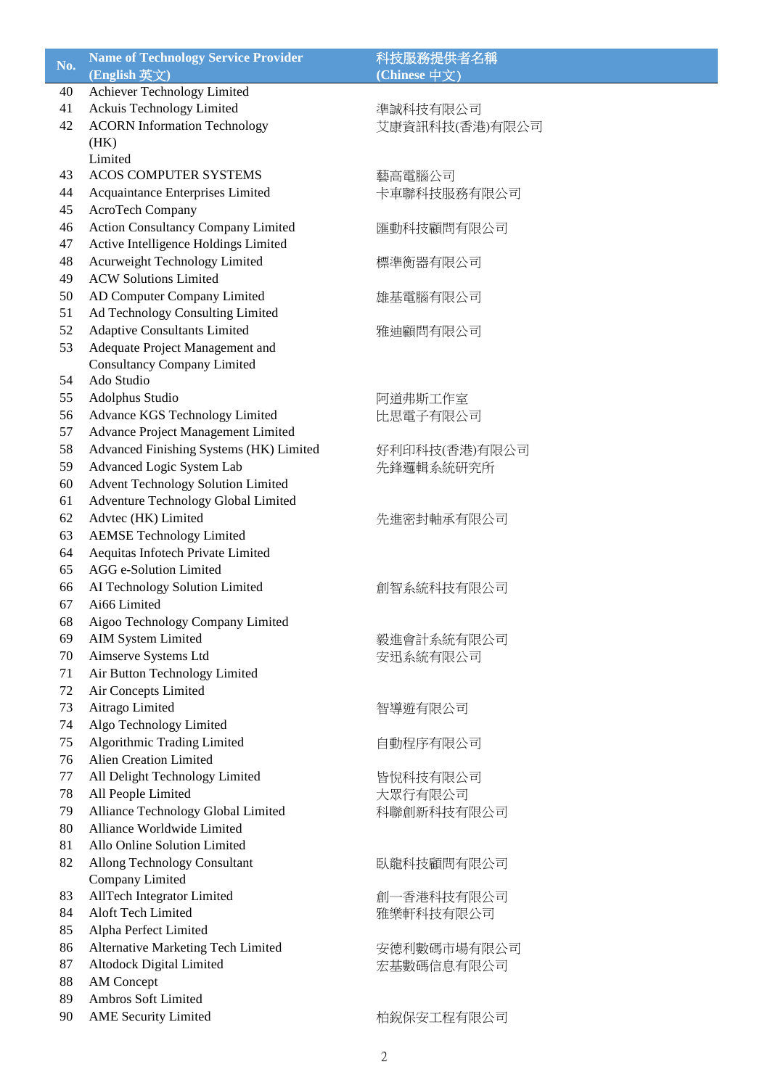| No. | <b>Name of Technology Service Provider</b>       | 科技服務提供者名稱                  |
|-----|--------------------------------------------------|----------------------------|
|     | (English 英文)                                     | (Chinese 中文)               |
| 40  | Achiever Technology Limited                      |                            |
| 41  | Ackuis Technology Limited                        | 準誠科技有限公司                   |
| 42  | <b>ACORN Information Technology</b>              | 艾康資訊科技(香港)有限公司             |
|     | (HK)                                             |                            |
|     | Limited                                          |                            |
| 43  | <b>ACOS COMPUTER SYSTEMS</b>                     | 藝高電腦公司                     |
| 44  | Acquaintance Enterprises Limited                 | 卡車聯科技服務有限公司                |
| 45  | AcroTech Company                                 |                            |
| 46  | <b>Action Consultancy Company Limited</b>        | 匯動科技顧問有限公司                 |
| 47  | Active Intelligence Holdings Limited             |                            |
| 48  | Acurweight Technology Limited                    | 標準衡器有限公司                   |
| 49  | <b>ACW Solutions Limited</b>                     |                            |
| 50  | AD Computer Company Limited                      | 雄基電腦有限公司                   |
| 51  | Ad Technology Consulting Limited                 |                            |
| 52  | <b>Adaptive Consultants Limited</b>              | 雅迪顧問有限公司                   |
| 53  | Adequate Project Management and                  |                            |
| 54  | <b>Consultancy Company Limited</b><br>Ado Studio |                            |
| 55  | Adolphus Studio                                  |                            |
| 56  | Advance KGS Technology Limited                   | 阿道弗斯工作室                    |
| 57  | Advance Project Management Limited               | 比思電子有限公司                   |
| 58  | Advanced Finishing Systems (HK) Limited          |                            |
| 59  | Advanced Logic System Lab                        | 好利印科技(香港)有限公司<br>先鋒邏輯系統研究所 |
| 60  | <b>Advent Technology Solution Limited</b>        |                            |
| 61  | Adventure Technology Global Limited              |                            |
| 62  | Advtec (HK) Limited                              | 先進密封軸承有限公司                 |
| 63  | <b>AEMSE Technology Limited</b>                  |                            |
| 64  | Aequitas Infotech Private Limited                |                            |
| 65  | AGG e-Solution Limited                           |                            |
| 66  | AI Technology Solution Limited                   | 創智系統科技有限公司                 |
| 67  | Ai66 Limited                                     |                            |
| 68  | Aigoo Technology Company Limited                 |                            |
| 69  | <b>AIM System Limited</b>                        | 毅進會計系統有限公司                 |
| 70  | Aimserve Systems Ltd                             | 安迅系統有限公司                   |
| 71  | Air Button Technology Limited                    |                            |
| 72  | Air Concepts Limited                             |                            |
| 73  | Aitrago Limited                                  | 智導遊有限公司                    |
| 74  | Algo Technology Limited                          |                            |
| 75  | Algorithmic Trading Limited                      | 自動程序有限公司                   |
| 76  | <b>Alien Creation Limited</b>                    |                            |
| 77  | All Delight Technology Limited                   | 皆悅科技有限公司                   |
| 78  | All People Limited                               | 大眾行有限公司                    |
| 79  | Alliance Technology Global Limited               | 科聯創新科技有限公司                 |
| 80  | Alliance Worldwide Limited                       |                            |
| 81  | Allo Online Solution Limited                     |                            |
| 82  | Allong Technology Consultant                     | 臥龍科技顧問有限公司                 |
|     | Company Limited                                  |                            |
| 83  | AllTech Integrator Limited                       | 創一香港科技有限公司                 |
| 84  | Aloft Tech Limited                               | 雅樂軒科技有限公司                  |
| 85  | Alpha Perfect Limited                            |                            |
| 86  | Alternative Marketing Tech Limited               | 安德利數碼市場有限公司                |
| 87  | Altodock Digital Limited                         | 宏基數碼信息有限公司                 |
| 88  | <b>AM</b> Concept                                |                            |
| 89  | Ambros Soft Limited                              |                            |
| 90  | <b>AME Security Limited</b>                      | 柏銳保安工程有限公司                 |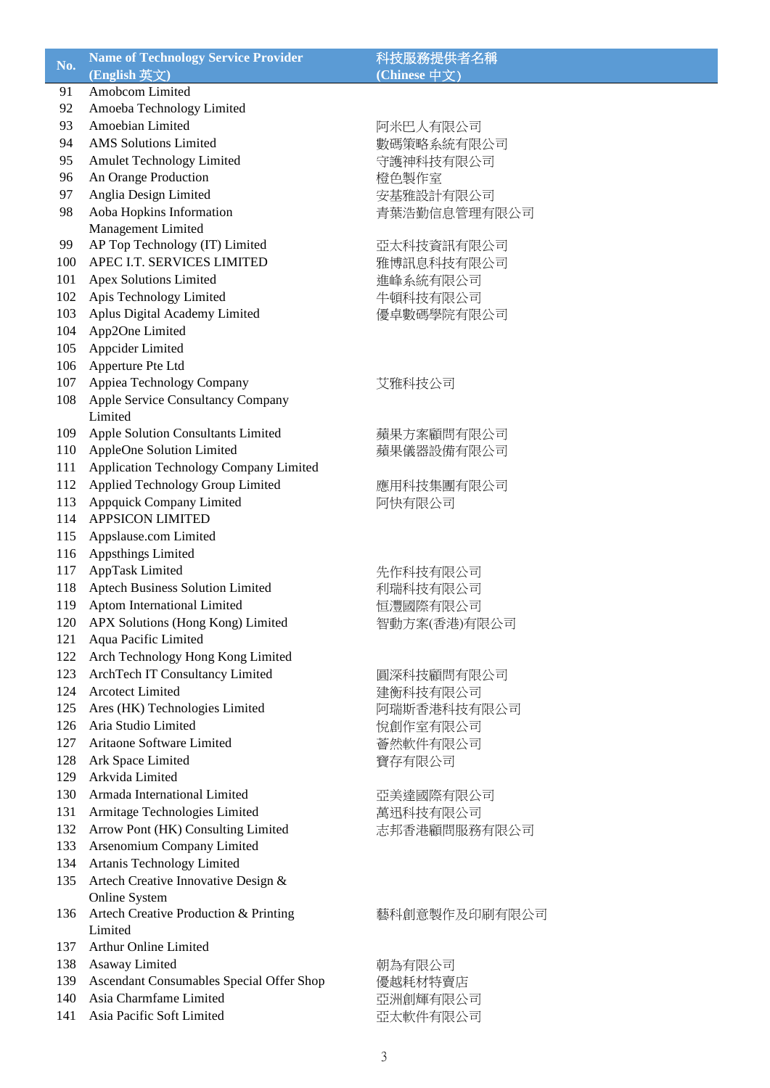| No.        | <b>Name of Technology Service Provider</b><br>(English 英文) | 科技服務提供者名稱<br>(Chinese 中文) |
|------------|------------------------------------------------------------|---------------------------|
| 91         | Amobcom Limited                                            |                           |
| 92         | Amoeba Technology Limited                                  |                           |
| 93         | Amoebian Limited                                           | 阿米巴人有限公司                  |
| 94         | <b>AMS</b> Solutions Limited                               | 數碼策略系統有限公司                |
| 95         | Amulet Technology Limited                                  | 守護神科技有限公司                 |
| 96         | An Orange Production                                       | 橙色製作室                     |
| 97         | Anglia Design Limited                                      | 安基雅設計有限公司                 |
| 98         | Aoba Hopkins Information                                   | 青葉浩勤信息管理有限公司              |
|            | Management Limited                                         |                           |
| 99         | AP Top Technology (IT) Limited                             | 亞太科技資訊有限公司                |
| 100        | APEC I.T. SERVICES LIMITED                                 | 雅博訊息科技有限公司                |
| 101        | <b>Apex Solutions Limited</b>                              | 進峰系統有限公司                  |
| 102        | Apis Technology Limited                                    | 牛頓科技有限公司                  |
| 103        | Aplus Digital Academy Limited                              | 優卓數碼學院有限公司                |
| 104        | App2One Limited                                            |                           |
| 105        | Appcider Limited                                           |                           |
| 106<br>107 | Apperture Pte Ltd<br>Appiea Technology Company             |                           |
| 108        | <b>Apple Service Consultancy Company</b>                   | 艾雅科技公司                    |
|            | Limited                                                    |                           |
| 109        | Apple Solution Consultants Limited                         | 蘋果方案顧問有限公司                |
| 110        | AppleOne Solution Limited                                  | 蘋果儀器設備有限公司                |
| 111        | Application Technology Company Limited                     |                           |
| 112        | Applied Technology Group Limited                           | 應用科技集團有限公司                |
| 113        | Appquick Company Limited                                   | 阿快有限公司                    |
| 114        | <b>APPSICON LIMITED</b>                                    |                           |
| 115        | Appslause.com Limited                                      |                           |
| 116        | Appsthings Limited                                         |                           |
| 117        | AppTask Limited                                            | 先作科技有限公司                  |
| 118        | Aptech Business Solution Limited                           | 利瑞科技有限公司                  |
| 119        | Aptom International Limited                                | 恒灃國際有限公司                  |
| 120        | APX Solutions (Hong Kong) Limited                          | 智動方案(香港)有限公司              |
| 121        | Aqua Pacific Limited                                       |                           |
| 122        | Arch Technology Hong Kong Limited                          |                           |
| 123        | ArchTech IT Consultancy Limited                            | 圓深科技顧問有限公司                |
| 124        | <b>Arcotect Limited</b>                                    | 建衡科技有限公司                  |
| 125        | Ares (HK) Technologies Limited                             | 阿瑞斯香港科技有限公司               |
| 126        | Aria Studio Limited                                        | 悅創作室有限公司                  |
| 127        | Aritaone Software Limited                                  | 薈然軟件有限公司                  |
| 128        | Ark Space Limited                                          | 寶存有限公司                    |
| 129        | Arkvida Limited                                            |                           |
| 130        | Armada International Limited                               | 亞美達國際有限公司                 |
| 131        | Armitage Technologies Limited                              | 萬迅科技有限公司                  |
| 132        | Arrow Pont (HK) Consulting Limited                         | 志邦香港顧問服務有限公司              |
| 133        | Arsenomium Company Limited                                 |                           |
| 134        | Artanis Technology Limited                                 |                           |
| 135        | Artech Creative Innovative Design &                        |                           |
| 136        | Online System                                              |                           |
|            | Artech Creative Production & Printing<br>Limited           | 藝科創意製作及印刷有限公司             |
| 137        | <b>Arthur Online Limited</b>                               |                           |
| 138        | Asaway Limited                                             | 朝為有限公司                    |
| 139        | Ascendant Consumables Special Offer Shop                   | 優越耗材特賣店                   |
| 140        | Asia Charmfame Limited                                     | 亞洲創輝有限公司                  |
| 141        | Asia Pacific Soft Limited                                  | 亞太軟件有限公司                  |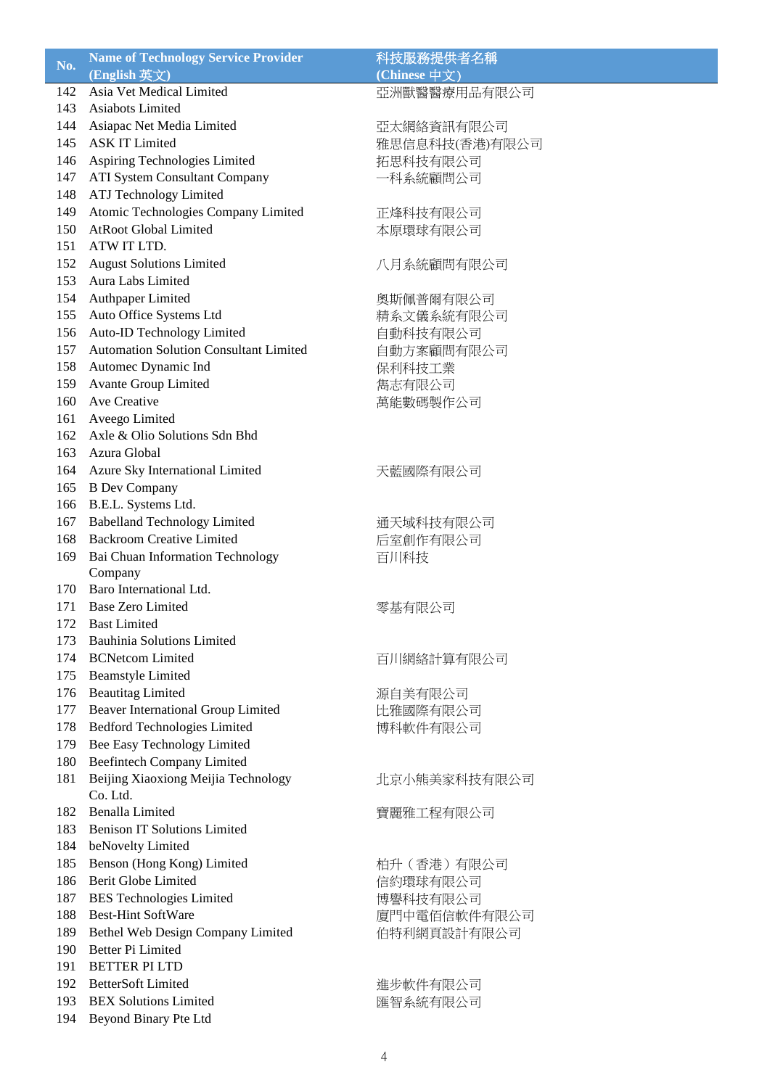| No. | <b>Name of Technology Service Provider</b>    | 科技服務提供者名稱      |
|-----|-----------------------------------------------|----------------|
|     | (English 英文)                                  | (Chinese 中文)   |
| 142 | Asia Vet Medical Limited                      | 亞洲獸醫醫療用品有限公司   |
| 143 | Asiabots Limited                              |                |
| 144 | Asiapac Net Media Limited                     | 亞太網絡資訊有限公司     |
| 145 | <b>ASK IT Limited</b>                         | 雅思信息科技(香港)有限公司 |
| 146 | Aspiring Technologies Limited                 | 拓思科技有限公司       |
| 147 | <b>ATI System Consultant Company</b>          | 一科系統顧問公司       |
| 148 | ATJ Technology Limited                        |                |
| 149 | Atomic Technologies Company Limited           | 正烽科技有限公司       |
| 150 | <b>AtRoot Global Limited</b>                  | 本原環球有限公司       |
| 151 | ATW IT LTD.                                   |                |
| 152 | <b>August Solutions Limited</b>               | 八月系統顧問有限公司     |
| 153 | Aura Labs Limited                             |                |
| 154 | Authpaper Limited                             | 奧斯佩普爾有限公司      |
| 155 | Auto Office Systems Ltd                       | 精系文儀系統有限公司     |
| 156 | Auto-ID Technology Limited                    | 自動科技有限公司       |
| 157 | <b>Automation Solution Consultant Limited</b> | 自動方案顧問有限公司     |
| 158 | Automec Dynamic Ind                           | 保利科技工業         |
| 159 | <b>Avante Group Limited</b>                   | 雋志有限公司         |
| 160 | Ave Creative                                  | 萬能數碼製作公司       |
| 161 | Aveego Limited                                |                |
| 162 | Axle & Olio Solutions Sdn Bhd                 |                |
| 163 | Azura Global                                  |                |
| 164 | Azure Sky International Limited               | 天藍國際有限公司       |
| 165 | <b>B</b> Dev Company                          |                |
| 166 | B.E.L. Systems Ltd.                           |                |
| 167 | <b>Babelland Technology Limited</b>           | 通天域科技有限公司      |
| 168 | <b>Backroom Creative Limited</b>              | 后室創作有限公司       |
| 169 | Bai Chuan Information Technology              | 百川科技           |
|     | Company                                       |                |
| 170 | Baro International Ltd.                       |                |
| 171 | <b>Base Zero Limited</b>                      | 零基有限公司         |
| 172 | <b>Bast Limited</b>                           |                |
| 173 | <b>Bauhinia Solutions Limited</b>             |                |
| 174 | <b>BCNetcom Limited</b>                       | 百川網絡計算有限公司     |
| 175 | <b>Beamstyle Limited</b>                      |                |
| 176 | <b>Beautitag Limited</b>                      | 源自美有限公司        |
| 177 | Beaver International Group Limited            | 比雅國際有限公司       |
| 178 | <b>Bedford Technologies Limited</b>           | 博科軟件有限公司       |
| 179 | Bee Easy Technology Limited                   |                |
| 180 | <b>Beefintech Company Limited</b>             |                |
| 181 | Beijing Xiaoxiong Meijia Technology           | 北京小熊美家科技有限公司   |
|     | Co. Ltd.                                      |                |
| 182 | <b>Benalla Limited</b>                        | 寶麗雅工程有限公司      |
| 183 | <b>Benison IT Solutions Limited</b>           |                |
| 184 | beNovelty Limited                             |                |
| 185 | Benson (Hong Kong) Limited                    | 柏升 (香港) 有限公司   |
| 186 | <b>Berit Globe Limited</b>                    | 信約環球有限公司       |
| 187 | <b>BES</b> Technologies Limited               | 博譽科技有限公司       |
| 188 | <b>Best-Hint SoftWare</b>                     | 廈門中電佰信軟件有限公司   |
| 189 | Bethel Web Design Company Limited             | 伯特利網頁設計有限公司    |
| 190 | Better Pi Limited                             |                |
| 191 | <b>BETTER PLLTD</b>                           |                |
| 192 | <b>BetterSoft Limited</b>                     | 進步軟件有限公司       |
| 193 | <b>BEX Solutions Limited</b>                  | 匯智系統有限公司       |
| 194 | Beyond Binary Pte Ltd                         |                |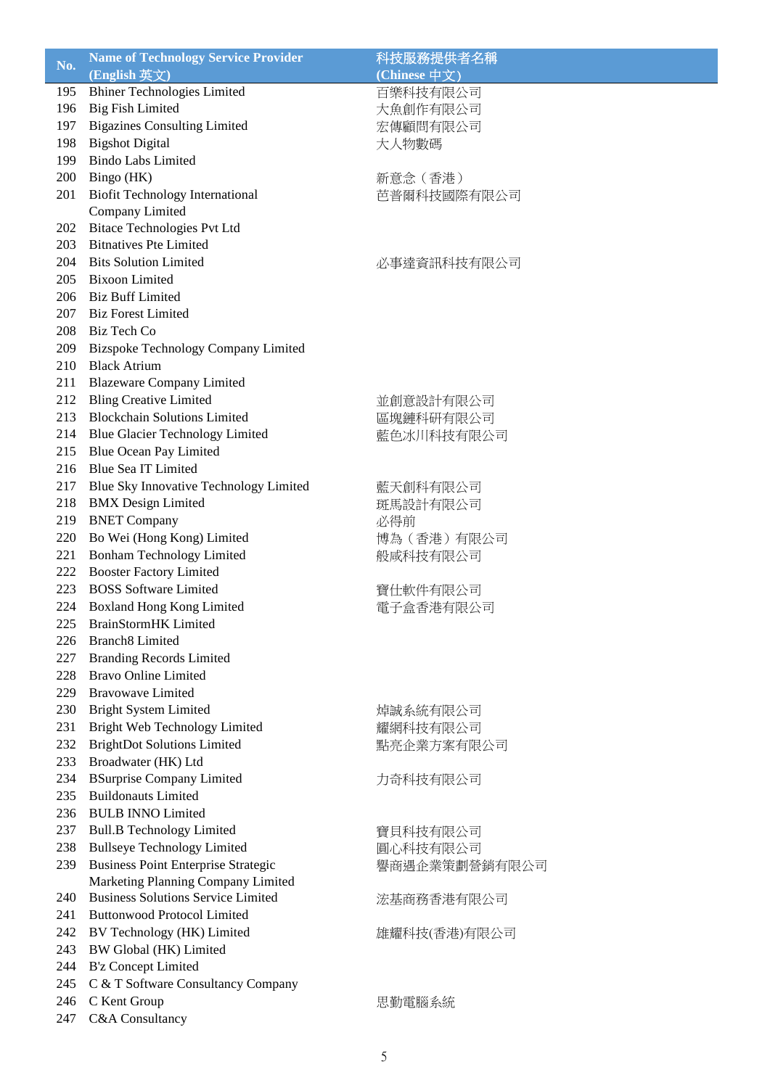| No. | <b>Name of Technology Service Provider</b>                                      | 科技服務提供者名稱     |
|-----|---------------------------------------------------------------------------------|---------------|
|     | (English 英文)                                                                    | (Chinese 中文)  |
| 195 | <b>Bhiner Technologies Limited</b>                                              | 百樂科技有限公司      |
| 196 | <b>Big Fish Limited</b>                                                         | 大魚創作有限公司      |
| 197 | <b>Bigazines Consulting Limited</b>                                             | 宏傳顧問有限公司      |
| 198 | <b>Bigshot Digital</b>                                                          | 大人物數碼         |
| 199 | <b>Bindo Labs Limited</b>                                                       |               |
| 200 | Bingo (HK)                                                                      | 新意念 (香港)      |
| 201 | <b>Biofit Technology International</b>                                          | 芭普爾科技國際有限公司   |
|     | Company Limited                                                                 |               |
| 202 | <b>Bitace Technologies Pvt Ltd</b>                                              |               |
| 203 | <b>Bitnatives Pte Limited</b>                                                   |               |
| 204 | <b>Bits Solution Limited</b>                                                    | 必事達資訊科技有限公司   |
| 205 | <b>Bixoon Limited</b>                                                           |               |
| 206 | <b>Biz Buff Limited</b>                                                         |               |
| 207 | <b>Biz Forest Limited</b>                                                       |               |
| 208 | Biz Tech Co                                                                     |               |
| 209 | <b>Bizspoke Technology Company Limited</b>                                      |               |
| 210 | <b>Black Atrium</b>                                                             |               |
| 211 | <b>Blazeware Company Limited</b>                                                |               |
| 212 | <b>Bling Creative Limited</b>                                                   | 並創意設計有限公司     |
| 213 | <b>Blockchain Solutions Limited</b>                                             | 區塊鏈科研有限公司     |
| 214 | <b>Blue Glacier Technology Limited</b>                                          | 藍色冰川科技有限公司    |
| 215 | Blue Ocean Pay Limited                                                          |               |
| 216 | <b>Blue Sea IT Limited</b>                                                      |               |
| 217 | Blue Sky Innovative Technology Limited                                          | 藍天創科有限公司      |
| 218 | <b>BMX</b> Design Limited                                                       | 斑馬設計有限公司      |
| 219 | <b>BNET Company</b>                                                             | 必得前           |
| 220 | Bo Wei (Hong Kong) Limited                                                      | 博為 (香港) 有限公司  |
| 221 | <b>Bonham Technology Limited</b>                                                | 般咸科技有限公司      |
| 222 | <b>Booster Factory Limited</b>                                                  |               |
| 223 | <b>BOSS</b> Software Limited                                                    | 寶仕軟件有限公司      |
| 224 | <b>Boxland Hong Kong Limited</b>                                                | 電子盒香港有限公司     |
| 225 | <b>BrainStormHK</b> Limited                                                     |               |
| 226 | <b>Branch8</b> Limited                                                          |               |
| 227 | <b>Branding Records Limited</b>                                                 |               |
| 228 | <b>Bravo Online Limited</b>                                                     |               |
| 229 | <b>Brayowave Limited</b>                                                        |               |
| 230 | <b>Bright System Limited</b>                                                    | 焯誠系統有限公司      |
| 231 | Bright Web Technology Limited                                                   | 耀網科技有限公司      |
| 232 | <b>BrightDot Solutions Limited</b>                                              | 點亮企業方案有限公司    |
| 233 | Broadwater (HK) Ltd                                                             |               |
| 234 | <b>BSurprise Company Limited</b>                                                | 力奇科技有限公司      |
| 235 | <b>Buildonauts Limited</b>                                                      |               |
| 236 | <b>BULB INNO Limited</b>                                                        |               |
| 237 | <b>Bull.B Technology Limited</b>                                                | 寶貝科技有限公司      |
| 238 | <b>Bullseye Technology Limited</b>                                              | 圓心科技有限公司      |
| 239 | <b>Business Point Enterprise Strategic</b>                                      | 譽商遇企業策劃營銷有限公司 |
| 240 | Marketing Planning Company Limited<br><b>Business Solutions Service Limited</b> |               |
| 241 | <b>Buttonwood Protocol Limited</b>                                              | 浤基商務香港有限公司    |
| 242 | BV Technology (HK) Limited                                                      |               |
| 243 | BW Global (HK) Limited                                                          | 雄耀科技(香港)有限公司  |
| 244 | <b>B'z Concept Limited</b>                                                      |               |
| 245 | C & T Software Consultancy Company                                              |               |
| 246 | C Kent Group                                                                    | 思勤電腦系統        |
| 247 | C&A Consultancy                                                                 |               |
|     |                                                                                 |               |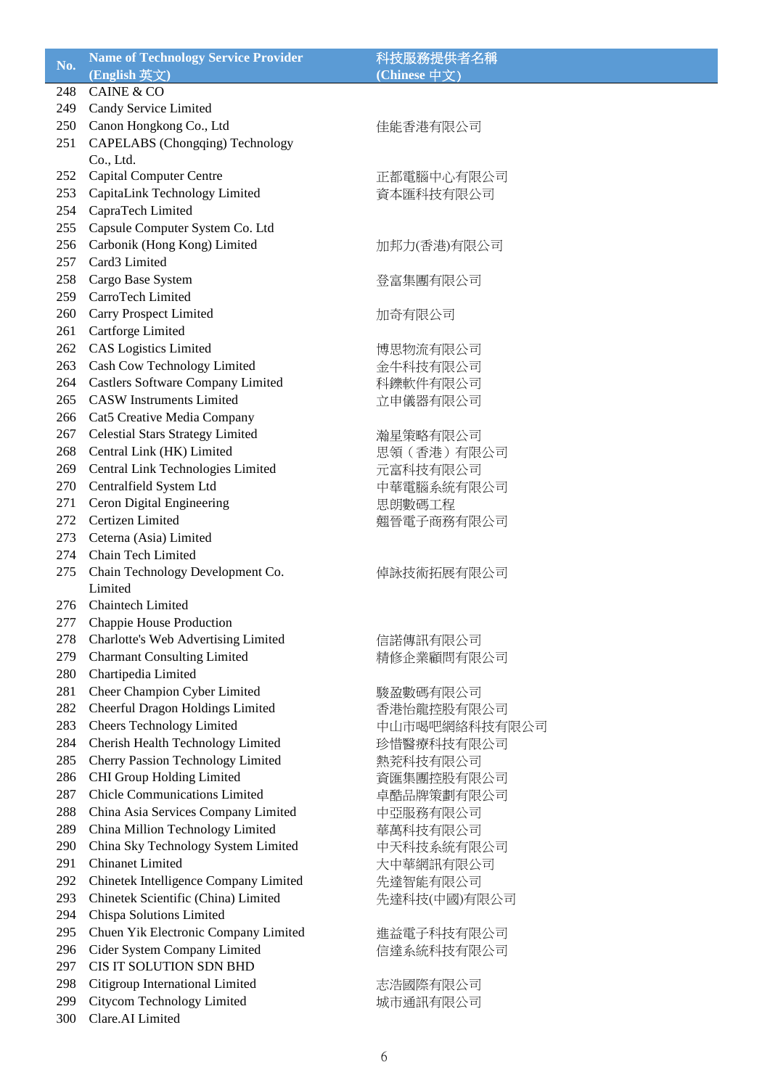| No. | <b>Name of Technology Service Provider</b> | 科技服務提供者名稱     |
|-----|--------------------------------------------|---------------|
|     | (English 英文)                               | (Chinese 中文)  |
| 248 | <b>CAINE &amp; CO</b>                      |               |
| 249 | Candy Service Limited                      |               |
| 250 | Canon Hongkong Co., Ltd                    | 佳能香港有限公司      |
| 251 | CAPELABS (Chongqing) Technology            |               |
|     | Co., Ltd.                                  |               |
| 252 | <b>Capital Computer Centre</b>             | 正都電腦中心有限公司    |
| 253 | CapitaLink Technology Limited              | 資本匯科技有限公司     |
| 254 | CapraTech Limited                          |               |
| 255 | Capsule Computer System Co. Ltd            |               |
| 256 | Carbonik (Hong Kong) Limited               | 加邦力(香港)有限公司   |
| 257 | Card3 Limited                              |               |
| 258 | Cargo Base System                          | 登富集團有限公司      |
| 259 | CarroTech Limited                          |               |
| 260 | Carry Prospect Limited                     | 加奇有限公司        |
| 261 | Cartforge Limited                          |               |
| 262 | <b>CAS</b> Logistics Limited               |               |
|     |                                            | 博思物流有限公司      |
| 263 | Cash Cow Technology Limited                | 金牛科技有限公司      |
| 264 | <b>Castlers Software Company Limited</b>   | 科鑠軟件有限公司      |
| 265 | <b>CASW</b> Instruments Limited            | 立申儀器有限公司      |
| 266 | Cat5 Creative Media Company                |               |
| 267 | <b>Celestial Stars Strategy Limited</b>    | 瀚星策略有限公司      |
| 268 | Central Link (HK) Limited                  | 思領 (香港) 有限公司  |
| 269 | Central Link Technologies Limited          | 元富科技有限公司      |
| 270 | Centralfield System Ltd                    | 中華電腦系統有限公司    |
| 271 | Ceron Digital Engineering                  | 思朗數碼工程        |
| 272 | Certizen Limited                           | 翹晉電子商務有限公司    |
| 273 | Ceterna (Asia) Limited                     |               |
| 274 | Chain Tech Limited                         |               |
| 275 | Chain Technology Development Co.           | 倬詠技術拓展有限公司    |
|     | Limited                                    |               |
| 276 | <b>Chaintech Limited</b>                   |               |
| 277 | Chappie House Production                   |               |
| 278 | Charlotte's Web Advertising Limited        | 信諾傳訊有限公司      |
| 279 | <b>Charmant Consulting Limited</b>         | 精修企業顧問有限公司    |
| 280 | Chartipedia Limited                        |               |
| 281 | Cheer Champion Cyber Limited               | 駿盈數碼有限公司      |
| 282 | Cheerful Dragon Holdings Limited           | 香港怡龍控股有限公司    |
| 283 | <b>Cheers Technology Limited</b>           | 中山市喝吧網絡科技有限公司 |
| 284 | Cherish Health Technology Limited          | 珍惜醫療科技有限公司    |
| 285 | <b>Cherry Passion Technology Limited</b>   | 熱茺科技有限公司      |
| 286 | CHI Group Holding Limited                  | 資匯集團控股有限公司    |
| 287 | <b>Chicle Communications Limited</b>       | 卓酷品牌策劃有限公司    |
| 288 | China Asia Services Company Limited        | 中亞服務有限公司      |
| 289 | China Million Technology Limited           | 華萬科技有限公司      |
| 290 | China Sky Technology System Limited        |               |
| 291 | <b>Chinanet Limited</b>                    | 中天科技系統有限公司    |
| 292 |                                            | 大中華網訊有限公司     |
|     | Chinetek Intelligence Company Limited      | 先達智能有限公司      |
| 293 | Chinetek Scientific (China) Limited        | 先達科技(中國)有限公司  |
| 294 | Chispa Solutions Limited                   |               |
| 295 | Chuen Yik Electronic Company Limited       | 進益電子科技有限公司    |
| 296 | Cider System Company Limited               | 信達系統科技有限公司    |
| 297 | CIS IT SOLUTION SDN BHD                    |               |
| 298 | Citigroup International Limited            | 志浩國際有限公司      |
| 299 | <b>Citycom Technology Limited</b>          | 城市通訊有限公司      |
| 300 | Clare.AI Limited                           |               |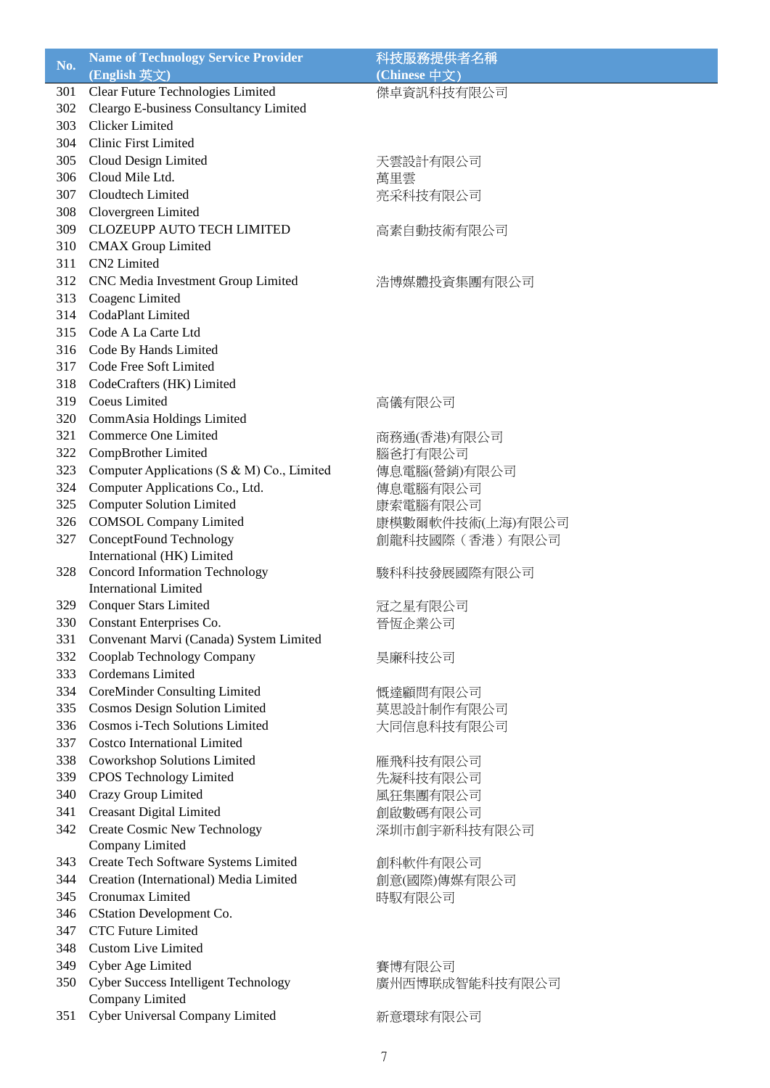| $N0$ . | <b>Name of Technology Service Provider</b>  | 科技服務提供者名稱        |
|--------|---------------------------------------------|------------------|
|        | (English 英文)                                | (Chinese 中文)     |
| 301    | Clear Future Technologies Limited           | 傑卓資訊科技有限公司       |
| 302    | Cleargo E-business Consultancy Limited      |                  |
| 303    | Clicker Limited                             |                  |
| 304    | Clinic First Limited                        |                  |
| 305    | Cloud Design Limited                        | 天雲設計有限公司         |
| 306    | Cloud Mile Ltd.                             | 萬里雲              |
| 307    | Cloudtech Limited                           | 亮采科技有限公司         |
| 308    | Clovergreen Limited                         |                  |
| 309    | <b>CLOZEUPP AUTO TECH LIMITED</b>           | 高素自動技術有限公司       |
| 310    | <b>CMAX</b> Group Limited                   |                  |
| 311    | CN2 Limited                                 |                  |
| 312    | CNC Media Investment Group Limited          | 浩博媒體投資集團有限公司     |
| 313    | Coagenc Limited                             |                  |
| 314    | <b>CodaPlant Limited</b>                    |                  |
| 315    | Code A La Carte Ltd                         |                  |
| 316    | Code By Hands Limited                       |                  |
| 317    | Code Free Soft Limited                      |                  |
| 318    | CodeCrafters (HK) Limited                   |                  |
| 319    | Coeus Limited                               | 高儀有限公司           |
| 320    | CommAsia Holdings Limited                   |                  |
| 321    | Commerce One Limited                        | 商務通(香港)有限公司      |
| 322    | CompBrother Limited                         | 腦爸打有限公司          |
| 323    | Computer Applications (S & M) Co., Limited  | 傳息電腦(營銷)有限公司     |
| 324    | Computer Applications Co., Ltd.             | 傳息電腦有限公司         |
| 325    | <b>Computer Solution Limited</b>            | 康索電腦有限公司         |
| 326    | <b>COMSOL Company Limited</b>               | 康模數爾軟件技術(上海)有限公司 |
| 327    | ConceptFound Technology                     | 創龍科技國際(香港)有限公司   |
|        | International (HK) Limited                  |                  |
| 328    | <b>Concord Information Technology</b>       | 駿科科技發展國際有限公司     |
|        | <b>International Limited</b>                |                  |
| 329    | <b>Conquer Stars Limited</b>                | 冠之星有限公司          |
| 330    | Constant Enterprises Co.                    | 晉恆企業公司           |
| 331    | Convenant Marvi (Canada) System Limited     |                  |
| 332    | Cooplab Technology Company                  | 昊廉科技公司           |
| 333    | Cordemans Limited                           |                  |
| 334    | <b>CoreMinder Consulting Limited</b>        | 慨達顧問有限公司         |
| 335    | <b>Cosmos Design Solution Limited</b>       | 莫思設計制作有限公司       |
| 336    | Cosmos i-Tech Solutions Limited             | 大同信息科技有限公司       |
| 337    | <b>Costco International Limited</b>         |                  |
| 338    | <b>Coworkshop Solutions Limited</b>         | 雁飛科技有限公司         |
| 339    | <b>CPOS Technology Limited</b>              | 先凝科技有限公司         |
| 340    | Crazy Group Limited                         | 風狂集團有限公司         |
| 341    | <b>Creasant Digital Limited</b>             | 創啟數碼有限公司         |
| 342    | <b>Create Cosmic New Technology</b>         | 深圳市創宇新科技有限公司     |
|        | Company Limited                             |                  |
| 343    | Create Tech Software Systems Limited        | 創科軟件有限公司         |
| 344    | Creation (International) Media Limited      | 創意(國際)傳媒有限公司     |
| 345    | Cronumax Limited                            | 時馭有限公司           |
| 346    | CStation Development Co.                    |                  |
| 347    | <b>CTC Future Limited</b>                   |                  |
| 348    | <b>Custom Live Limited</b>                  |                  |
| 349    | Cyber Age Limited                           | 賽博有限公司           |
| 350    | <b>Cyber Success Intelligent Technology</b> | 廣州西博联成智能科技有限公司   |
|        | Company Limited                             |                  |
| 351    | Cyber Universal Company Limited             | 新意環球有限公司         |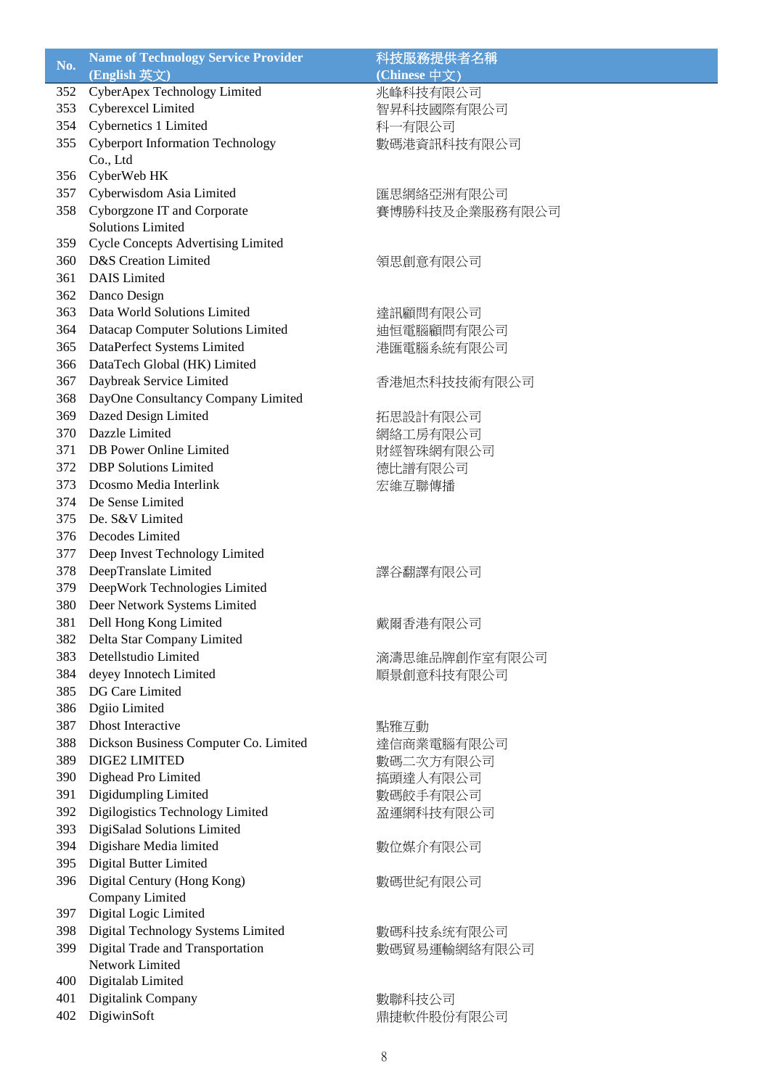| No. | <b>Name of Technology Service Provider</b> | 科技服務提供者名稱      |
|-----|--------------------------------------------|----------------|
|     | (English 英文)                               | (Chinese 中文)   |
| 352 | CyberApex Technology Limited               | 兆峰科技有限公司       |
| 353 | Cyberexcel Limited                         | 智昇科技國際有限公司     |
| 354 | Cybernetics 1 Limited                      | 科一有限公司         |
| 355 | <b>Cyberport Information Technology</b>    | 數碼港資訊科技有限公司    |
|     | Co., Ltd                                   |                |
| 356 | CyberWeb HK                                |                |
| 357 | Cyberwisdom Asia Limited                   | 匯思網絡亞洲有限公司     |
| 358 | Cyborgzone IT and Corporate                | 賽博勝科技及企業服務有限公司 |
|     | <b>Solutions Limited</b>                   |                |
| 359 | <b>Cycle Concepts Advertising Limited</b>  |                |
| 360 | D&S Creation Limited                       | 領思創意有限公司       |
| 361 | <b>DAIS</b> Limited                        |                |
| 362 | Danco Design                               |                |
| 363 | Data World Solutions Limited               | 達訊顧問有限公司       |
| 364 | Datacap Computer Solutions Limited         | 迪恒電腦顧問有限公司     |
| 365 | DataPerfect Systems Limited                | 港匯電腦系統有限公司     |
| 366 | DataTech Global (HK) Limited               |                |
|     | Daybreak Service Limited                   |                |
| 367 |                                            | 香港旭杰科技技術有限公司   |
| 368 | DayOne Consultancy Company Limited         |                |
| 369 | Dazed Design Limited                       | 拓思設計有限公司       |
| 370 | Dazzle Limited                             | 網絡工房有限公司       |
| 371 | DB Power Online Limited                    | 財經智珠網有限公司      |
| 372 | <b>DBP</b> Solutions Limited               | 德比譜有限公司        |
| 373 | Dcosmo Media Interlink                     | 宏維互聯傳播         |
| 374 | De Sense Limited                           |                |
| 375 | De. S&V Limited                            |                |
| 376 | Decodes Limited                            |                |
| 377 | Deep Invest Technology Limited             |                |
| 378 | DeepTranslate Limited                      | 譯谷翻譯有限公司       |
| 379 | DeepWork Technologies Limited              |                |
| 380 | Deer Network Systems Limited               |                |
| 381 | Dell Hong Kong Limited                     | 戴爾香港有限公司       |
| 382 | Delta Star Company Limited                 |                |
| 383 | Detellstudio Limited                       | 滴濤思維品牌創作室有限公司  |
| 384 | deyey Innotech Limited                     | 順景創意科技有限公司     |
| 385 | DG Care Limited                            |                |
| 386 | Dgiio Limited                              |                |
| 387 | <b>Dhost Interactive</b>                   | 點雅互動           |
| 388 | Dickson Business Computer Co. Limited      | 達信商業電腦有限公司     |
| 389 | DIGE2 LIMITED                              | 數碼二次方有限公司      |
| 390 | Dighead Pro Limited                        | 搞頭達人有限公司       |
| 391 | Digidumpling Limited                       | 數碼餃手有限公司       |
| 392 | Digilogistics Technology Limited           | 盈運網科技有限公司      |
| 393 | DigiSalad Solutions Limited                |                |
| 394 | Digishare Media limited                    | 數位媒介有限公司       |
| 395 | Digital Butter Limited                     |                |
| 396 | Digital Century (Hong Kong)                | 數碼世紀有限公司       |
|     | Company Limited                            |                |
| 397 | Digital Logic Limited                      |                |
| 398 | Digital Technology Systems Limited         | 數碼科技系统有限公司     |
| 399 | Digital Trade and Transportation           | 數碼貿易運輸網絡有限公司   |
|     | Network Limited                            |                |
| 400 | Digitalab Limited                          |                |
| 401 | Digitalink Company                         | 數聯科技公司         |
| 402 | DigiwinSoft                                | 鼎捷軟件股份有限公司     |
|     |                                            |                |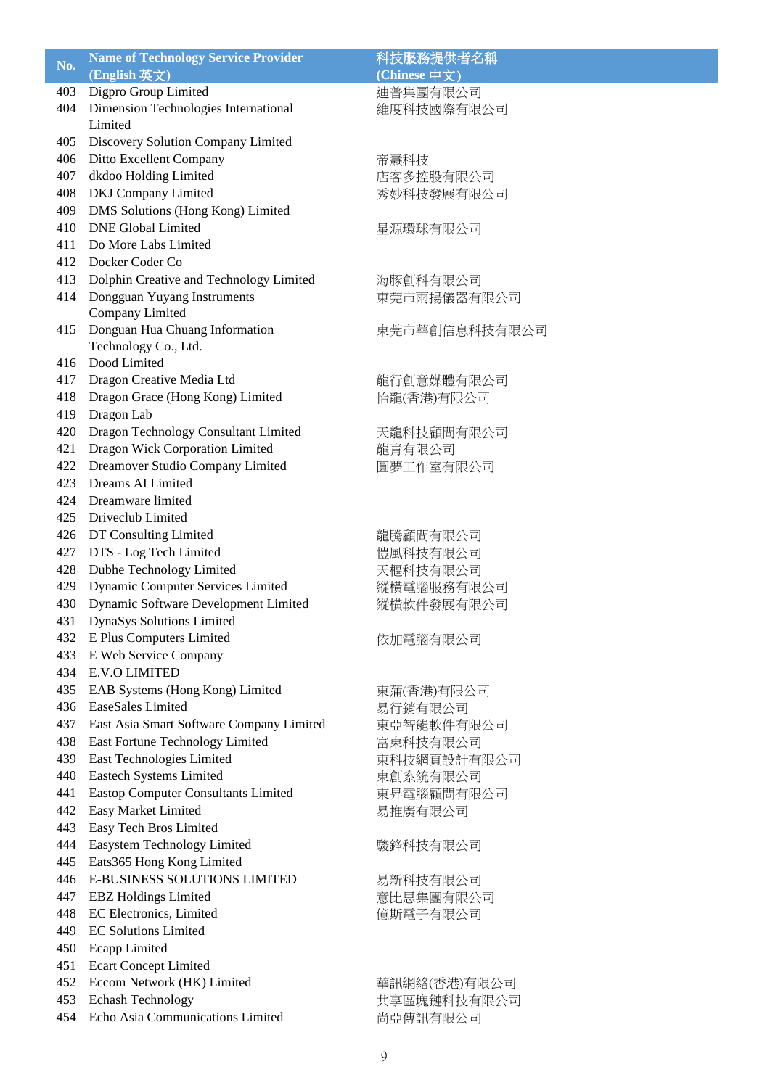| No. | <b>Name of Technology Service Provider</b>                       | 科技服務提供者名稱     |
|-----|------------------------------------------------------------------|---------------|
|     | (English 英文)                                                     | (Chinese 中文)  |
| 403 | Digpro Group Limited                                             | 迪普集團有限公司      |
| 404 | Dimension Technologies International                             | 維度科技國際有限公司    |
|     | Limited                                                          |               |
| 405 | Discovery Solution Company Limited                               |               |
| 406 | Ditto Excellent Company                                          | 帝燾科技          |
| 407 | dkdoo Holding Limited                                            | 店客多控股有限公司     |
|     |                                                                  |               |
| 408 | DKJ Company Limited                                              | 秀妙科技發展有限公司    |
| 409 | DMS Solutions (Hong Kong) Limited                                |               |
| 410 | <b>DNE Global Limited</b>                                        | 星源環球有限公司      |
| 411 | Do More Labs Limited                                             |               |
| 412 | Docker Coder Co                                                  |               |
| 413 | Dolphin Creative and Technology Limited                          | 海豚創科有限公司      |
| 414 | Dongguan Yuyang Instruments                                      | 東莞市雨揚儀器有限公司   |
|     | Company Limited                                                  |               |
| 415 | Donguan Hua Chuang Information                                   | 東莞市華創信息科技有限公司 |
|     | Technology Co., Ltd.                                             |               |
| 416 | Dood Limited                                                     |               |
| 417 | Dragon Creative Media Ltd                                        | 龍行創意媒體有限公司    |
| 418 | Dragon Grace (Hong Kong) Limited                                 | 怡龍(香港)有限公司    |
| 419 | Dragon Lab                                                       |               |
| 420 | Dragon Technology Consultant Limited                             | 天龍科技顧問有限公司    |
| 421 | Dragon Wick Corporation Limited                                  | 龍青有限公司        |
| 422 | Dreamover Studio Company Limited                                 | 圓夢工作室有限公司     |
| 423 | Dreams AI Limited                                                |               |
|     |                                                                  |               |
| 424 | Dreamware limited                                                |               |
| 425 | Driveclub Limited                                                |               |
| 426 | DT Consulting Limited                                            | 龍騰顧問有限公司      |
| 427 | DTS - Log Tech Limited                                           | 愷風科技有限公司      |
| 428 | Dubhe Technology Limited                                         | 天樞科技有限公司      |
| 429 | <b>Dynamic Computer Services Limited</b>                         | 縱橫電腦服務有限公司    |
| 430 | Dynamic Software Development Limited                             | 縱橫軟件發展有限公司    |
| 431 | DynaSys Solutions Limited                                        |               |
| 432 | E Plus Computers Limited                                         | 依加電腦有限公司      |
| 433 | E Web Service Company                                            |               |
| 434 | <b>E.V.O LIMITED</b>                                             |               |
| 435 | EAB Systems (Hong Kong) Limited                                  | 東蒲(香港)有限公司    |
| 436 | EaseSales Limited                                                | 易行銷有限公司       |
| 437 | East Asia Smart Software Company Limited                         | 東亞智能軟件有限公司    |
| 438 | <b>East Fortune Technology Limited</b>                           | 富東科技有限公司      |
| 439 | East Technologies Limited                                        | 東科技網頁設計有限公司   |
| 440 | <b>Eastech Systems Limited</b>                                   | 東創系統有限公司      |
| 441 | <b>Eastop Computer Consultants Limited</b>                       | 東昇電腦顧問有限公司    |
| 442 | Easy Market Limited                                              | 易推廣有限公司       |
| 443 | Easy Tech Bros Limited                                           |               |
| 444 | Easystem Technology Limited                                      |               |
| 445 |                                                                  | 駿鋒科技有限公司      |
|     | Eats365 Hong Kong Limited<br><b>E-BUSINESS SOLUTIONS LIMITED</b> |               |
| 446 |                                                                  | 易新科技有限公司      |
| 447 | <b>EBZ</b> Holdings Limited                                      | 意比思集團有限公司     |
| 448 | EC Electronics, Limited                                          | 億斯電子有限公司      |
| 449 | <b>EC Solutions Limited</b>                                      |               |
| 450 | <b>Ecapp Limited</b>                                             |               |
| 451 | <b>Ecart Concept Limited</b>                                     |               |
| 452 | Eccom Network (HK) Limited                                       | 華訊網絡(香港)有限公司  |
| 453 | Echash Technology                                                | 共享區塊鏈科技有限公司   |
| 454 | Echo Asia Communications Limited                                 | 尚亞傳訊有限公司      |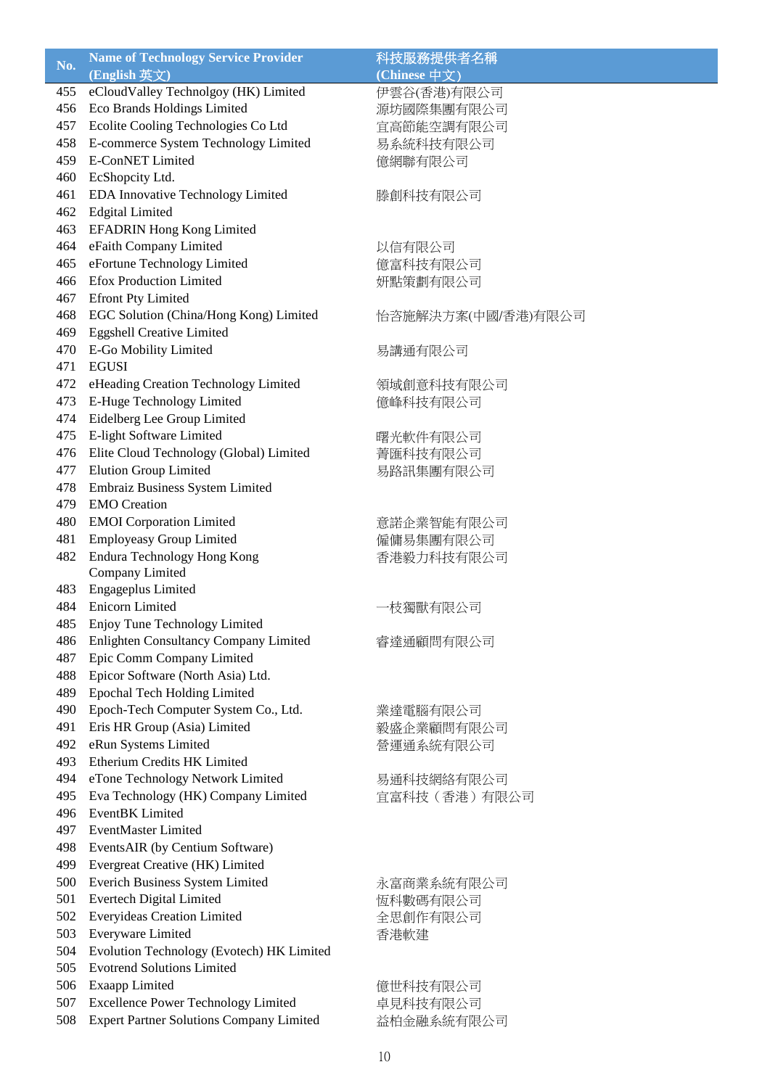| No. | <b>Name of Technology Service Provider</b>      | 科技服務提供者名稱          |
|-----|-------------------------------------------------|--------------------|
|     | (English 英文)                                    | (Chinese 中文)       |
| 455 | eCloudValley Technolgoy (HK) Limited            | 伊雲谷(香港)有限公司        |
| 456 | Eco Brands Holdings Limited                     | 源坊國際集團有限公司         |
| 457 | Ecolite Cooling Technologies Co Ltd             | 宜高節能空調有限公司         |
| 458 | E-commerce System Technology Limited            | 易系統科技有限公司          |
| 459 | <b>E-ConNET Limited</b>                         | 億網聯有限公司            |
| 460 | EcShopcity Ltd.                                 |                    |
| 461 | EDA Innovative Technology Limited               | 滕創科技有限公司           |
| 462 | <b>Edgital Limited</b>                          |                    |
| 463 | <b>EFADRIN Hong Kong Limited</b>                |                    |
| 464 | eFaith Company Limited                          | 以信有限公司             |
| 465 | eFortune Technology Limited                     | 億富科技有限公司           |
| 466 | <b>Efox Production Limited</b>                  | 妍點策劃有限公司           |
| 467 | <b>Efront Pty Limited</b>                       |                    |
| 468 | EGC Solution (China/Hong Kong) Limited          | 怡咨施解決方案(中國/香港)有限公司 |
| 469 | <b>Eggshell Creative Limited</b>                |                    |
| 470 | E-Go Mobility Limited                           | 易講通有限公司            |
| 471 | <b>EGUSI</b>                                    |                    |
| 472 | eHeading Creation Technology Limited            | 領域創意科技有限公司         |
| 473 | E-Huge Technology Limited                       | 億峰科技有限公司           |
| 474 | Eidelberg Lee Group Limited                     |                    |
| 475 | E-light Software Limited                        | 曙光軟件有限公司           |
| 476 | Elite Cloud Technology (Global) Limited         | 菁匯科技有限公司           |
| 477 | <b>Elution Group Limited</b>                    | 易路訊集團有限公司          |
| 478 | Embraiz Business System Limited                 |                    |
| 479 | <b>EMO</b> Creation                             |                    |
| 480 | <b>EMOI</b> Corporation Limited                 | 意諾企業智能有限公司         |
| 481 | <b>Employeasy Group Limited</b>                 | 僱傭易集團有限公司          |
| 482 | Endura Technology Hong Kong                     | 香港毅力科技有限公司         |
|     | Company Limited                                 |                    |
| 483 | Engageplus Limited                              |                    |
| 484 | Enicorn Limited                                 | ·枝獨獸有限公司           |
| 485 | Enjoy Tune Technology Limited                   |                    |
| 486 | Enlighten Consultancy Company Limited           | 睿達通顧問有限公司          |
| 487 | Epic Comm Company Limited                       |                    |
| 488 | Epicor Software (North Asia) Ltd.               |                    |
| 489 | <b>Epochal Tech Holding Limited</b>             |                    |
| 490 | Epoch-Tech Computer System Co., Ltd.            | 業達電腦有限公司           |
| 491 | Eris HR Group (Asia) Limited                    | 毅盛企業顧問有限公司         |
| 492 | eRun Systems Limited                            | 營運通系統有限公司          |
| 493 | Etherium Credits HK Limited                     |                    |
| 494 | eTone Technology Network Limited                | 易通科技網絡有限公司         |
| 495 | Eva Technology (HK) Company Limited             | 宜富科技 (香港) 有限公司     |
| 496 | EventBK Limited                                 |                    |
| 497 | <b>EventMaster Limited</b>                      |                    |
| 498 | EventsAIR (by Centium Software)                 |                    |
| 499 | Evergreat Creative (HK) Limited                 |                    |
| 500 | Everich Business System Limited                 | 永富商業系統有限公司         |
| 501 | Evertech Digital Limited                        | 恆科數碼有限公司           |
| 502 | <b>Everyideas Creation Limited</b>              | 全思創作有限公司           |
| 503 | Everyware Limited                               | 香港軟建               |
| 504 | Evolution Technology (Evotech) HK Limited       |                    |
| 505 | <b>Evotrend Solutions Limited</b>               |                    |
| 506 | <b>Exaapp Limited</b>                           | 億世科技有限公司           |
| 507 | <b>Excellence Power Technology Limited</b>      | 卓見科技有限公司           |
| 508 | <b>Expert Partner Solutions Company Limited</b> | 益柏金融系統有限公司         |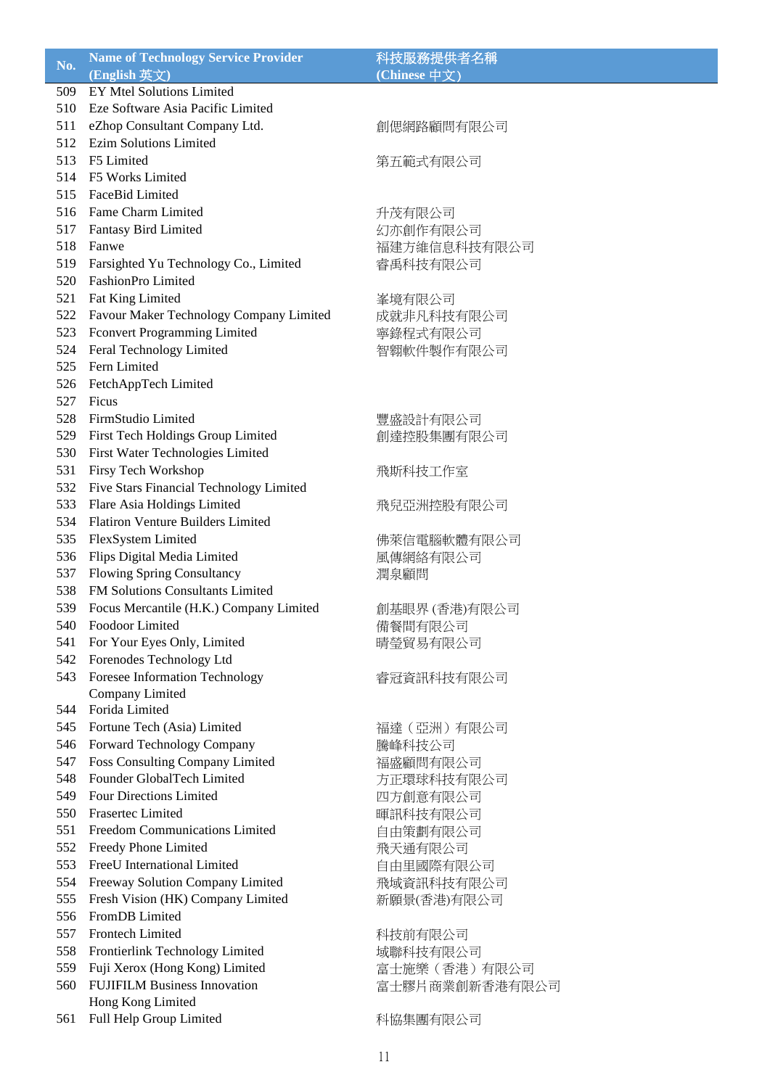| No. | <b>Name of Technology Service Provider</b> | 科技服務提供者名稱      |
|-----|--------------------------------------------|----------------|
|     | (English 英文)                               | (Chinese 中文)   |
| 509 | <b>EY Mtel Solutions Limited</b>           |                |
| 510 | Eze Software Asia Pacific Limited          |                |
| 511 | eZhop Consultant Company Ltd.              | 創偲網路顧問有限公司     |
| 512 | <b>Ezim Solutions Limited</b>              |                |
| 513 | F5 Limited                                 | 第五範式有限公司       |
| 514 | F5 Works Limited                           |                |
| 515 | FaceBid Limited                            |                |
| 516 | Fame Charm Limited                         | 升茂有限公司         |
| 517 | <b>Fantasy Bird Limited</b>                | 幻亦創作有限公司       |
| 518 | Fanwe                                      | 福建方維信息科技有限公司   |
| 519 | Farsighted Yu Technology Co., Limited      | 睿禹科技有限公司       |
| 520 | FashionPro Limited                         |                |
| 521 | Fat King Limited                           | 峯境有限公司         |
| 522 | Favour Maker Technology Company Limited    | 成就非凡科技有限公司     |
| 523 | Fconvert Programming Limited               | 寧錄程式有限公司       |
| 524 | Feral Technology Limited                   | 智翱軟件製作有限公司     |
| 525 | Fern Limited                               |                |
| 526 | FetchAppTech Limited                       |                |
| 527 | Ficus                                      |                |
| 528 | FirmStudio Limited                         | 豐盛設計有限公司       |
| 529 | First Tech Holdings Group Limited          | 創達控股集團有限公司     |
| 530 | First Water Technologies Limited           |                |
| 531 | Firsy Tech Workshop                        | 飛斯科技工作室        |
| 532 | Five Stars Financial Technology Limited    |                |
| 533 | Flare Asia Holdings Limited                | 飛兒亞洲控股有限公司     |
| 534 | <b>Flatiron Venture Builders Limited</b>   |                |
| 535 | FlexSystem Limited                         | 佛萊信電腦軟體有限公司    |
| 536 | Flips Digital Media Limited                | 風傳網絡有限公司       |
| 537 | <b>Flowing Spring Consultancy</b>          | 潤泉顧問           |
| 538 | FM Solutions Consultants Limited           |                |
| 539 | Focus Mercantile (H.K.) Company Limited    | 創基眼界 (香港)有限公司  |
| 540 | Foodoor Limited                            | 備餐間有限公司        |
| 541 | For Your Eyes Only, Limited                | 晴瑩貿易有限公司       |
| 542 | Forenodes Technology Ltd                   |                |
| 543 | Foresee Information Technology             | 睿冠資訊科技有限公司     |
|     | Company Limited                            |                |
| 544 | Forida Limited                             |                |
| 545 | Fortune Tech (Asia) Limited                | 福達(亞洲)有限公司     |
| 546 | Forward Technology Company                 | 騰峰科技公司         |
| 547 | <b>Foss Consulting Company Limited</b>     | 福盛顧問有限公司       |
| 548 | Founder GlobalTech Limited                 | 方正環球科技有限公司     |
| 549 | <b>Four Directions Limited</b>             | 四方創意有限公司       |
| 550 | <b>Frasertec Limited</b>                   | 暉訊科技有限公司       |
| 551 | Freedom Communications Limited             | 自由策劃有限公司       |
| 552 | Freedy Phone Limited                       | 飛天通有限公司        |
| 553 | FreeU International Limited                | 自由里國際有限公司      |
| 554 | Freeway Solution Company Limited           | 飛域資訊科技有限公司     |
| 555 | Fresh Vision (HK) Company Limited          | 新願景(香港)有限公司    |
| 556 | FromDB Limited                             |                |
| 557 | Frontech Limited                           | 科技前有限公司        |
| 558 | Frontierlink Technology Limited            | 域聯科技有限公司       |
| 559 | Fuji Xerox (Hong Kong) Limited             | 富士施樂 (香港) 有限公司 |
| 560 | <b>FUJIFILM Business Innovation</b>        | 富士膠片商業創新香港有限公司 |
|     | Hong Kong Limited                          |                |
| 561 | Full Help Group Limited                    | 科協集團有限公司       |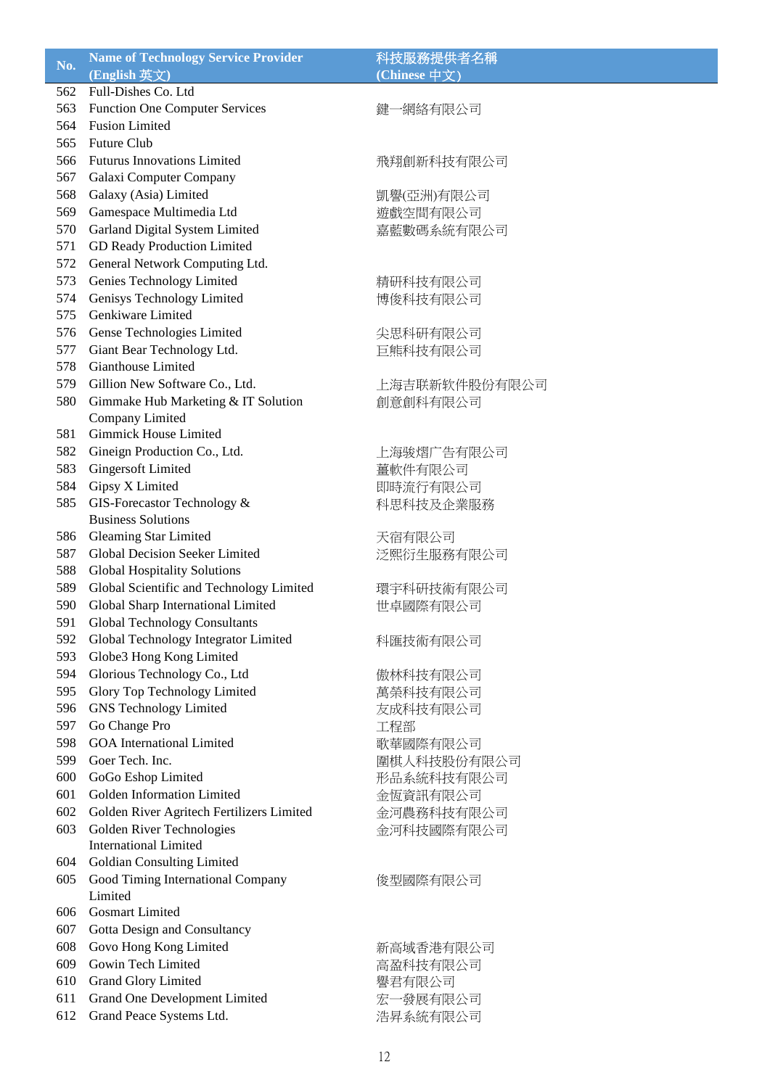| No. | <b>Name of Technology Service Provider</b> | 科技服務提供者名稱     |
|-----|--------------------------------------------|---------------|
|     | (English 英文)                               | (Chinese 中文)  |
| 562 | Full-Dishes Co. Ltd                        |               |
| 563 | <b>Function One Computer Services</b>      | 鍵一網絡有限公司      |
| 564 | <b>Fusion Limited</b>                      |               |
| 565 | Future Club                                |               |
| 566 | <b>Futurus Innovations Limited</b>         | 飛翔創新科技有限公司    |
| 567 | Galaxi Computer Company                    |               |
| 568 | Galaxy (Asia) Limited                      | 凱譽(亞洲)有限公司    |
| 569 | Gamespace Multimedia Ltd                   | 遊戲空間有限公司      |
| 570 | Garland Digital System Limited             | 嘉藍數碼系統有限公司    |
| 571 | <b>GD Ready Production Limited</b>         |               |
| 572 | General Network Computing Ltd.             |               |
| 573 | Genies Technology Limited                  | 精研科技有限公司      |
| 574 | Genisys Technology Limited                 | 博俊科技有限公司      |
| 575 | Genkiware Limited                          |               |
| 576 | Gense Technologies Limited                 | 尖思科研有限公司      |
| 577 | Giant Bear Technology Ltd.                 | 巨熊科技有限公司      |
| 578 | Gianthouse Limited                         |               |
| 579 | Gillion New Software Co., Ltd.             | 上海吉联新软件股份有限公司 |
| 580 | Gimmake Hub Marketing & IT Solution        | 創意創科有限公司      |
|     | Company Limited                            |               |
| 581 | <b>Gimmick House Limited</b>               |               |
| 582 | Gineign Production Co., Ltd.               | 上海骏熠广告有限公司    |
| 583 | <b>Gingersoft Limited</b>                  | 薑軟件有限公司       |
| 584 | Gipsy X Limited                            | 即時流行有限公司      |
| 585 | GIS-Forecastor Technology &                | 科思科技及企業服務     |
|     | <b>Business Solutions</b>                  |               |
| 586 | <b>Gleaming Star Limited</b>               | 天宿有限公司        |
| 587 | <b>Global Decision Seeker Limited</b>      | 泛熙衍生服務有限公司    |
| 588 | <b>Global Hospitality Solutions</b>        |               |
| 589 | Global Scientific and Technology Limited   | 環宇科研技術有限公司    |
| 590 | Global Sharp International Limited         | 世卓國際有限公司      |
| 591 | <b>Global Technology Consultants</b>       |               |
| 592 | Global Technology Integrator Limited       | 科匯技術有限公司      |
| 593 | Globe3 Hong Kong Limited                   |               |
| 594 | Glorious Technology Co., Ltd               | 傲林科技有限公司      |
| 595 | <b>Glory Top Technology Limited</b>        | 萬榮科技有限公司      |
| 596 | <b>GNS</b> Technology Limited              | 友成科技有限公司      |
| 597 | Go Change Pro                              | 工程部           |
| 598 | <b>GOA</b> International Limited           | 歌華國際有限公司      |
| 599 | Goer Tech. Inc.                            | 圍棋人科技股份有限公司   |
| 600 | GoGo Eshop Limited                         | 形品系統科技有限公司    |
| 601 | Golden Information Limited                 | 金恆資訊有限公司      |
| 602 | Golden River Agritech Fertilizers Limited  | 金河農務科技有限公司    |
| 603 | Golden River Technologies                  | 金河科技國際有限公司    |
|     | <b>International Limited</b>               |               |
| 604 | <b>Goldian Consulting Limited</b>          |               |
| 605 | Good Timing International Company          | 俊型國際有限公司      |
|     | Limited                                    |               |
| 606 | <b>Gosmart Limited</b>                     |               |
| 607 | Gotta Design and Consultancy               |               |
| 608 | Govo Hong Kong Limited                     | 新高域香港有限公司     |
| 609 | Gowin Tech Limited                         | 高盈科技有限公司      |
| 610 | <b>Grand Glory Limited</b>                 | 譽君有限公司        |
| 611 | <b>Grand One Development Limited</b>       | 宏一發展有限公司      |
| 612 | Grand Peace Systems Ltd.                   | 浩昇系統有限公司      |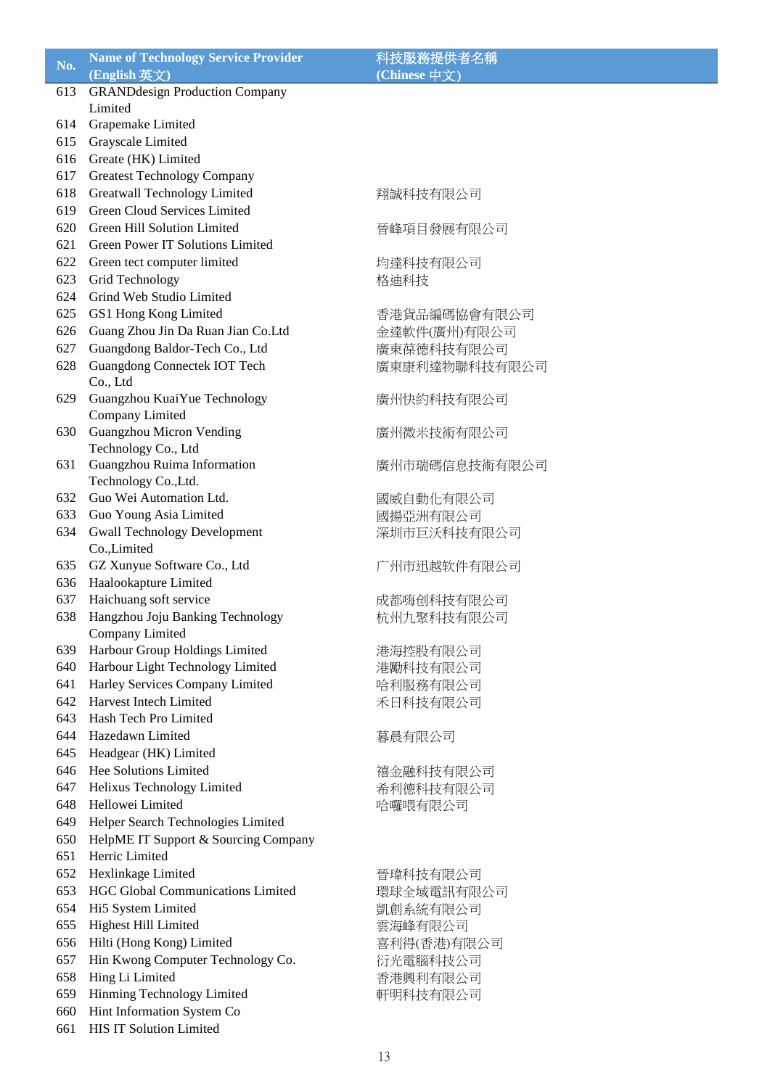| No. | <b>Name of Technology Service Provider</b> | 科技服務提供者名稱     |
|-----|--------------------------------------------|---------------|
|     | (English 英文)                               | (Chinese 中文)  |
| 613 | <b>GRANDdesign Production Company</b>      |               |
|     | Limited                                    |               |
| 614 | Grapemake Limited                          |               |
| 615 | Grayscale Limited                          |               |
| 616 | Greate (HK) Limited                        |               |
| 617 |                                            |               |
|     | <b>Greatest Technology Company</b>         |               |
| 618 | <b>Greatwall Technology Limited</b>        | 翔誠科技有限公司      |
| 619 | <b>Green Cloud Services Limited</b>        |               |
| 620 | Green Hill Solution Limited                | 晉峰項目發展有限公司    |
| 621 | Green Power IT Solutions Limited           |               |
| 622 | Green tect computer limited                | 均達科技有限公司      |
| 623 | Grid Technology                            | 格迪科技          |
| 624 | Grind Web Studio Limited                   |               |
| 625 | GS1 Hong Kong Limited                      | 香港貨品編碼協會有限公司  |
| 626 | Guang Zhou Jin Da Ruan Jian Co.Ltd         | 金達軟件(廣州)有限公司  |
| 627 | Guangdong Baldor-Tech Co., Ltd             | 廣東葆德科技有限公司    |
| 628 | Guangdong Connectek IOT Tech               | 廣東康利達物聯科技有限公司 |
|     | Co., Ltd                                   |               |
| 629 | Guangzhou KuaiYue Technology               | 廣州快約科技有限公司    |
|     | Company Limited                            |               |
| 630 | <b>Guangzhou Micron Vending</b>            | 廣州微米技術有限公司    |
|     | Technology Co., Ltd                        |               |
| 631 | Guangzhou Ruima Information                | 廣州市瑞碼信息技術有限公司 |
|     | Technology Co., Ltd.                       |               |
| 632 | Guo Wei Automation Ltd.                    | 國威自動化有限公司     |
| 633 | Guo Young Asia Limited                     | 國揚亞洲有限公司      |
| 634 | <b>Gwall Technology Development</b>        | 深圳市巨沃科技有限公司   |
|     | Co.,Limited                                |               |
| 635 | GZ Xunyue Software Co., Ltd                | 广州市迅越软件有限公司   |
| 636 | Haalookapture Limited                      |               |
| 637 | Haichuang soft service                     | 成都嗨创科技有限公司    |
| 638 | Hangzhou Joju Banking Technology           | 杭州九聚科技有限公司    |
|     | Company Limited                            |               |
| 639 | Harbour Group Holdings Limited             | 港海控股有限公司      |
| 640 | Harbour Light Technology Limited           |               |
| 641 |                                            | 港勵科技有限公司      |
|     | Harley Services Company Limited            | 哈利服務有限公司      |
| 642 | Harvest Intech Limited                     | 禾日科技有限公司      |
| 643 | Hash Tech Pro Limited                      |               |
| 644 | Hazedawn Limited                           | 暮晨有限公司        |
| 645 | Headgear (HK) Limited                      |               |
| 646 | Hee Solutions Limited                      | 禧金融科技有限公司     |
| 647 | Helixus Technology Limited                 | 希利德科技有限公司     |
| 648 | Hellowei Limited                           | 哈囉喂有限公司       |
| 649 | Helper Search Technologies Limited         |               |
| 650 | HelpME IT Support & Sourcing Company       |               |
| 651 | Herric Limited                             |               |
| 652 | Hexlinkage Limited                         | 晉瑋科技有限公司      |
| 653 | HGC Global Communications Limited          | 環球全域電訊有限公司    |
| 654 | Hi5 System Limited                         | 凱創系統有限公司      |
| 655 | <b>Highest Hill Limited</b>                | 雲海峰有限公司       |
| 656 | Hilti (Hong Kong) Limited                  | 喜利得(香港)有限公司   |
| 657 | Hin Kwong Computer Technology Co.          | 衍光電腦科技公司      |
| 658 | Hing Li Limited                            | 香港興利有限公司      |
| 659 | Hinming Technology Limited                 | 軒明科技有限公司      |
| 660 | Hint Information System Co                 |               |
| 661 | HIS IT Solution Limited                    |               |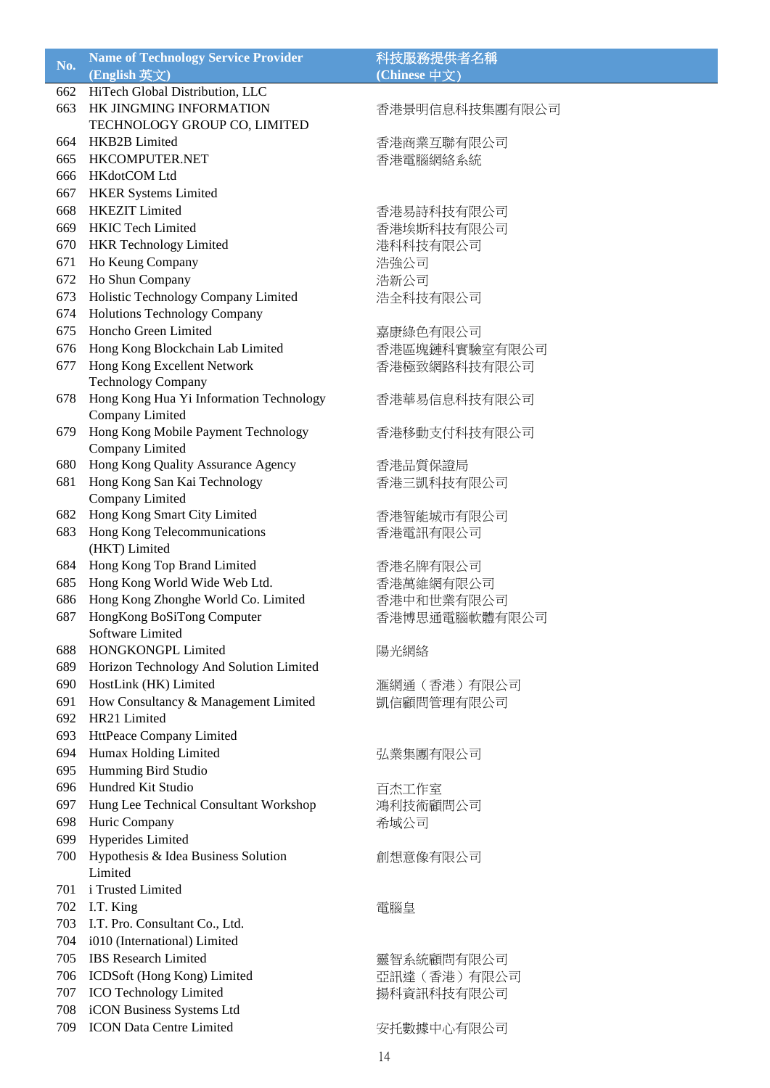| No. | <b>Name of Technology Service Provider</b> | 科技服務提供者名稱      |
|-----|--------------------------------------------|----------------|
|     | (English 英文)                               | (Chinese 中文)   |
| 662 | HiTech Global Distribution, LLC            |                |
| 663 | HK JINGMING INFORMATION                    | 香港景明信息科技集團有限公司 |
|     | TECHNOLOGY GROUP CO, LIMITED               |                |
| 664 | HKB2B Limited                              | 香港商業互聯有限公司     |
| 665 | HKCOMPUTER.NET                             | 香港電腦網絡系統       |
| 666 | HKdotCOM Ltd                               |                |
| 667 | <b>HKER Systems Limited</b>                |                |
| 668 | <b>HKEZIT</b> Limited                      | 香港易詩科技有限公司     |
| 669 | <b>HKIC Tech Limited</b>                   | 香港埃斯科技有限公司     |
| 670 | <b>HKR</b> Technology Limited              | 港科科技有限公司       |
| 671 | Ho Keung Company                           | 浩強公司           |
| 672 | Ho Shun Company                            | 浩新公司           |
| 673 | Holistic Technology Company Limited        | 浩全科技有限公司       |
| 674 | <b>Holutions Technology Company</b>        |                |
| 675 | Honcho Green Limited                       | 嘉康綠色有限公司       |
| 676 | Hong Kong Blockchain Lab Limited           | 香港區塊鏈科實驗室有限公司  |
| 677 | Hong Kong Excellent Network                | 香港極致網路科技有限公司   |
|     | <b>Technology Company</b>                  |                |
| 678 | Hong Kong Hua Yi Information Technology    | 香港華易信息科技有限公司   |
|     | Company Limited                            |                |
| 679 | Hong Kong Mobile Payment Technology        | 香港移動支付科技有限公司   |
|     | Company Limited                            |                |
| 680 | Hong Kong Quality Assurance Agency         | 香港品質保證局        |
| 681 | Hong Kong San Kai Technology               | 香港三凱科技有限公司     |
|     | Company Limited                            |                |
| 682 | Hong Kong Smart City Limited               | 香港智能城市有限公司     |
| 683 | Hong Kong Telecommunications               | 香港電訊有限公司       |
|     | (HKT) Limited                              |                |
| 684 | Hong Kong Top Brand Limited                | 香港名牌有限公司       |
| 685 | Hong Kong World Wide Web Ltd.              | 香港萬維網有限公司      |
| 686 | Hong Kong Zhonghe World Co. Limited        | 香港中和世業有限公司     |
| 687 | HongKong BoSiTong Computer                 | 香港博思通電腦軟體有限公司  |
|     | Software Limited                           |                |
| 688 | HONGKONGPL Limited                         | 陽光網絡           |
| 689 | Horizon Technology And Solution Limited    |                |
| 690 | HostLink (HK) Limited                      | 滙網通(香港)有限公司    |
| 691 | How Consultancy & Management Limited       | 凱信顧問管理有限公司     |
|     | 692 HR21 Limited                           |                |
| 693 | HttPeace Company Limited                   |                |
| 694 | Humax Holding Limited                      | 弘業集團有限公司       |
| 695 | Humming Bird Studio                        |                |
| 696 | Hundred Kit Studio                         | 百杰工作室          |
| 697 | Hung Lee Technical Consultant Workshop     | 鴻利技術顧問公司       |
| 698 | Huric Company                              | 希域公司           |
| 699 | Hyperides Limited                          |                |
| 700 | Hypothesis & Idea Business Solution        | 創想意像有限公司       |
|     | Limited                                    |                |
|     | 701 i Trusted Limited                      |                |
|     | 702 I.T. King                              | 電腦皇            |
| 703 | I.T. Pro. Consultant Co., Ltd.             |                |
|     | 704 i010 (International) Limited           |                |
| 705 | <b>IBS</b> Research Limited                | 靈智系統顧問有限公司     |
|     | 706 ICDSoft (Hong Kong) Limited            | 亞訊達 (香港) 有限公司  |
| 707 | <b>ICO Technology Limited</b>              | 揚科資訊科技有限公司     |
| 708 | iCON Business Systems Ltd                  |                |
| 709 | <b>ICON Data Centre Limited</b>            | 安托數據中心有限公司     |
|     |                                            |                |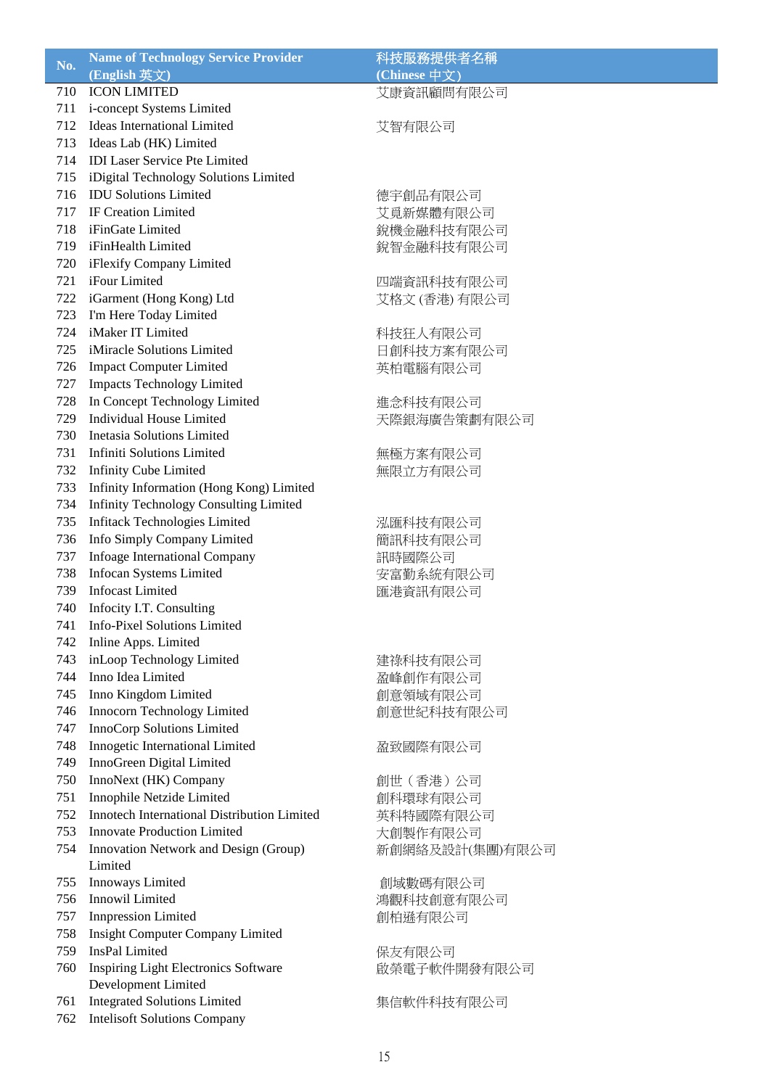| No. | <b>Name of Technology Service Provider</b>                               | 科技服務提供者名稱              |
|-----|--------------------------------------------------------------------------|------------------------|
|     | (English 英文)                                                             | (Chinese 中文)           |
| 710 | <b>ICON LIMITED</b>                                                      | 艾康資訊顧問有限公司             |
| 711 | i-concept Systems Limited                                                |                        |
| 712 | <b>Ideas International Limited</b>                                       | 艾智有限公司                 |
| 713 | Ideas Lab (HK) Limited                                                   |                        |
| 714 | <b>IDI Laser Service Pte Limited</b>                                     |                        |
| 715 | iDigital Technology Solutions Limited                                    |                        |
| 716 | <b>IDU Solutions Limited</b>                                             | 德宇創品有限公司               |
| 717 | IF Creation Limited                                                      | 艾覓新媒體有限公司              |
| 718 | iFinGate Limited                                                         | 銳機金融科技有限公司             |
| 719 | iFinHealth Limited                                                       | 銳智金融科技有限公司             |
| 720 | iFlexify Company Limited                                                 |                        |
| 721 | iFour Limited                                                            | 四端資訊科技有限公司             |
| 722 | iGarment (Hong Kong) Ltd                                                 | 艾格文 (香港) 有限公司          |
| 723 | I'm Here Today Limited                                                   |                        |
| 724 | iMaker IT Limited                                                        | 科技狂人有限公司               |
| 725 | iMiracle Solutions Limited                                               | 日創科技方案有限公司             |
| 726 | <b>Impact Computer Limited</b>                                           | 英柏電腦有限公司               |
| 727 | <b>Impacts Technology Limited</b>                                        |                        |
| 728 | In Concept Technology Limited                                            | 進念科技有限公司               |
| 729 | <b>Individual House Limited</b>                                          | 天際銀海廣告策劃有限公司           |
| 730 | Inetasia Solutions Limited                                               |                        |
| 731 | <b>Infiniti Solutions Limited</b>                                        | 無極方案有限公司               |
| 732 | <b>Infinity Cube Limited</b>                                             | 無限立方有限公司               |
| 733 | Infinity Information (Hong Kong) Limited                                 |                        |
| 734 | <b>Infinity Technology Consulting Limited</b>                            |                        |
| 735 | <b>Infitack Technologies Limited</b>                                     | 泓匯科技有限公司               |
| 736 | Info Simply Company Limited                                              | 簡訊科技有限公司               |
| 737 | Infoage International Company                                            | 訊時國際公司                 |
| 738 | Infocan Systems Limited                                                  | 安富勤系統有限公司              |
| 739 | <b>Infocast Limited</b>                                                  | 匯港資訊有限公司               |
| 740 | Infocity I.T. Consulting                                                 |                        |
| 741 | Info-Pixel Solutions Limited                                             |                        |
| 742 | Inline Apps. Limited                                                     |                        |
| 743 | inLoop Technology Limited                                                |                        |
| 744 | Inno Idea Limited                                                        | 建祿科技有限公司               |
| 745 | Inno Kingdom Limited                                                     | 盈峰創作有限公司               |
| 746 | Innocorn Technology Limited                                              | 創意領域有限公司               |
| 747 | InnoCorp Solutions Limited                                               | 創意世紀科技有限公司             |
| 748 | Innogetic International Limited                                          |                        |
| 749 | InnoGreen Digital Limited                                                | 盈致國際有限公司               |
| 750 | InnoNext (HK) Company                                                    |                        |
| 751 |                                                                          | 創世 (香港) 公司             |
| 752 | Innophile Netzide Limited<br>Innotech International Distribution Limited | 創科環球有限公司               |
| 753 | <b>Innovate Production Limited</b>                                       | 英科特國際有限公司              |
| 754 |                                                                          | 大創製作有限公司               |
|     | Innovation Network and Design (Group)<br>Limited                         | 新創網絡及設計(集團)有限公司        |
| 755 | Innoways Limited                                                         | 創域數碼有限公司               |
| 756 | Innowil Limited                                                          | 鴻觀科技創意有限公司             |
| 757 | <b>Innpression Limited</b>                                               |                        |
| 758 | <b>Insight Computer Company Limited</b>                                  | 創柏遜有限公司                |
| 759 | InsPal Limited                                                           |                        |
| 760 | Inspiring Light Electronics Software                                     | 保友有限公司<br>啟榮電子軟件開發有限公司 |
|     | Development Limited                                                      |                        |
| 761 | <b>Integrated Solutions Limited</b>                                      | 集信軟件科技有限公司             |
| 762 | <b>Intelisoft Solutions Company</b>                                      |                        |
|     |                                                                          |                        |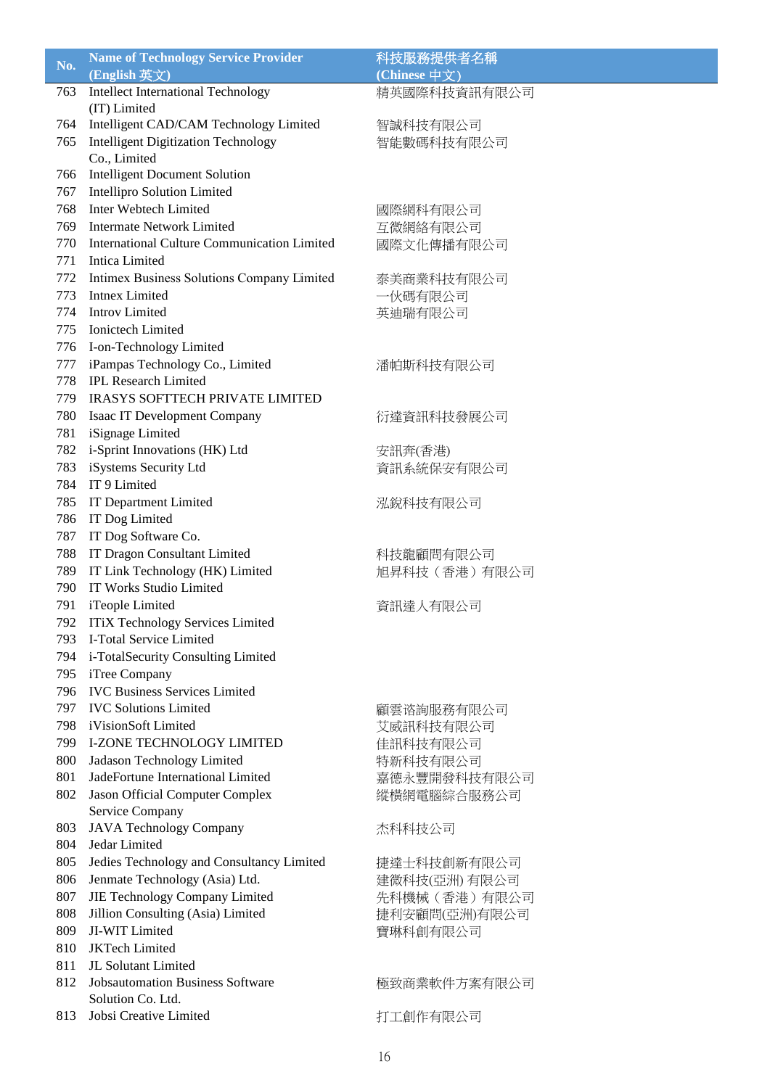| No. | <b>Name of Technology Service Provider</b>         | 科技服務提供者名稱      |
|-----|----------------------------------------------------|----------------|
|     | (English 英文)                                       | (Chinese 中文)   |
| 763 | <b>Intellect International Technology</b>          | 精英國際科技資訊有限公司   |
|     | (IT) Limited                                       |                |
| 764 | Intelligent CAD/CAM Technology Limited             | 智誠科技有限公司       |
| 765 | <b>Intelligent Digitization Technology</b>         | 智能數碼科技有限公司     |
|     | Co., Limited                                       |                |
| 766 | <b>Intelligent Document Solution</b>               |                |
| 767 | <b>Intellipro Solution Limited</b>                 |                |
| 768 | Inter Webtech Limited                              | 國際網科有限公司       |
| 769 | <b>Intermate Network Limited</b>                   | 互微網絡有限公司       |
| 770 | <b>International Culture Communication Limited</b> | 國際文化傳播有限公司     |
| 771 | <b>Intica Limited</b>                              |                |
| 772 | Intimex Business Solutions Company Limited         | 泰美商業科技有限公司     |
| 773 | <b>Intnex Limited</b>                              | 一伙碼有限公司        |
| 774 | <b>Introv Limited</b>                              | 英迪瑞有限公司        |
| 775 | Ionictech Limited                                  |                |
| 776 | I-on-Technology Limited                            |                |
| 777 | iPampas Technology Co., Limited                    | 潘帕斯科技有限公司      |
| 778 | <b>IPL Research Limited</b>                        |                |
| 779 | <b>IRASYS SOFTTECH PRIVATE LIMITED</b>             |                |
| 780 |                                                    |                |
|     | Isaac IT Development Company                       | 衍達資訊科技發展公司     |
| 781 | iSignage Limited                                   |                |
| 782 | i-Sprint Innovations (HK) Ltd                      | 安訊奔(香港)        |
| 783 | iSystems Security Ltd                              | 資訊系統保安有限公司     |
| 784 | IT 9 Limited                                       |                |
| 785 | IT Department Limited                              | 泓銳科技有限公司       |
| 786 | IT Dog Limited                                     |                |
| 787 | IT Dog Software Co.                                |                |
| 788 | IT Dragon Consultant Limited                       | 科技龍顧問有限公司      |
| 789 | IT Link Technology (HK) Limited                    | 旭昇科技(香港)有限公司   |
| 790 | IT Works Studio Limited                            |                |
| 791 | iTeople Limited                                    | 資訊達人有限公司       |
| 792 | <b>ITiX Technology Services Limited</b>            |                |
| 793 | I-Total Service Limited                            |                |
| 794 | i-TotalSecurity Consulting Limited                 |                |
| 795 | iTree Company                                      |                |
| 796 | <b>IVC Business Services Limited</b>               |                |
| 797 | <b>IVC Solutions Limited</b>                       | 顧雲谘詢服務有限公司     |
| 798 | iVisionSoft Limited                                | 艾威訊科技有限公司      |
| 799 | <b>I-ZONE TECHNOLOGY LIMITED</b>                   | 佳訊科技有限公司       |
| 800 | Jadason Technology Limited                         | 特新科技有限公司       |
| 801 | JadeFortune International Limited                  | 嘉德永豐開發科技有限公司   |
| 802 | Jason Official Computer Complex                    | 縱橫網電腦綜合服務公司    |
|     | Service Company                                    |                |
| 803 | <b>JAVA Technology Company</b>                     | 杰科科技公司         |
| 804 | Jedar Limited                                      |                |
| 805 | Jedies Technology and Consultancy Limited          | 捷達士科技創新有限公司    |
| 806 | Jenmate Technology (Asia) Ltd.                     | 建微科技(亞洲) 有限公司  |
| 807 | JIE Technology Company Limited                     | 先科機械 (香港) 有限公司 |
| 808 | Jillion Consulting (Asia) Limited                  | 捷利安顧問(亞洲)有限公司  |
| 809 | JI-WIT Limited                                     | 寶琳科創有限公司       |
| 810 | <b>JKTech Limited</b>                              |                |
| 811 | JL Solutant Limited                                |                |
| 812 | <b>Jobsautomation Business Software</b>            | 極致商業軟件方案有限公司   |
|     | Solution Co. Ltd.                                  |                |
| 813 | Jobsi Creative Limited                             | 打工創作有限公司       |
|     |                                                    |                |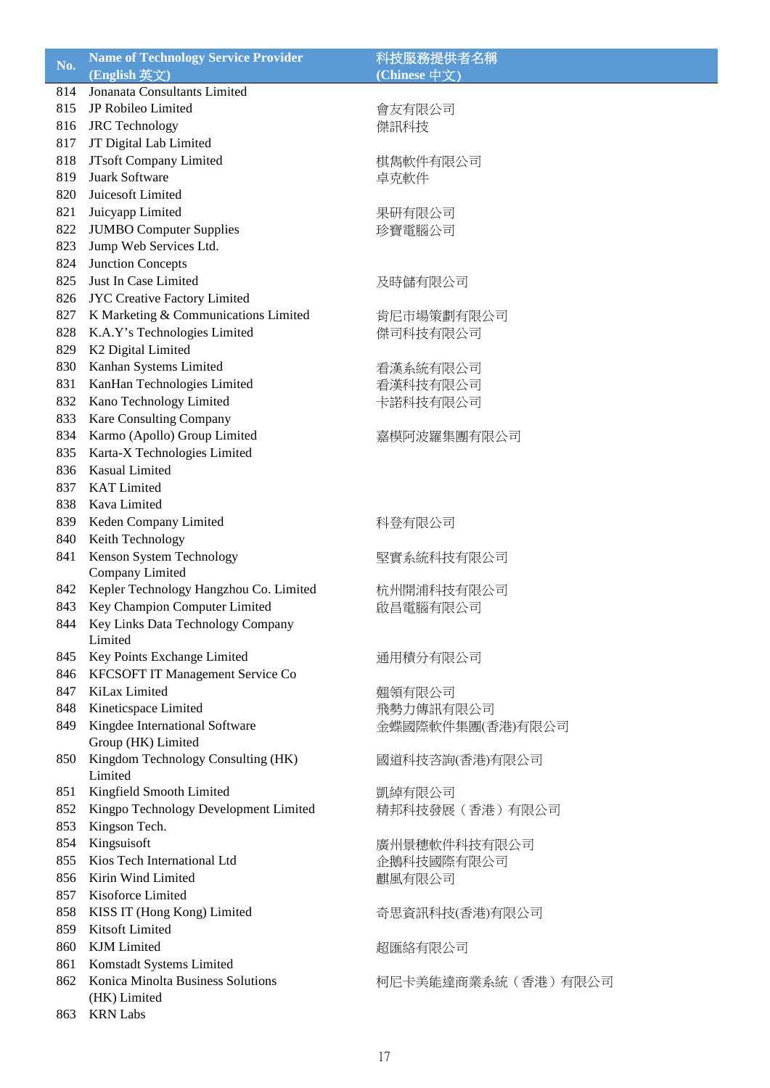| No. | <b>Name of Technology Service Provider</b> | 科技服務提供者名稱          |
|-----|--------------------------------------------|--------------------|
|     | (English 英文)                               | (Chinese 中文)       |
| 814 | Jonanata Consultants Limited               |                    |
| 815 | JP Robileo Limited                         | 會友有限公司             |
| 816 | <b>JRC</b> Technology                      | 傑訊科技               |
| 817 | JT Digital Lab Limited                     |                    |
| 818 | JTsoft Company Limited                     | 棋雋軟件有限公司           |
| 819 | Juark Software                             | 卓克軟件               |
| 820 | Juicesoft Limited                          |                    |
| 821 | Juicyapp Limited                           | 果研有限公司             |
| 822 | <b>JUMBO Computer Supplies</b>             | 珍寶電腦公司             |
| 823 | Jump Web Services Ltd.                     |                    |
| 824 | <b>Junction Concepts</b>                   |                    |
| 825 | Just In Case Limited                       | 及時儲有限公司            |
| 826 | JYC Creative Factory Limited               |                    |
| 827 | K Marketing & Communications Limited       | 肯尼市場策劃有限公司         |
| 828 | K.A.Y's Technologies Limited               | 傑司科技有限公司           |
| 829 | K2 Digital Limited                         |                    |
| 830 | Kanhan Systems Limited                     | 看漢系統有限公司           |
| 831 | KanHan Technologies Limited                | 看漢科技有限公司           |
| 832 | Kano Technology Limited                    | 卡諾科技有限公司           |
| 833 | Kare Consulting Company                    |                    |
| 834 | Karmo (Apollo) Group Limited               | 嘉模阿波羅集團有限公司        |
| 835 | Karta-X Technologies Limited               |                    |
| 836 | <b>Kasual Limited</b>                      |                    |
| 837 | <b>KAT Limited</b>                         |                    |
| 838 | Kava Limited                               |                    |
| 839 | Keden Company Limited                      | 科登有限公司             |
| 840 | Keith Technology                           |                    |
| 841 | Kenson System Technology                   | 堅實系統科技有限公司         |
|     | Company Limited                            |                    |
| 842 | Kepler Technology Hangzhou Co. Limited     | 杭州開浦科技有限公司         |
| 843 | Key Champion Computer Limited              | 啟昌電腦有限公司           |
| 844 | Key Links Data Technology Company          |                    |
|     | Limited                                    |                    |
| 845 | Key Points Exchange Limited                | 通用積分有限公司           |
| 846 | KFCSOFT IT Management Service Co           |                    |
| 847 | KiLax Limited                              | 翹領有限公司             |
| 848 | Kineticspace Limited                       | 飛勢力傳訊有限公司          |
| 849 | Kingdee International Software             | 金蝶國際軟件集團(香港)有限公司   |
|     | Group (HK) Limited                         |                    |
| 850 | Kingdom Technology Consulting (HK)         | 國道科技咨詢(香港)有限公司     |
|     | Limited                                    |                    |
| 851 | Kingfield Smooth Limited                   | 凱綽有限公司             |
| 852 | Kingpo Technology Development Limited      | 精邦科技發展(香港)有限公司     |
| 853 | Kingson Tech.                              |                    |
| 854 | Kingsuisoft                                | 廣州景穗軟件科技有限公司       |
| 855 | Kios Tech International Ltd                | 企鵝科技國際有限公司         |
| 856 | Kirin Wind Limited                         | 麒風有限公司             |
| 857 | Kisoforce Limited                          |                    |
| 858 | KISS IT (Hong Kong) Limited                | 奇思資訊科技(香港)有限公司     |
| 859 | Kitsoft Limited                            |                    |
| 860 | <b>KJM</b> Limited                         | 超匯絡有限公司            |
| 861 | Komstadt Systems Limited                   |                    |
| 862 | Konica Minolta Business Solutions          | 柯尼卡美能達商業系統(香港)有限公司 |
|     | (HK) Limited                               |                    |
| 863 | <b>KRN</b> Labs                            |                    |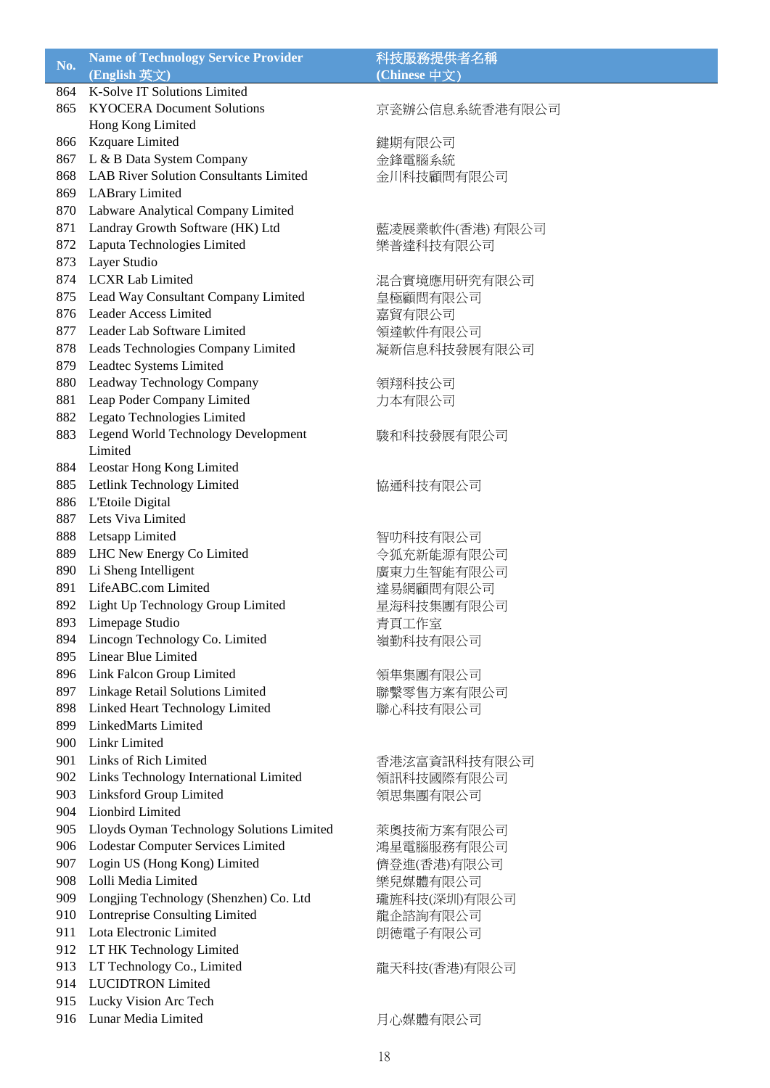| No.        | <b>Name of Technology Service Provider</b>             | 科技服務提供者名稱       |
|------------|--------------------------------------------------------|-----------------|
|            | (English 英文)                                           | (Chinese 中文)    |
| 864        | <b>K-Solve IT Solutions Limited</b>                    |                 |
| 865        | <b>KYOCERA Document Solutions</b>                      | 京瓷辦公信息系統香港有限公司  |
|            | Hong Kong Limited                                      |                 |
| 866        | Kzquare Limited                                        | 鍵期有限公司          |
| 867        | L & B Data System Company                              | 金鋒電腦系統          |
| 868        | <b>LAB River Solution Consultants Limited</b>          | 金川科技顧問有限公司      |
| 869        | <b>LABrary Limited</b>                                 |                 |
| 870        | Labware Analytical Company Limited                     |                 |
| 871        | Landray Growth Software (HK) Ltd                       | 藍凌展業軟件(香港) 有限公司 |
| 872        | Laputa Technologies Limited                            | 樂普達科技有限公司       |
| 873        | Layer Studio                                           |                 |
| 874        | <b>LCXR Lab Limited</b>                                | 混合實境應用研究有限公司    |
| 875        | Lead Way Consultant Company Limited                    | 皇極顧問有限公司        |
| 876        | Leader Access Limited                                  | 嘉貿有限公司          |
| 877        | Leader Lab Software Limited                            | 領達軟件有限公司        |
| 878        | Leads Technologies Company Limited                     | 凝新信息科技發展有限公司    |
| 879        | Leadtec Systems Limited                                |                 |
| 880        | Leadway Technology Company                             | 領翔科技公司          |
| 881        | Leap Poder Company Limited                             | 力本有限公司          |
| 882        | Legato Technologies Limited                            |                 |
| 883        | Legend World Technology Development                    | 駿和科技發展有限公司      |
|            | Limited                                                |                 |
| 884        | Leostar Hong Kong Limited                              |                 |
| 885        | Letlink Technology Limited                             | 協通科技有限公司        |
| 886        | L'Etoile Digital                                       |                 |
| 887        | Lets Viva Limited                                      |                 |
| 888        | Letsapp Limited                                        | 智叻科技有限公司        |
| 889        | LHC New Energy Co Limited                              | 令狐充新能源有限公司      |
| 890        | Li Sheng Intelligent                                   | 廣東力生智能有限公司      |
| 891        | LifeABC.com Limited                                    | 達易網顧問有限公司       |
| 892        | Light Up Technology Group Limited                      | 星海科技集團有限公司      |
| 893        | Limepage Studio                                        | 青頁工作室           |
| 894<br>895 | Lincogn Technology Co. Limited<br>Linear Blue Limited  | 嶺勤科技有限公司        |
| 896        |                                                        |                 |
|            | Link Falcon Group Limited                              | 領隼集團有限公司        |
| 897        | Linkage Retail Solutions Limited                       | 聯繫零售方案有限公司      |
| 898<br>899 | Linked Heart Technology Limited<br>LinkedMarts Limited | 聯心科技有限公司        |
| 900        | Linkr Limited                                          |                 |
| 901        | Links of Rich Limited                                  |                 |
| 902        | Links Technology International Limited                 | 香港泫富資訊科技有限公司    |
| 903        | Linksford Group Limited                                | 領訊科技國際有限公司      |
| 904        | Lionbird Limited                                       | 領思集團有限公司        |
| 905        | Lloyds Oyman Technology Solutions Limited              | 萊奧技術方案有限公司      |
| 906        | Lodestar Computer Services Limited                     | 鴻星電腦服務有限公司      |
| 907        | Login US (Hong Kong) Limited                           | 儕登進(香港)有限公司     |
| 908        | Lolli Media Limited                                    |                 |
| 909        | Longjing Technology (Shenzhen) Co. Ltd                 | 樂兒媒體有限公司        |
| 910        | Lontreprise Consulting Limited                         | 瓏旌科技(深圳)有限公司    |
| 911        | Lota Electronic Limited                                | 龍企諮詢有限公司        |
| 912        | LT HK Technology Limited                               | 朗德電子有限公司        |
| 913        | LT Technology Co., Limited                             |                 |
| 914        | <b>LUCIDTRON Limited</b>                               | 龍天科技(香港)有限公司    |
| 915        | Lucky Vision Arc Tech                                  |                 |
| 916        | Lunar Media Limited                                    |                 |
|            |                                                        | 月心媒體有限公司        |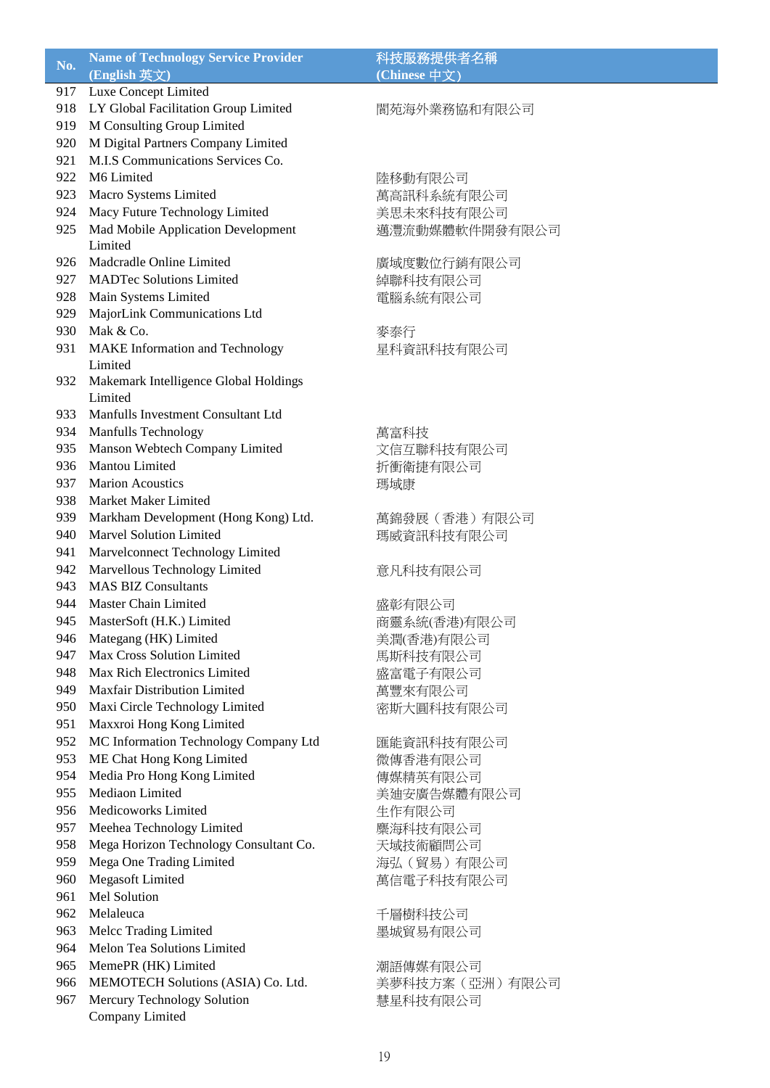| No. | <b>Name of Technology Service Provider</b> | 科技服務提供者名稱        |
|-----|--------------------------------------------|------------------|
|     | (English 英文)                               | (Chinese 中文)     |
| 917 | Luxe Concept Limited                       |                  |
|     | 918 LY Global Facilitation Group Limited   | 閬苑海外業務協和有限公司     |
| 919 | M Consulting Group Limited                 |                  |
| 920 | M Digital Partners Company Limited         |                  |
| 921 | M.I.S Communications Services Co.          |                  |
| 922 | M6 Limited                                 | 陸移動有限公司          |
| 923 | Macro Systems Limited                      | 萬高訊科系統有限公司       |
| 924 | Macy Future Technology Limited             | 美思未來科技有限公司       |
| 925 | Mad Mobile Application Development         | 邁灃流動媒體軟件開發有限公司   |
|     | Limited                                    |                  |
| 926 | Madcradle Online Limited                   | 廣域度數位行銷有限公司      |
|     | 927 MADTec Solutions Limited               | 綽聯科技有限公司         |
| 928 | Main Systems Limited                       | 電腦系統有限公司         |
| 929 | MajorLink Communications Ltd               |                  |
| 930 | Mak & Co.                                  | 麥泰行              |
| 931 | MAKE Information and Technology            | 星科資訊科技有限公司       |
|     | Limited                                    |                  |
| 932 | Makemark Intelligence Global Holdings      |                  |
|     | Limited                                    |                  |
| 933 | Manfulls Investment Consultant Ltd         |                  |
|     | 934 Manfulls Technology                    | 萬富科技             |
| 935 | Manson Webtech Company Limited             | 文信互聯科技有限公司       |
| 936 | Mantou Limited                             | 折衝衛捷有限公司         |
| 937 | <b>Marion Acoustics</b>                    | 瑪域康              |
| 938 | Market Maker Limited                       |                  |
| 939 | Markham Development (Hong Kong) Ltd.       | 萬錦發展 (香港) 有限公司   |
| 940 | <b>Marvel Solution Limited</b>             | 瑪威資訊科技有限公司       |
| 941 | Marvelconnect Technology Limited           |                  |
| 942 | Marvellous Technology Limited              | 意凡科技有限公司         |
| 943 | <b>MAS BIZ Consultants</b>                 |                  |
| 944 | Master Chain Limited                       | 盛彰有限公司           |
| 945 | MasterSoft (H.K.) Limited                  | 商靈系統(香港)有限公司     |
| 946 | Mategang (HK) Limited                      | 美潤(香港)有限公司       |
| 947 | Max Cross Solution Limited                 | 馬斯科技有限公司         |
| 948 | Max Rich Electronics Limited               | 盛富電子有限公司         |
| 949 | <b>Maxfair Distribution Limited</b>        | 萬豐來有限公司          |
| 950 | Maxi Circle Technology Limited             | 密斯大圓科技有限公司       |
| 951 | Maxxroi Hong Kong Limited                  |                  |
| 952 | MC Information Technology Company Ltd      | 匯能資訊科技有限公司       |
| 953 | ME Chat Hong Kong Limited                  | 微傳香港有限公司         |
| 954 | Media Pro Hong Kong Limited                | 傳媒精英有限公司         |
| 955 | Mediaon Limited                            | 美迪安廣告媒體有限公司      |
| 956 | Medicoworks Limited                        | 生作有限公司           |
| 957 | Meehea Technology Limited                  | 麋海科技有限公司         |
| 958 | Mega Horizon Technology Consultant Co.     | 天域技術顧問公司         |
| 959 | Mega One Trading Limited                   | 海弘(貿易)有限公司       |
| 960 | Megasoft Limited                           | 萬信電子科技有限公司       |
| 961 | Mel Solution                               |                  |
| 962 | Melaleuca                                  | 千層樹科技公司          |
| 963 | Melcc Trading Limited                      | 墨城貿易有限公司         |
| 964 | Melon Tea Solutions Limited                |                  |
| 965 | MemePR (HK) Limited                        | 潮語傳媒有限公司         |
| 966 | MEMOTECH Solutions (ASIA) Co. Ltd.         | 美夢科技方案 (亞洲) 有限公司 |
| 967 | Mercury Technology Solution                |                  |
|     | Company Limited                            | 慧星科技有限公司         |
|     |                                            |                  |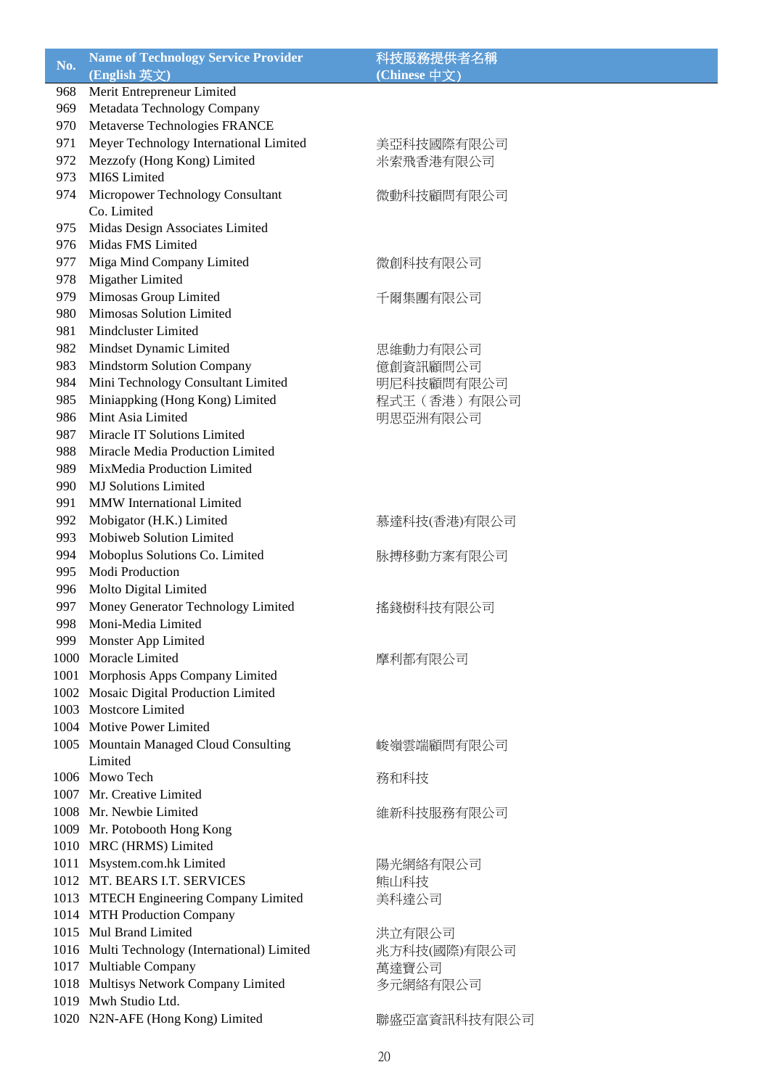| No. | <b>Name of Technology Service Provider</b>    | 科技服務提供者名稱     |
|-----|-----------------------------------------------|---------------|
|     | (English 英文)                                  | (Chinese 中文)  |
| 968 | Merit Entrepreneur Limited                    |               |
| 969 | Metadata Technology Company                   |               |
| 970 | Metaverse Technologies FRANCE                 |               |
| 971 | Meyer Technology International Limited        | 美亞科技國際有限公司    |
| 972 | Mezzofy (Hong Kong) Limited                   | 米索飛香港有限公司     |
| 973 | MI6S Limited                                  |               |
| 974 | Micropower Technology Consultant              | 微動科技顧問有限公司    |
|     | Co. Limited                                   |               |
| 975 | Midas Design Associates Limited               |               |
| 976 | Midas FMS Limited                             |               |
| 977 | Miga Mind Company Limited                     | 微創科技有限公司      |
| 978 | Migather Limited                              |               |
| 979 | Mimosas Group Limited                         | 千爾集團有限公司      |
| 980 | Mimosas Solution Limited                      |               |
| 981 | Mindcluster Limited                           |               |
| 982 | Mindset Dynamic Limited                       | 思維動力有限公司      |
| 983 | <b>Mindstorm Solution Company</b>             | 億創資訊顧問公司      |
| 984 | Mini Technology Consultant Limited            | 明尼科技顧問有限公司    |
| 985 | Miniappking (Hong Kong) Limited               | 程式王 (香港) 有限公司 |
| 986 | Mint Asia Limited                             | 明思亞洲有限公司      |
| 987 | Miracle IT Solutions Limited                  |               |
| 988 | Miracle Media Production Limited              |               |
| 989 | MixMedia Production Limited                   |               |
| 990 | <b>MJ</b> Solutions Limited                   |               |
| 991 | <b>MMW</b> International Limited              |               |
| 992 | Mobigator (H.K.) Limited                      | 慕達科技(香港)有限公司  |
| 993 | Mobiweb Solution Limited                      |               |
| 994 | Moboplus Solutions Co. Limited                | 脉搏移動方案有限公司    |
| 995 | Modi Production                               |               |
| 996 | Molto Digital Limited                         |               |
| 997 | Money Generator Technology Limited            | 搖錢樹科技有限公司     |
| 998 | Moni-Media Limited                            |               |
| 999 | Monster App Limited                           |               |
|     | 1000 Moracle Limited                          | 摩利都有限公司       |
|     | 1001 Morphosis Apps Company Limited           |               |
|     | 1002 Mosaic Digital Production Limited        |               |
|     | 1003 Mostcore Limited                         |               |
|     | 1004 Motive Power Limited                     |               |
|     | 1005 Mountain Managed Cloud Consulting        | 峻嶺雲端顧問有限公司    |
|     | Limited                                       |               |
|     | 1006 Mowo Tech                                | 務和科技          |
|     | 1007 Mr. Creative Limited                     |               |
|     | 1008 Mr. Newbie Limited                       | 維新科技服務有限公司    |
|     | 1009 Mr. Potobooth Hong Kong                  |               |
|     | 1010 MRC (HRMS) Limited                       |               |
|     | 1011 Msystem.com.hk Limited                   | 陽光網絡有限公司      |
|     | 1012 MT. BEARS I.T. SERVICES                  | 熊山科技          |
|     | 1013 MTECH Engineering Company Limited        | 美科達公司         |
|     | 1014 MTH Production Company                   |               |
|     | 1015 Mul Brand Limited                        | 洪立有限公司        |
|     | 1016 Multi Technology (International) Limited | 兆方科技(國際)有限公司  |
|     | 1017 Multiable Company                        | 萬達寶公司         |
|     | 1018 Multisys Network Company Limited         | 多元網絡有限公司      |
|     | 1019 Mwh Studio Ltd.                          |               |
|     | 1020 N2N-AFE (Hong Kong) Limited              | 聯盛亞富資訊科技有限公司  |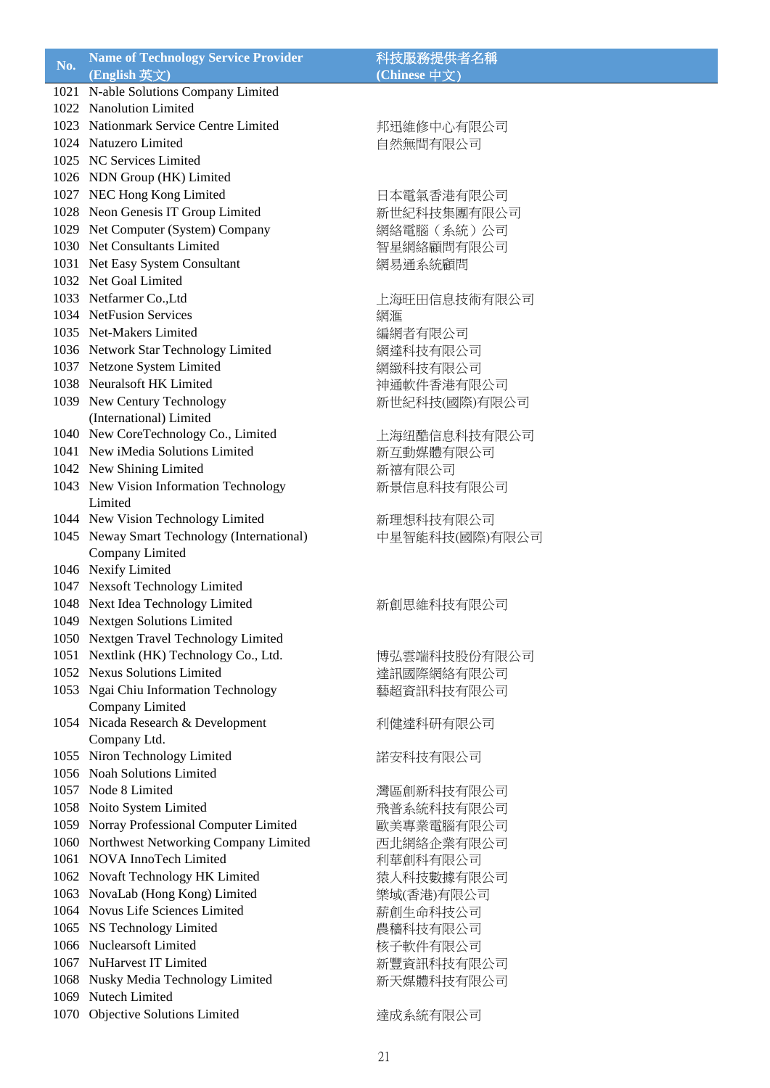| No. | <b>Name of Technology Service Provider</b>  | 科技服務提供者名稱      |
|-----|---------------------------------------------|----------------|
|     | (English 英文)                                | (Chinese 中文)   |
|     | 1021 N-able Solutions Company Limited       |                |
|     | 1022 Nanolution Limited                     |                |
|     | 1023 Nationmark Service Centre Limited      | 邦迅維修中心有限公司     |
|     | 1024 Natuzero Limited                       | 自然無間有限公司       |
|     | 1025 NC Services Limited                    |                |
|     | 1026 NDN Group (HK) Limited                 |                |
|     | 1027 NEC Hong Kong Limited                  | 日本電氣香港有限公司     |
|     | 1028 Neon Genesis IT Group Limited          | 新世紀科技集團有限公司    |
|     | 1029 Net Computer (System) Company          | 網絡電腦 (系統)公司    |
|     | 1030 Net Consultants Limited                | 智星網絡顧問有限公司     |
|     | 1031 Net Easy System Consultant             | 網易通系統顧問        |
|     | 1032 Net Goal Limited                       |                |
|     | 1033 Netfarmer Co., Ltd                     | 上海旺田信息技術有限公司   |
|     | 1034 NetFusion Services                     | 網滙             |
|     | 1035 Net-Makers Limited                     | 編網者有限公司        |
|     | 1036 Network Star Technology Limited        | 網達科技有限公司       |
|     | 1037 Netzone System Limited                 | 網緻科技有限公司       |
|     | 1038 Neuralsoft HK Limited                  | 神通軟件香港有限公司     |
|     | 1039 New Century Technology                 | 新世紀科技(國際)有限公司  |
|     | (International) Limited                     |                |
|     | 1040 New CoreTechnology Co., Limited        | 上海纽酷信息科技有限公司   |
|     | 1041 New iMedia Solutions Limited           | 新互動媒體有限公司      |
|     | 1042 New Shining Limited                    | 新禧有限公司         |
|     | 1043 New Vision Information Technology      | 新景信息科技有限公司     |
|     | Limited                                     |                |
|     | 1044 New Vision Technology Limited          | 新理想科技有限公司      |
|     | 1045 Neway Smart Technology (International) | 中星智能科技(國際)有限公司 |
|     | Company Limited                             |                |
|     | 1046 Nexify Limited                         |                |
|     | 1047 Nexsoft Technology Limited             |                |
|     | 1048 Next Idea Technology Limited           | 新創思維科技有限公司     |
|     | 1049 Nextgen Solutions Limited              |                |
|     | 1050 Nextgen Travel Technology Limited      |                |
|     | 1051 Nextlink (HK) Technology Co., Ltd.     | 博弘雲端科技股份有限公司   |
|     | 1052 Nexus Solutions Limited                | 達訊國際網絡有限公司     |
|     | 1053 Ngai Chiu Information Technology       | 藝超資訊科技有限公司     |
|     | Company Limited                             |                |
|     | 1054 Nicada Research & Development          | 利健達科研有限公司      |
|     | Company Ltd.                                |                |
|     | 1055 Niron Technology Limited               | 諾安科技有限公司       |
|     | 1056 Noah Solutions Limited                 |                |
|     | 1057 Node 8 Limited                         | 灣區創新科技有限公司     |
|     | 1058 Noito System Limited                   | 飛普系統科技有限公司     |
|     | 1059 Norray Professional Computer Limited   | 歐美專業電腦有限公司     |
|     | 1060 Northwest Networking Company Limited   | 西北網絡企業有限公司     |
|     | 1061 NOVA InnoTech Limited                  | 利華創科有限公司       |
|     | 1062 Novaft Technology HK Limited           | 猿人科技數據有限公司     |
|     | 1063 NovaLab (Hong Kong) Limited            | 樂域(香港)有限公司     |
|     | 1064 Novus Life Sciences Limited            | 薪創生命科技公司       |
|     | 1065 NS Technology Limited                  | 農穡科技有限公司       |
|     | 1066 Nuclearsoft Limited                    | 核子軟件有限公司       |
|     | 1067 NuHarvest IT Limited                   | 新豐資訊科技有限公司     |
|     | 1068 Nusky Media Technology Limited         | 新天媒體科技有限公司     |
|     | 1069 Nutech Limited                         |                |
|     | 1070 Objective Solutions Limited            | 達成系統有限公司       |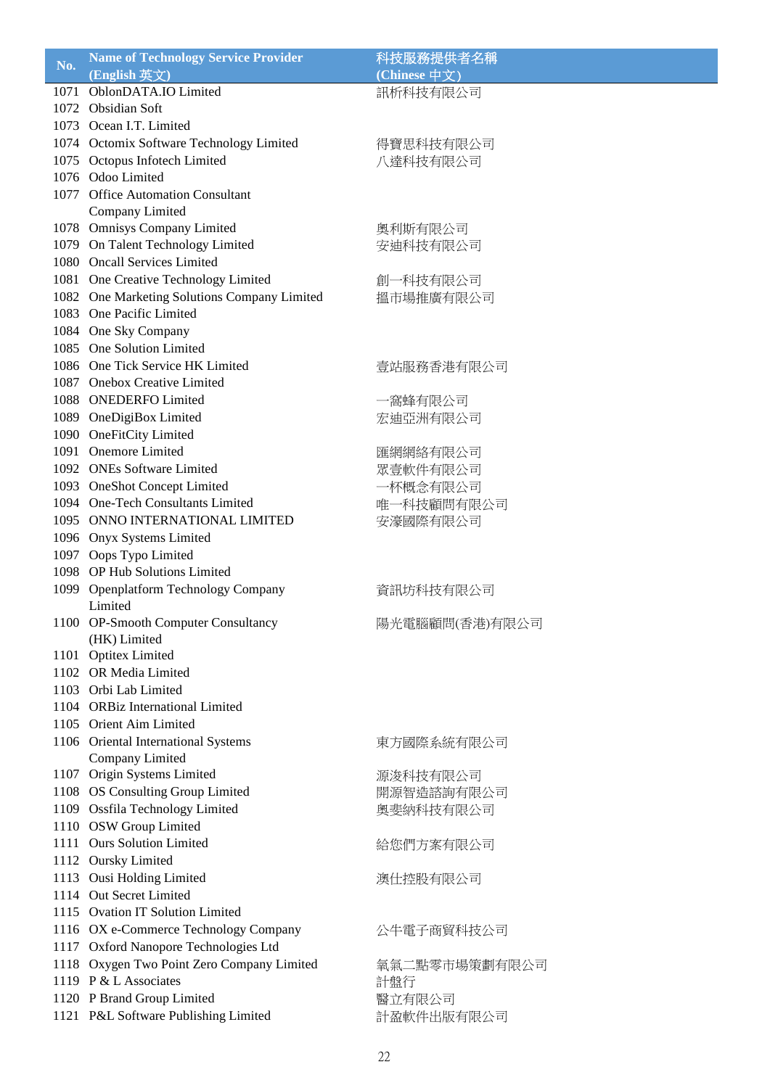| $N0$ . | <b>Name of Technology Service Provider</b>   | 科技服務提供者名稱      |
|--------|----------------------------------------------|----------------|
|        | (English 英文)                                 | (Chinese 中文)   |
|        | 1071 OblonDATA.IO Limited                    | 訊析科技有限公司       |
|        | 1072 Obsidian Soft                           |                |
|        | 1073 Ocean I.T. Limited                      |                |
|        | 1074 Octomix Software Technology Limited     | 得寶思科技有限公司      |
|        | 1075 Octopus Infotech Limited                | 八達科技有限公司       |
|        | 1076 Odoo Limited                            |                |
|        | 1077 Office Automation Consultant            |                |
|        |                                              |                |
|        | Company Limited                              |                |
|        | 1078 Omnisys Company Limited                 | 奧利斯有限公司        |
|        | 1079 On Talent Technology Limited            | 安迪科技有限公司       |
|        | 1080 Oncall Services Limited                 |                |
|        | 1081 One Creative Technology Limited         | 創一科技有限公司       |
|        | 1082 One Marketing Solutions Company Limited | 搵市場推廣有限公司      |
|        | 1083 One Pacific Limited                     |                |
|        | 1084 One Sky Company                         |                |
|        | 1085 One Solution Limited                    |                |
|        | 1086 One Tick Service HK Limited             | 壹站服務香港有限公司     |
|        | 1087 Onebox Creative Limited                 |                |
|        | 1088 ONEDERFO Limited                        | 一窩蜂有限公司        |
|        | 1089 OneDigiBox Limited                      | 宏迪亞洲有限公司       |
|        | 1090 OneFitCity Limited                      |                |
|        | 1091 Onemore Limited                         |                |
|        | 1092 ONEs Software Limited                   | 匯網網絡有限公司       |
|        |                                              | 眾壹軟件有限公司       |
|        | 1093 OneShot Concept Limited                 | 一杯概念有限公司       |
|        | 1094 One-Tech Consultants Limited            | 唯一科技顧問有限公司     |
|        | 1095 ONNO INTERNATIONAL LIMITED              | 安濠國際有限公司       |
|        | 1096 Onyx Systems Limited                    |                |
|        | 1097 Oops Typo Limited                       |                |
|        | 1098 OP Hub Solutions Limited                |                |
|        | 1099 Openplatform Technology Company         | 資訊坊科技有限公司      |
|        | Limited                                      |                |
|        | 1100 OP-Smooth Computer Consultancy          | 陽光電腦顧問(香港)有限公司 |
|        | (HK) Limited                                 |                |
|        | 1101 Optitex Limited                         |                |
|        | 1102 OR Media Limited                        |                |
|        | 1103 Orbi Lab Limited                        |                |
|        | 1104 ORBiz International Limited             |                |
|        | 1105 Orient Aim Limited                      |                |
|        | 1106 Oriental International Systems          | 東方國際系統有限公司     |
|        | Company Limited                              |                |
|        | 1107 Origin Systems Limited                  | 源浚科技有限公司       |
|        | 1108 OS Consulting Group Limited             | 開源智造諮詢有限公司     |
|        | 1109 Ossfila Technology Limited              | 奧斐納科技有限公司      |
|        | 1110 OSW Group Limited                       |                |
|        | 1111 Ours Solution Limited                   | 給您們方案有限公司      |
|        | 1112 Oursky Limited                          |                |
|        | 1113 Ousi Holding Limited                    | 澳仕控股有限公司       |
|        | 1114 Out Secret Limited                      |                |
|        |                                              |                |
|        | 1115 Ovation IT Solution Limited             |                |
|        | 1116 OX e-Commerce Technology Company        | 公牛電子商貿科技公司     |
| 1117   | Oxford Nanopore Technologies Ltd             |                |
|        | 1118 Oxygen Two Point Zero Company Limited   | 氧氣二點零市場策劃有限公司  |
|        | 1119 P & L Associates                        | 計盤行            |
|        | 1120 P Brand Group Limited                   | 醫立有限公司         |
|        | 1121 P&L Software Publishing Limited         | 計盈軟件出版有限公司     |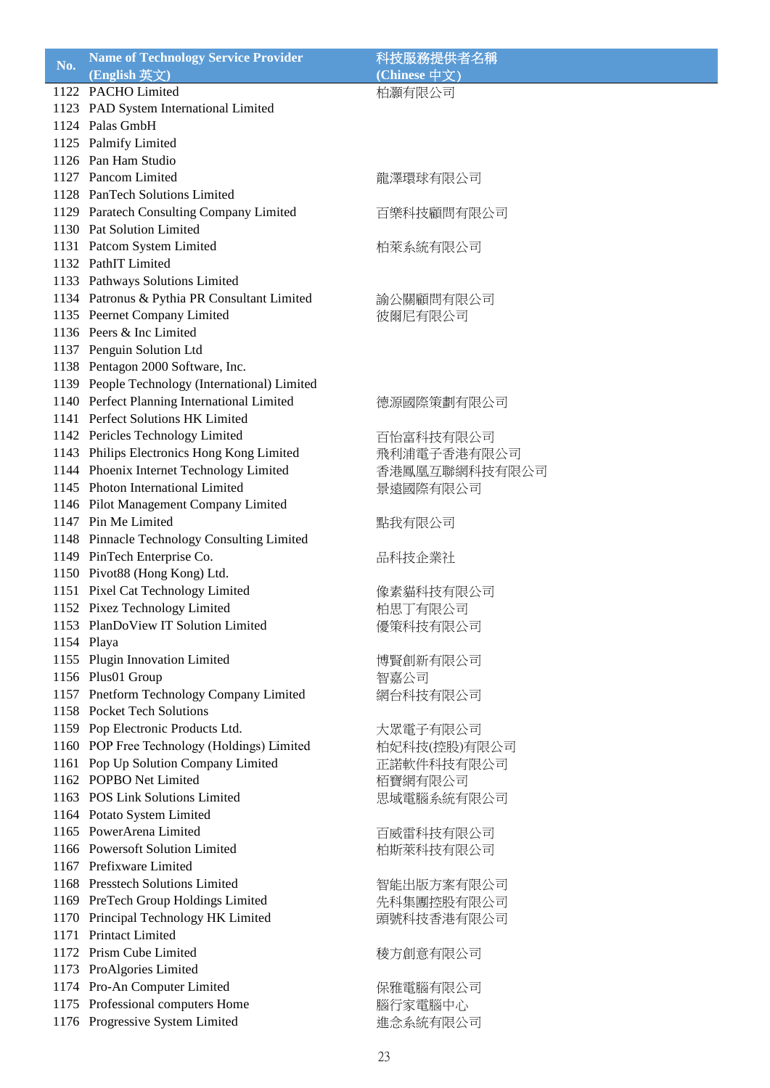| No.  | <b>Name of Technology Service Provider</b>                                    | 科技服務提供者名稱     |
|------|-------------------------------------------------------------------------------|---------------|
|      | (English 英文)                                                                  | (Chinese 中文)  |
|      | 1122 PACHO Limited                                                            | 柏灝有限公司        |
|      | 1123 PAD System International Limited                                         |               |
|      | 1124 Palas GmbH                                                               |               |
|      | 1125 Palmify Limited                                                          |               |
|      | 1126 Pan Ham Studio                                                           |               |
|      | 1127 Pancom Limited                                                           | 龍澤環球有限公司      |
|      | 1128 PanTech Solutions Limited                                                |               |
|      | 1129 Paratech Consulting Company Limited                                      | 百樂科技顧問有限公司    |
|      | 1130 Pat Solution Limited                                                     |               |
|      | 1131 Patcom System Limited                                                    | 柏萊系統有限公司      |
|      | 1132 PathIT Limited                                                           |               |
|      | 1133 Pathways Solutions Limited                                               |               |
|      | 1134 Patronus & Pythia PR Consultant Limited                                  | 諭公關顧問有限公司     |
|      | 1135 Peernet Company Limited                                                  | 彼爾尼有限公司       |
|      | 1136 Peers & Inc Limited                                                      |               |
|      | 1137 Penguin Solution Ltd                                                     |               |
|      | 1138 Pentagon 2000 Software, Inc.                                             |               |
|      | 1139 People Technology (International) Limited                                |               |
|      | 1140 Perfect Planning International Limited                                   | 德源國際策劃有限公司    |
|      | 1141 Perfect Solutions HK Limited                                             |               |
|      | 1142 Pericles Technology Limited                                              |               |
|      |                                                                               | 百怡富科技有限公司     |
|      | 1143 Philips Electronics Hong Kong Limited                                    | 飛利浦電子香港有限公司   |
|      | 1144 Phoenix Internet Technology Limited<br>1145 Photon International Limited | 香港鳳凰互聯網科技有限公司 |
|      |                                                                               | 景遠國際有限公司      |
|      | 1146 Pilot Management Company Limited                                         |               |
|      | 1147 Pin Me Limited                                                           | 點我有限公司        |
|      | 1148 Pinnacle Technology Consulting Limited                                   |               |
|      | 1149 PinTech Enterprise Co.                                                   | 品科技企業社        |
|      | 1150 Pivot88 (Hong Kong) Ltd.                                                 |               |
|      | 1151 Pixel Cat Technology Limited                                             | 像素貓科技有限公司     |
|      | 1152 Pixez Technology Limited                                                 | 柏思丁有限公司       |
|      | 1153 PlanDoView IT Solution Limited                                           | 優策科技有限公司      |
|      | 1154 Playa                                                                    |               |
|      | 1155 Plugin Innovation Limited                                                | 博賢創新有限公司      |
|      | 1156 Plus01 Group                                                             | 智嘉公司          |
|      | 1157 Pnetform Technology Company Limited                                      | 網台科技有限公司      |
|      | 1158 Pocket Tech Solutions                                                    |               |
|      | 1159 Pop Electronic Products Ltd.                                             | 大眾電子有限公司      |
|      | 1160 POP Free Technology (Holdings) Limited                                   | 柏妃科技(控股)有限公司  |
|      | 1161 Pop Up Solution Company Limited                                          | 正諾軟件科技有限公司    |
|      | 1162 POPBO Net Limited                                                        | 栢寶網有限公司       |
|      | 1163 POS Link Solutions Limited                                               | 思域電腦系統有限公司    |
|      | 1164 Potato System Limited                                                    |               |
|      | 1165 PowerArena Limited                                                       | 百威雷科技有限公司     |
|      | 1166 Powersoft Solution Limited                                               | 柏斯萊科技有限公司     |
|      | 1167 Prefixware Limited                                                       |               |
|      | 1168 Presstech Solutions Limited                                              | 智能出版方案有限公司    |
|      | 1169 PreTech Group Holdings Limited                                           | 先科集團控股有限公司    |
| 1170 | Principal Technology HK Limited                                               | 頭號科技香港有限公司    |
| 1171 | <b>Printact Limited</b>                                                       |               |
|      | 1172 Prism Cube Limited                                                       | 稜方創意有限公司      |
|      | 1173 ProAlgories Limited                                                      |               |
|      | 1174 Pro-An Computer Limited                                                  | 保雅電腦有限公司      |
|      | 1175 Professional computers Home                                              | 腦行家電腦中心       |
|      | 1176 Progressive System Limited                                               | 進念系統有限公司      |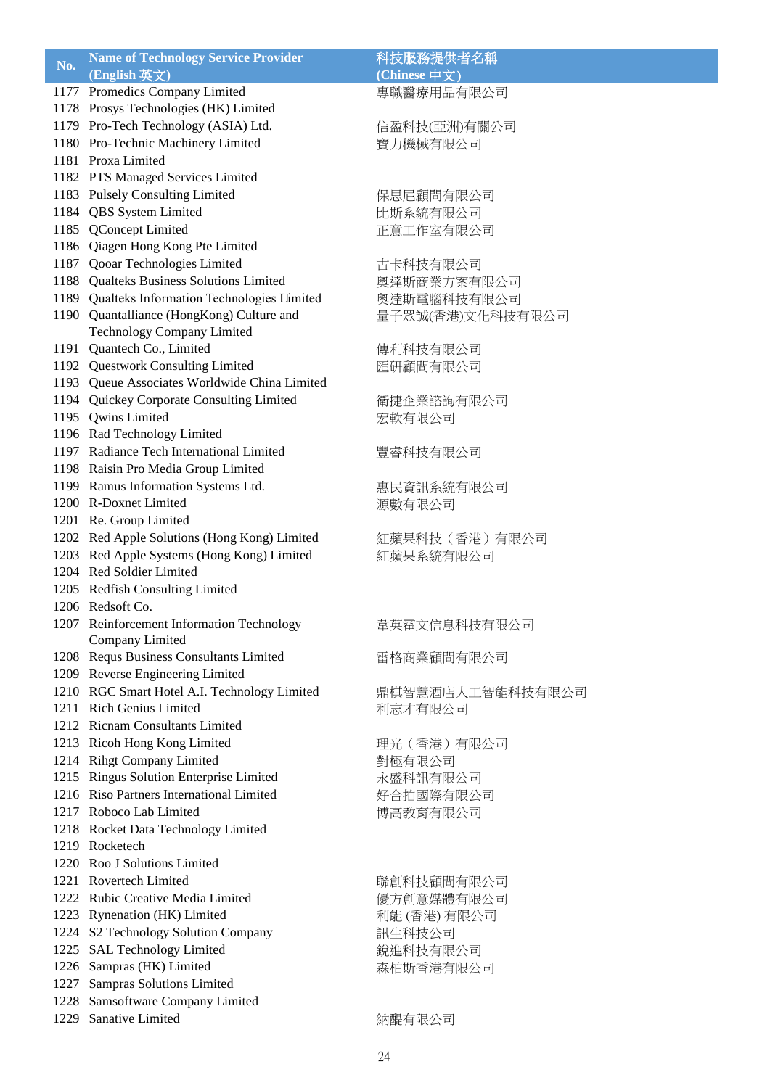| No. | <b>Name of Technology Service Provider</b>                | 科技服務提供者名稱                      |
|-----|-----------------------------------------------------------|--------------------------------|
|     | (English 英文)                                              | $\overline{(Chinese \# \chi)}$ |
|     | 1177 Promedics Company Limited                            | 專職醫療用品有限公司                     |
|     | 1178 Prosys Technologies (HK) Limited                     |                                |
|     | 1179 Pro-Tech Technology (ASIA) Ltd.                      | 信盈科技(亞洲)有關公司                   |
|     | 1180 Pro-Technic Machinery Limited                        | 寶力機械有限公司                       |
|     | 1181 Proxa Limited                                        |                                |
|     | 1182 PTS Managed Services Limited                         |                                |
|     | 1183 Pulsely Consulting Limited                           | 保思尼顧問有限公司                      |
|     | 1184 QBS System Limited                                   | 比斯系統有限公司                       |
|     | 1185 QConcept Limited                                     | 正意工作室有限公司                      |
|     | 1186 Qiagen Hong Kong Pte Limited                         |                                |
|     | 1187 Qooar Technologies Limited                           | 古卡科技有限公司                       |
|     | 1188 Qualteks Business Solutions Limited                  | 奥達斯商業方案有限公司                    |
|     | 1189 Qualteks Information Technologies Limited            | 奧達斯電腦科技有限公司                    |
|     | 1190 Quantalliance (HongKong) Culture and                 | 量子眾誠(香港)文化科技有限公司               |
|     | Technology Company Limited                                |                                |
|     | 1191 Quantech Co., Limited                                | 傳利科技有限公司                       |
|     | 1192 Questwork Consulting Limited                         |                                |
|     | 1193 Queue Associates Worldwide China Limited             | 匯研顧問有限公司                       |
|     | 1194 Quickey Corporate Consulting Limited                 |                                |
|     |                                                           | 衛捷企業諮詢有限公司                     |
|     | 1195 Qwins Limited                                        | 宏軟有限公司                         |
|     | 1196 Rad Technology Limited                               |                                |
|     | 1197 Radiance Tech International Limited                  | 豐睿科技有限公司                       |
|     | 1198 Raisin Pro Media Group Limited                       |                                |
|     | 1199 Ramus Information Systems Ltd.                       | 惠民資訊系統有限公司                     |
|     | 1200 R-Doxnet Limited                                     | 源數有限公司                         |
|     | 1201 Re. Group Limited                                    |                                |
|     | 1202 Red Apple Solutions (Hong Kong) Limited              | 紅蘋果科技 (香港) 有限公司                |
|     | 1203 Red Apple Systems (Hong Kong) Limited                | 紅蘋果系統有限公司                      |
|     | 1204 Red Soldier Limited                                  |                                |
|     | 1205 Redfish Consulting Limited                           |                                |
|     | 1206 Redsoft Co.                                          |                                |
|     | 1207 Reinforcement Information Technology                 | 韋英霍文信息科技有限公司                   |
|     | Company Limited                                           |                                |
|     | 1208 Requs Business Consultants Limited                   | 雷格商業顧問有限公司                     |
|     | 1209 Reverse Engineering Limited                          |                                |
|     | 1210 RGC Smart Hotel A.I. Technology Limited              | 鼎棋智慧酒店人工智能科技有限公司               |
|     | 1211 Rich Genius Limited                                  | 利志才有限公司                        |
|     | 1212 Ricnam Consultants Limited                           |                                |
|     | 1213 Ricoh Hong Kong Limited                              | 理光 (香港) 有限公司                   |
|     | 1214 Rihgt Company Limited                                | 對極有限公司                         |
|     | 1215 Ringus Solution Enterprise Limited                   | 永盛科訊有限公司                       |
|     | 1216 Riso Partners International Limited                  | 好合拍國際有限公司                      |
|     | 1217 Roboco Lab Limited                                   | 博高教育有限公司                       |
|     | 1218 Rocket Data Technology Limited                       |                                |
|     | 1219 Rocketech                                            |                                |
|     | 1220 Roo J Solutions Limited                              |                                |
|     | 1221 Rovertech Limited                                    | 聯創科技顧問有限公司                     |
|     | 1222 Rubic Creative Media Limited                         | 優方創意媒體有限公司                     |
|     | 1223 Rynenation (HK) Limited                              | 利能 (香港) 有限公司                   |
|     | 1224 S2 Technology Solution Company                       | 訊生科技公司                         |
|     | 1225 SAL Technology Limited                               | 銳進科技有限公司                       |
|     | 1226 Sampras (HK) Limited                                 |                                |
|     | 1227 Sampras Solutions Limited                            | 森柏斯香港有限公司                      |
|     |                                                           |                                |
|     | 1228 Samsoftware Company Limited<br>1229 Sanative Limited |                                |
|     |                                                           | 納醍有限公司                         |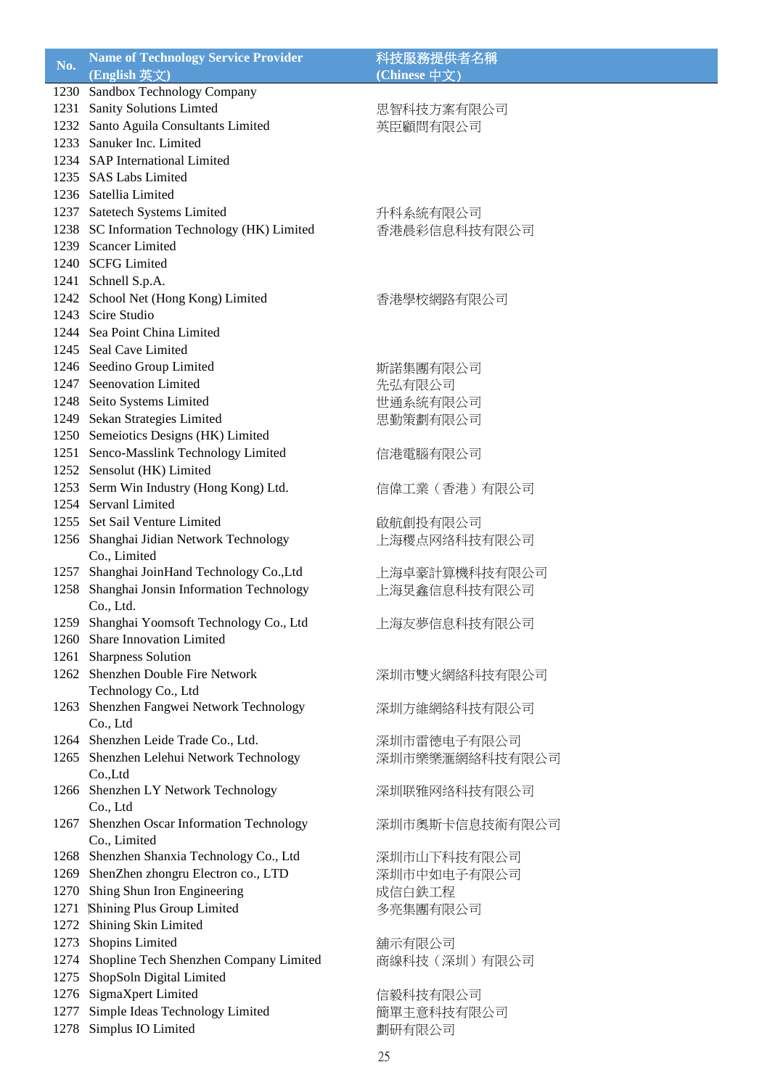| No.  | <b>Name of Technology Service Provider</b>  | 科技服務提供者名稱      |
|------|---------------------------------------------|----------------|
|      | (English 英文)                                | (Chinese 中文)   |
|      | 1230 Sandbox Technology Company             |                |
|      | 1231 Sanity Solutions Limted                | 思智科技方案有限公司     |
|      | 1232 Santo Aguila Consultants Limited       | 英臣顧問有限公司       |
|      | 1233 Sanuker Inc. Limited                   |                |
|      | 1234 SAP International Limited              |                |
|      | 1235 SAS Labs Limited                       |                |
|      | 1236 Satellia Limited                       |                |
|      | 1237 Satetech Systems Limited               | 升科系統有限公司       |
|      | 1238 SC Information Technology (HK) Limited | 香港晨彩信息科技有限公司   |
|      | 1239 Scancer Limited                        |                |
|      | 1240 SCFG Limited                           |                |
|      | 1241 Schnell S.p.A.                         |                |
|      | 1242 School Net (Hong Kong) Limited         | 香港學校網路有限公司     |
|      | 1243 Scire Studio                           |                |
|      | 1244 Sea Point China Limited                |                |
|      | 1245 Seal Cave Limited                      |                |
|      | 1246 Seedino Group Limited                  |                |
|      | 1247 Seenovation Limited                    | 斯諾集團有限公司       |
|      |                                             | 先弘有限公司         |
|      | 1248 Seito Systems Limited                  | 世通系統有限公司       |
|      | 1249 Sekan Strategies Limited               | 思勤策劃有限公司       |
|      | 1250 Semeiotics Designs (HK) Limited        |                |
|      | 1251 Senco-Masslink Technology Limited      | 信港電腦有限公司       |
|      | 1252 Sensolut (HK) Limited                  |                |
|      | 1253 Serm Win Industry (Hong Kong) Ltd.     | 信偉工業 (香港) 有限公司 |
|      | 1254 Servanl Limited                        |                |
|      | 1255 Set Sail Venture Limited               | 啟航創投有限公司       |
|      | 1256 Shanghai Jidian Network Technology     | 上海稷点网络科技有限公司   |
|      | Co., Limited                                |                |
|      | 1257 Shanghai JoinHand Technology Co., Ltd  | 上海卓豪計算機科技有限公司  |
| 1258 | Shanghai Jonsin Information Technology      | 上海炅鑫信息科技有限公司   |
|      | Co., Ltd.                                   |                |
| 1259 | Shanghai Yoomsoft Technology Co., Ltd       | 上海友夢信息科技有限公司   |
|      | 1260 Share Innovation Limited               |                |
|      | 1261 Sharpness Solution                     |                |
|      | 1262 Shenzhen Double Fire Network           | 深圳市雙火網絡科技有限公司  |
|      | Technology Co., Ltd                         |                |
| 1263 | Shenzhen Fangwei Network Technology         | 深圳方維網絡科技有限公司   |
|      | Co., Ltd                                    |                |
|      | 1264 Shenzhen Leide Trade Co., Ltd.         | 深圳市雷德电子有限公司    |
|      | 1265 Shenzhen Lelehui Network Technology    | 深圳市樂樂滙網絡科技有限公司 |
|      | Co.,Ltd                                     |                |
|      | 1266 Shenzhen LY Network Technology         | 深圳联雅网络科技有限公司   |
|      | Co., Ltd                                    |                |
|      | 1267 Shenzhen Oscar Information Technology  | 深圳市奥斯卡信息技術有限公司 |
|      | Co., Limited                                |                |
|      | 1268 Shenzhen Shanxia Technology Co., Ltd   | 深圳市山下科技有限公司    |
|      | 1269 ShenZhen zhongru Electron co., LTD     | 深圳市中如电子有限公司    |
|      | 1270 Shing Shun Iron Engineering            | 成信白鉄工程         |
|      | 1271 Shining Plus Group Limited             | 多亮集團有限公司       |
|      | 1272 Shining Skin Limited                   |                |
|      | 1273 Shopins Limited                        | 舖示有限公司         |
|      | 1274 Shopline Tech Shenzhen Company Limited | 商線科技(深圳)有限公司   |
| 1275 | ShopSoln Digital Limited                    |                |
| 1276 | SigmaXpert Limited                          | 信毅科技有限公司       |
| 1277 | Simple Ideas Technology Limited             | 簡單主意科技有限公司     |
|      | 1278 Simplus IO Limited                     | 劃研有限公司         |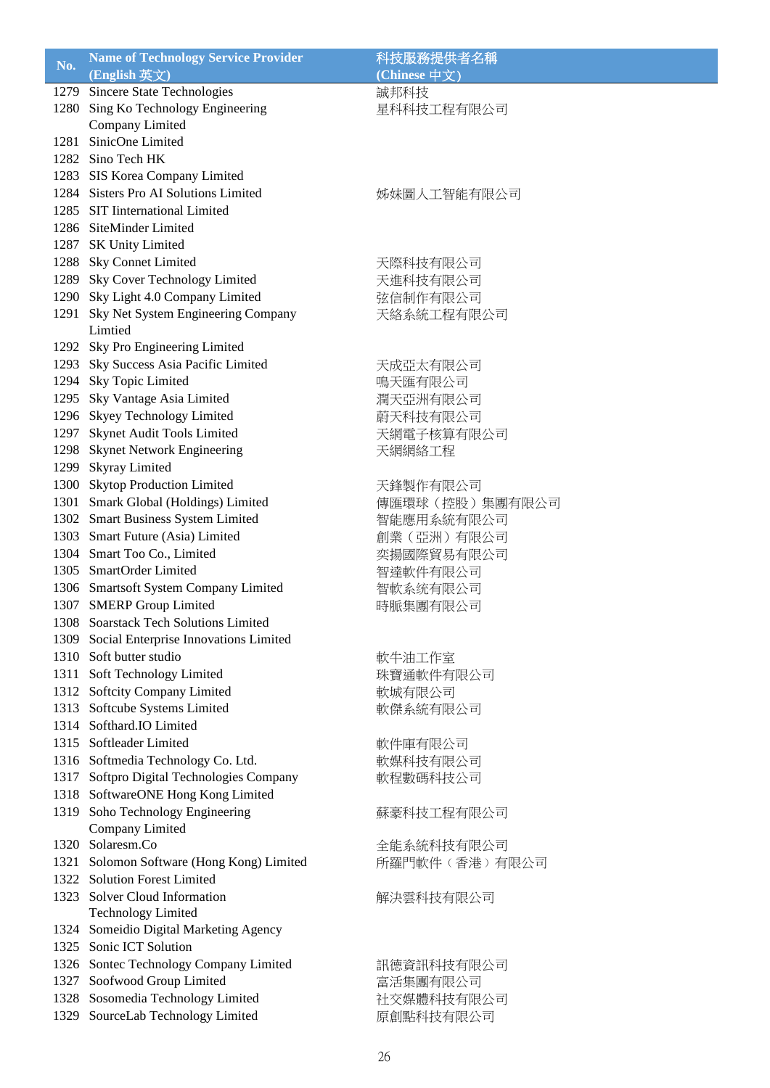| No.  | <b>Name of Technology Service Provider</b> | 科技服務提供者名稱      |
|------|--------------------------------------------|----------------|
|      | (English 英文)                               | (Chinese 中文)   |
| 1279 | Sincere State Technologies                 | 誠邦科技           |
| 1280 | Sing Ko Technology Engineering             | 星科科技工程有限公司     |
|      | Company Limited                            |                |
| 1281 | SinicOne Limited                           |                |
|      | 1282 Sino Tech HK                          |                |
|      | 1283 SIS Korea Company Limited             |                |
|      | 1284 Sisters Pro AI Solutions Limited      |                |
|      | 1285 SIT International Limited             | 姊妹圖人工智能有限公司    |
|      |                                            |                |
|      | 1286 SiteMinder Limited                    |                |
|      | 1287 SK Unity Limited                      |                |
|      | 1288 Sky Connet Limited                    | 天際科技有限公司       |
|      | 1289 Sky Cover Technology Limited          | 天進科技有限公司       |
|      | 1290 Sky Light 4.0 Company Limited         | 弦信制作有限公司       |
|      | 1291 Sky Net System Engineering Company    | 天絡系統工程有限公司     |
|      | Limtied                                    |                |
|      | 1292 Sky Pro Engineering Limited           |                |
|      | 1293 Sky Success Asia Pacific Limited      | 天成亞太有限公司       |
| 1294 | Sky Topic Limited                          | 鳴天匯有限公司        |
|      | 1295 Sky Vantage Asia Limited              | 潤天亞洲有限公司       |
|      | 1296 Skyey Technology Limited              | 蔚天科技有限公司       |
|      | 1297 Skynet Audit Tools Limited            | 天網電子核算有限公司     |
|      | 1298 Skynet Network Engineering            | 天網網絡工程         |
|      | 1299 Skyray Limited                        |                |
|      | 1300 Skytop Production Limited             | 天鋒製作有限公司       |
|      | 1301 Smark Global (Holdings) Limited       | 傳匯環球(控股)集團有限公司 |
|      | 1302 Smart Business System Limited         | 智能應用系統有限公司     |
|      | 1303 Smart Future (Asia) Limited           | 創業 (亞洲) 有限公司   |
|      | 1304 Smart Too Co., Limited                |                |
|      | 1305 SmartOrder Limited                    | 奕揚國際貿易有限公司     |
|      |                                            | 智達軟件有限公司       |
|      | 1306 Smartsoft System Company Limited      | 智軟系统有限公司       |
|      | 1307 SMERP Group Limited                   | 時脈集團有限公司       |
|      | 1308 Soarstack Tech Solutions Limited      |                |
| 1309 | Social Enterprise Innovations Limited      |                |
|      | 1310 Soft butter studio                    | 軟牛油工作室         |
|      | 1311 Soft Technology Limited               | 珠寶通軟件有限公司      |
|      | 1312 Softcity Company Limited              | 軟城有限公司         |
|      | 1313 Softcube Systems Limited              | 軟傑系統有限公司       |
|      | 1314 Softhard.IO Limited                   |                |
|      | 1315 Softleader Limited                    | 軟件庫有限公司        |
|      | 1316 Softmedia Technology Co. Ltd.         | 軟媒科技有限公司       |
|      | 1317 Softpro Digital Technologies Company  | 軟程數碼科技公司       |
|      | 1318 SoftwareONE Hong Kong Limited         |                |
|      | 1319 Soho Technology Engineering           | 蘇豪科技工程有限公司     |
|      | Company Limited                            |                |
|      | 1320 Solaresm.Co                           | 全能系統科技有限公司     |
|      | 1321 Solomon Software (Hong Kong) Limited  | 所羅門軟件(香港)有限公司  |
|      | 1322 Solution Forest Limited               |                |
|      | 1323 Solver Cloud Information              |                |
|      | <b>Technology Limited</b>                  | 解決雲科技有限公司      |
|      |                                            |                |
|      | 1324 Someidio Digital Marketing Agency     |                |
|      | 1325 Sonic ICT Solution                    |                |
|      | 1326 Sontec Technology Company Limited     | 訊德資訊科技有限公司     |
|      | 1327 Soofwood Group Limited                | 富活集團有限公司       |
|      | 1328 Sosomedia Technology Limited          | 社交媒體科技有限公司     |
|      | 1329 SourceLab Technology Limited          | 原創點科技有限公司      |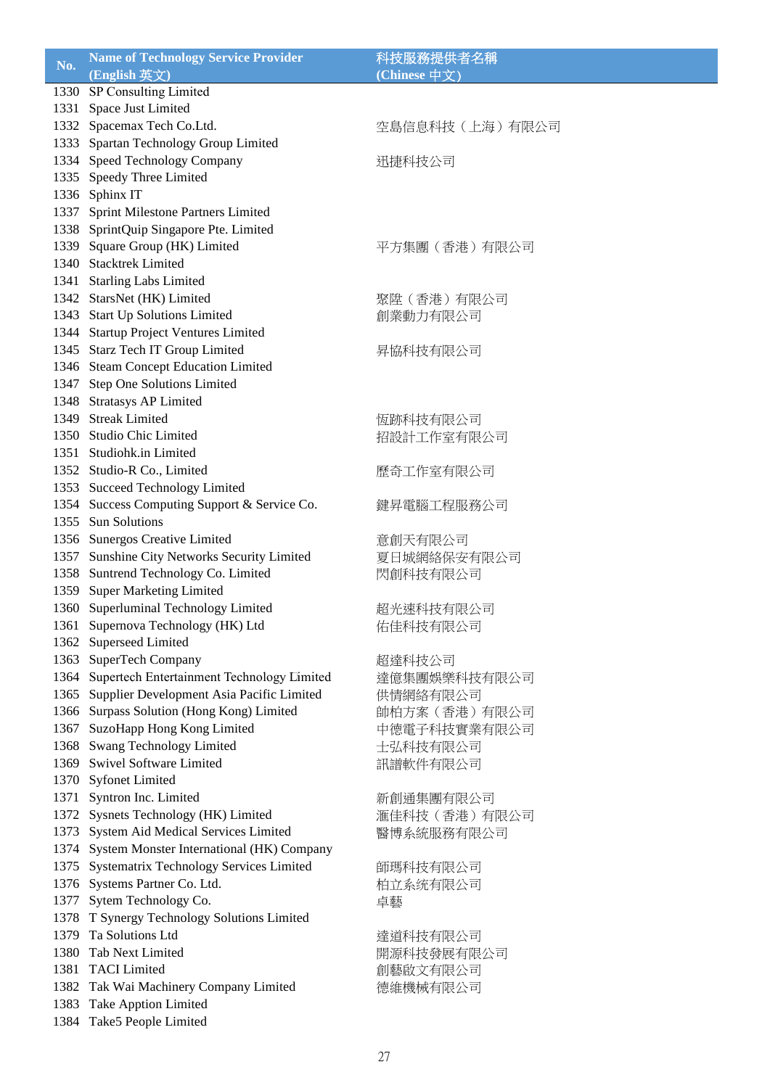| No.  | <b>Name of Technology Service Provider</b>                         | 科技服務提供者名稱      |
|------|--------------------------------------------------------------------|----------------|
|      | (English 英文)                                                       | (Chinese 中文)   |
| 1330 | SP Consulting Limited                                              |                |
|      | 1331 Space Just Limited                                            |                |
|      | 1332 Spacemax Tech Co.Ltd.                                         | 空島信息科技(上海)有限公司 |
|      | 1333 Spartan Technology Group Limited                              |                |
|      | 1334 Speed Technology Company                                      | 迅捷科技公司         |
|      | 1335 Speedy Three Limited                                          |                |
|      |                                                                    |                |
|      | 1336 Sphinx IT                                                     |                |
| 1337 | Sprint Milestone Partners Limited                                  |                |
|      | 1338 SprintQuip Singapore Pte. Limited                             |                |
|      | 1339 Square Group (HK) Limited                                     | 平方集團 (香港) 有限公司 |
|      | 1340 Stacktrek Limited                                             |                |
|      | 1341 Starling Labs Limited                                         |                |
|      | 1342 StarsNet (HK) Limited                                         | 聚陞 (香港) 有限公司   |
|      | 1343 Start Up Solutions Limited                                    | 創業動力有限公司       |
|      | 1344 Startup Project Ventures Limited                              |                |
|      | 1345 Starz Tech IT Group Limited                                   | 昇協科技有限公司       |
|      | 1346 Steam Concept Education Limited                               |                |
|      | 1347 Step One Solutions Limited                                    |                |
|      | 1348 Stratasys AP Limited                                          |                |
|      | 1349 Streak Limited                                                | 恆跡科技有限公司       |
|      | 1350 Studio Chic Limited                                           | 招設計工作室有限公司     |
|      | 1351 Studiohk.in Limited                                           |                |
|      | 1352 Studio-R Co., Limited                                         |                |
|      | 1353 Succeed Technology Limited                                    | 歷奇工作室有限公司      |
|      |                                                                    |                |
|      | 1354 Success Computing Support & Service Co.<br>1355 Sun Solutions | 鍵昇電腦工程服務公司     |
|      |                                                                    |                |
|      | 1356 Sunergos Creative Limited                                     | 意創天有限公司        |
|      | 1357 Sunshine City Networks Security Limited                       | 夏日城網絡保安有限公司    |
|      | 1358 Suntrend Technology Co. Limited                               | 閃創科技有限公司       |
|      | 1359 Super Marketing Limited                                       |                |
|      | 1360 Superluminal Technology Limited                               | 超光速科技有限公司      |
| 1361 | Supernova Technology (HK) Ltd                                      | 佑佳科技有限公司       |
|      | 1362 Superseed Limited                                             |                |
|      | 1363 SuperTech Company                                             | 超達科技公司         |
| 1364 | Supertech Entertainment Technology Limited                         | 達億集團娛樂科技有限公司   |
|      | 1365 Supplier Development Asia Pacific Limited                     | 供情網絡有限公司       |
|      | 1366 Surpass Solution (Hong Kong) Limited                          | 帥柏方案 (香港) 有限公司 |
|      | 1367 SuzoHapp Hong Kong Limited                                    | 中德電子科技實業有限公司   |
| 1368 | Swang Technology Limited                                           | 士弘科技有限公司       |
|      | 1369 Swivel Software Limited                                       | 訊譜軟件有限公司       |
|      | 1370 Syfonet Limited                                               |                |
|      | 1371 Syntron Inc. Limited                                          | 新創通集團有限公司      |
|      | 1372 Sysnets Technology (HK) Limited                               | 滙佳科技 (香港) 有限公司 |
|      | 1373 System Aid Medical Services Limited                           | 醫博系統服務有限公司     |
|      | 1374 System Monster International (HK) Company                     |                |
|      |                                                                    |                |
| 1375 | Systematrix Technology Services Limited                            | 師瑪科技有限公司       |
|      | 1376 Systems Partner Co. Ltd.                                      | 柏立系统有限公司       |
| 1377 | Sytem Technology Co.                                               | 卓藝             |
|      | 1378 T Synergy Technology Solutions Limited                        |                |
|      | 1379 Ta Solutions Ltd                                              | 達道科技有限公司       |
|      | 1380 Tab Next Limited                                              | 開源科技發展有限公司     |
|      | 1381 TACI Limited                                                  | 創藝啟文有限公司       |
|      | 1382 Tak Wai Machinery Company Limited                             | 德維機械有限公司       |
|      | 1383 Take Apption Limited                                          |                |
| 1384 | Take5 People Limited                                               |                |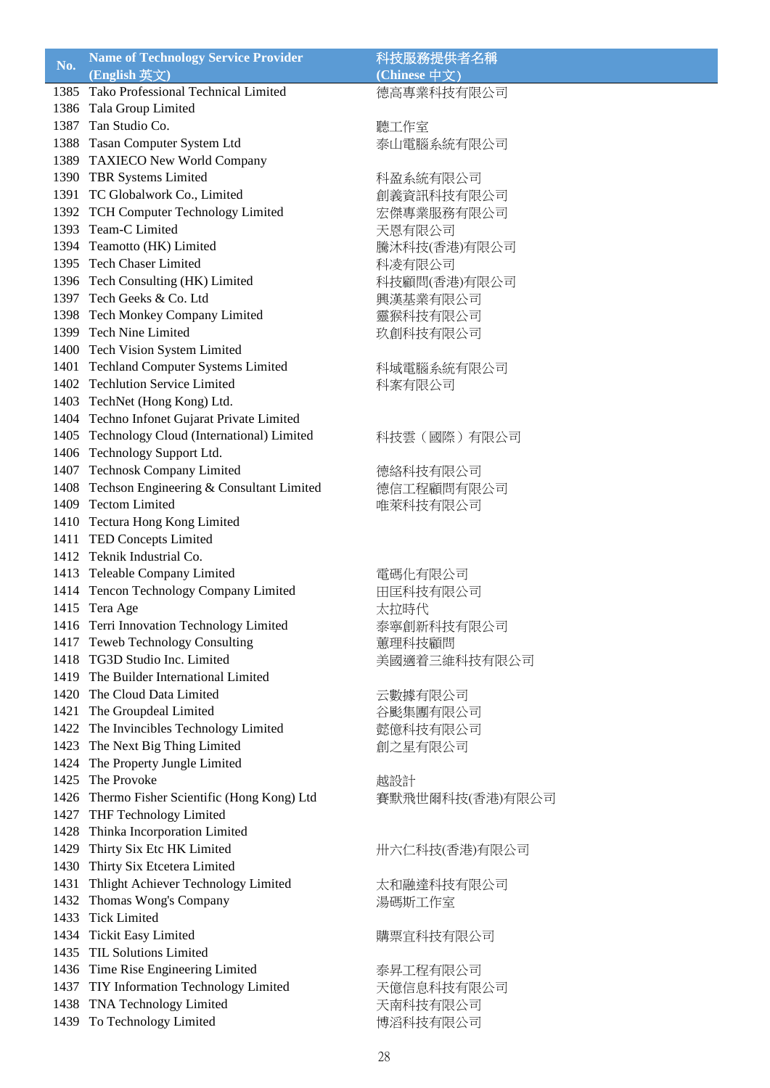| No.  | <b>Name of Technology Service Provider</b>                              | 科技服務提供者名稱            |
|------|-------------------------------------------------------------------------|----------------------|
|      | (English 英文)                                                            | (Chinese 中文)         |
|      | 1385 Tako Professional Technical Limited                                | 德高專業科技有限公司           |
|      | 1386 Tala Group Limited                                                 |                      |
|      | 1387 Tan Studio Co.                                                     | 聽工作室                 |
|      | 1388 Tasan Computer System Ltd                                          | 泰山電腦系統有限公司           |
|      | 1389 TAXIECO New World Company                                          |                      |
|      | 1390 TBR Systems Limited                                                | 科盈系統有限公司             |
|      | 1391 TC Globalwork Co., Limited                                         | 創義資訊科技有限公司           |
|      | 1392 TCH Computer Technology Limited                                    | 宏傑專業服務有限公司           |
|      | 1393 Team-C Limited                                                     | 天恩有限公司               |
|      | 1394 Teamotto (HK) Limited                                              | 騰沐科技(香港)有限公司         |
|      | 1395 Tech Chaser Limited                                                | 科凌有限公司               |
|      | 1396 Tech Consulting (HK) Limited                                       | 科技顧問(香港)有限公司         |
|      | 1397 Tech Geeks & Co. Ltd                                               | 興漢基業有限公司             |
|      | 1398 Tech Monkey Company Limited                                        | 靈猴科技有限公司             |
|      | 1399 Tech Nine Limited                                                  | 玖創科技有限公司             |
|      | 1400 Tech Vision System Limited                                         |                      |
|      | 1401 Techland Computer Systems Limited                                  | 科域電腦系統有限公司           |
|      | 1402 Techlution Service Limited                                         | 科案有限公司               |
|      | 1403 TechNet (Hong Kong) Ltd.                                           |                      |
|      | 1404 Techno Infonet Gujarat Private Limited                             |                      |
|      | 1405 Technology Cloud (International) Limited                           | 科技雲 (國際) 有限公司        |
|      | 1406 Technology Support Ltd.                                            |                      |
|      | 1407 Technosk Company Limited                                           | 德絡科技有限公司             |
|      | 1408 Techson Engineering & Consultant Limited                           | 德信工程顧問有限公司           |
| 1409 | <b>Tectom Limited</b>                                                   | 唯萊科技有限公司             |
|      | 1410 Tectura Hong Kong Limited                                          |                      |
|      | 1411 TED Concepts Limited                                               |                      |
|      | 1412 Teknik Industrial Co.                                              |                      |
|      | 1413 Teleable Company Limited                                           | 電碼化有限公司              |
|      | 1414 Tencon Technology Company Limited                                  | 田匡科技有限公司             |
|      | 1415 Tera Age                                                           | 太拉時代                 |
| 1416 | Terri Innovation Technology Limited                                     |                      |
|      | 1417 Teweb Technology Consulting                                        | 泰寧創新科技有限公司<br>蕙理科技顧問 |
|      | 1418 TG3D Studio Inc. Limited                                           | 美國適着三維科技有限公司         |
|      | 1419 The Builder International Limited                                  |                      |
|      | 1420 The Cloud Data Limited                                             |                      |
|      | 1421 The Groupdeal Limited                                              | 云數據有限公司              |
|      | 1422 The Invincibles Technology Limited                                 | 谷颩集團有限公司<br>懿億科技有限公司 |
|      | 1423 The Next Big Thing Limited                                         | 創之星有限公司              |
|      | 1424 The Property Jungle Limited                                        |                      |
|      | 1425 The Provoke                                                        | 越設計                  |
|      | 1426 Thermo Fisher Scientific (Hong Kong) Ltd                           | 賽默飛世爾科技(香港)有限公司      |
|      | 1427 THF Technology Limited                                             |                      |
|      | 1428 Thinka Incorporation Limited                                       |                      |
|      | 1429 Thirty Six Etc HK Limited                                          |                      |
|      |                                                                         | 卅六仁科技(香港)有限公司        |
| 1431 | 1430 Thirty Six Etcetera Limited<br>Thlight Achiever Technology Limited |                      |
|      |                                                                         | 太和融達科技有限公司           |
| 1432 | Thomas Wong's Company<br><b>Tick Limited</b>                            | 湯碼斯工作室               |
| 1433 |                                                                         |                      |
|      | 1434 Tickit Easy Limited<br>1435 TIL Solutions Limited                  | 購票宜科技有限公司            |
|      |                                                                         |                      |
|      | 1436 Time Rise Engineering Limited                                      | 泰昇工程有限公司             |
|      | 1437 TIY Information Technology Limited                                 | 天億信息科技有限公司           |
|      | 1438 TNA Technology Limited                                             | 天南科技有限公司             |
| 1439 | To Technology Limited                                                   | 博滔科技有限公司             |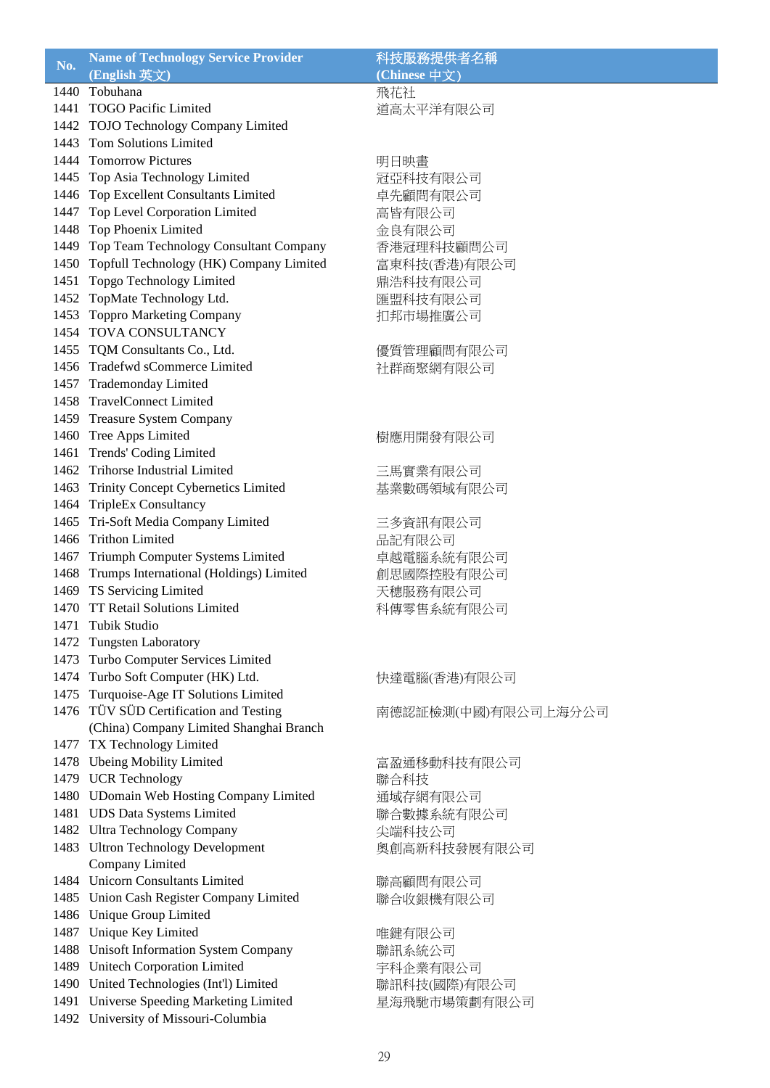| No.  | <b>Name of Technology Service Provider</b>   | 科技服務提供者名稱           |
|------|----------------------------------------------|---------------------|
|      | (English 英文)                                 | (Chinese 中文)        |
|      | 1440 Tobuhana                                | 飛花社                 |
|      | 1441 TOGO Pacific Limited                    | 道高太平洋有限公司           |
|      | 1442 TOJO Technology Company Limited         |                     |
|      | 1443 Tom Solutions Limited                   |                     |
|      | 1444 Tomorrow Pictures                       | 明日映畫                |
|      | 1445 Top Asia Technology Limited             |                     |
|      |                                              | 冠亞科技有限公司            |
|      | 1446 Top Excellent Consultants Limited       | 卓先顧問有限公司            |
|      | 1447 Top Level Corporation Limited           | 高皆有限公司              |
|      | 1448 Top Phoenix Limited                     | 金良有限公司              |
|      | 1449 Top Team Technology Consultant Company  | 香港冠理科技顧問公司          |
|      | 1450 Topfull Technology (HK) Company Limited | 富東科技(香港)有限公司        |
|      | 1451 Topgo Technology Limited                | 鼎浩科技有限公司            |
|      | 1452 TopMate Technology Ltd.                 | 匯盟科技有限公司            |
|      | 1453 Toppro Marketing Company                | 扣邦市場推廣公司            |
|      | 1454 TOVA CONSULTANCY                        |                     |
|      | 1455 TQM Consultants Co., Ltd.               | 優質管理顧問有限公司          |
|      | 1456 Tradefwd sCommerce Limited              | 社群商聚網有限公司           |
|      | 1457 Trademonday Limited                     |                     |
|      | 1458 TravelConnect Limited                   |                     |
|      | 1459 Treasure System Company                 |                     |
|      | 1460 Tree Apps Limited                       | 樹應用開發有限公司           |
|      | 1461 Trends' Coding Limited                  |                     |
|      | 1462 Trihorse Industrial Limited             | 三馬實業有限公司            |
|      | 1463 Trinity Concept Cybernetics Limited     | 基業數碼領域有限公司          |
|      | 1464 TripleEx Consultancy                    |                     |
|      | 1465 Tri-Soft Media Company Limited          |                     |
|      | 1466 Trithon Limited                         | 三多資訊有限公司            |
|      |                                              | 品記有限公司              |
|      | 1467 Triumph Computer Systems Limited        | 卓越電腦系統有限公司          |
|      | 1468 Trumps International (Holdings) Limited | 創思國際控股有限公司          |
|      | 1469 TS Servicing Limited                    | 天穗服務有限公司            |
|      | 1470 TT Retail Solutions Limited             | 科傳零售系統有限公司          |
| 1471 | Tubik Studio                                 |                     |
|      | 1472 Tungsten Laboratory                     |                     |
| 1473 | Turbo Computer Services Limited              |                     |
|      | 1474 Turbo Soft Computer (HK) Ltd.           | 快達電腦(香港)有限公司        |
|      | 1475 Turquoise-Age IT Solutions Limited      |                     |
|      | 1476 TÜV SÜD Certification and Testing       | 南德認証檢測(中國)有限公司上海分公司 |
|      | (China) Company Limited Shanghai Branch      |                     |
|      | 1477 TX Technology Limited                   |                     |
| 1478 | <b>Ubeing Mobility Limited</b>               | 富盈通移動科技有限公司         |
|      | 1479 UCR Technology                          | 聯合科技                |
|      | 1480 UDomain Web Hosting Company Limited     | 通域存網有限公司            |
|      | 1481 UDS Data Systems Limited                | 聯合數據系統有限公司          |
|      | 1482 Ultra Technology Company                | 尖端科技公司              |
|      | 1483 Ultron Technology Development           | 奧創高新科技發展有限公司        |
|      | Company Limited                              |                     |
|      | 1484 Unicorn Consultants Limited             | 聯高顧問有限公司            |
|      | 1485 Union Cash Register Company Limited     | 聯合收銀機有限公司           |
|      | 1486 Unique Group Limited                    |                     |
|      | 1487 Unique Key Limited                      | 唯鍵有限公司              |
|      | 1488 Unisoft Information System Company      | 聯訊系統公司              |
|      | 1489 Unitech Corporation Limited             | 宇科企業有限公司            |
|      | 1490 United Technologies (Int'l) Limited     | 聯訊科技(國際)有限公司        |
|      | 1491 Universe Speeding Marketing Limited     | 星海飛馳市場策劃有限公司        |
|      | 1492 University of Missouri-Columbia         |                     |
|      |                                              |                     |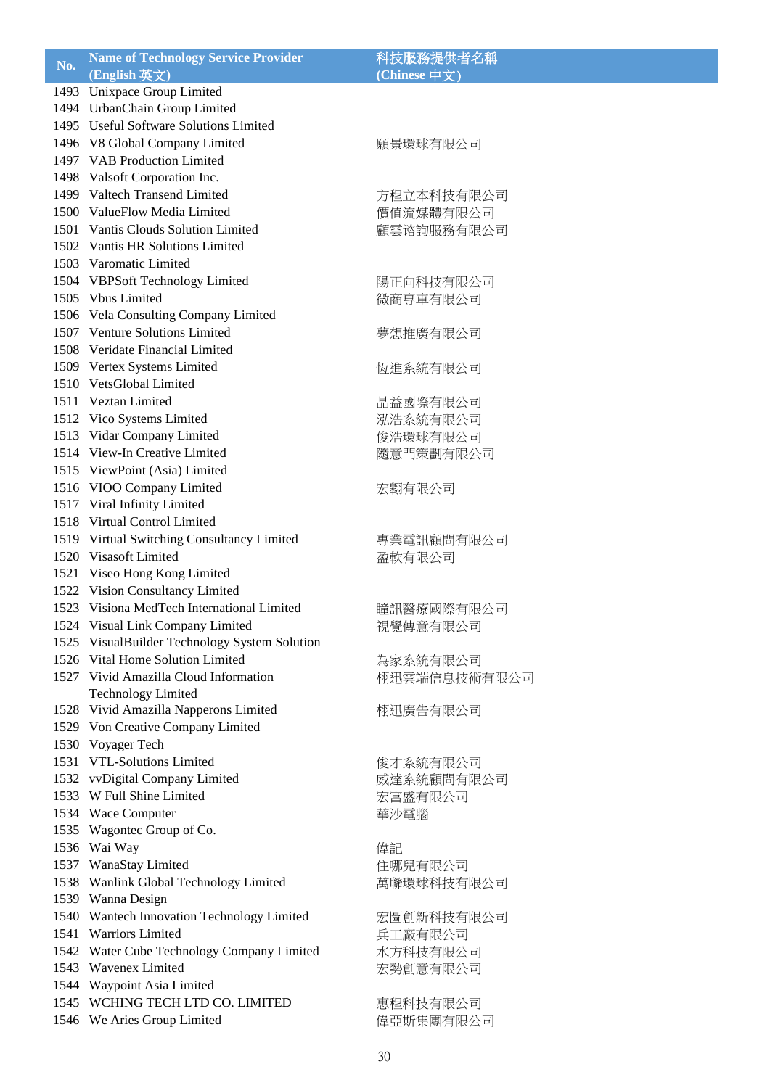|     | <b>Name of Technology Service Provider</b>    | 科技服務提供者名稱    |
|-----|-----------------------------------------------|--------------|
| No. | (English 英文)                                  | (Chinese 中文) |
|     | 1493 Unixpace Group Limited                   |              |
|     | 1494 UrbanChain Group Limited                 |              |
|     | 1495 Useful Software Solutions Limited        |              |
|     | 1496 V8 Global Company Limited                | 願景環球有限公司     |
|     | 1497 VAB Production Limited                   |              |
|     | 1498 Valsoft Corporation Inc.                 |              |
|     | 1499 Valtech Transend Limited                 | 方程立本科技有限公司   |
|     | 1500 ValueFlow Media Limited                  | 價值流媒體有限公司    |
|     | 1501 Vantis Clouds Solution Limited           | 顧雲谘詢服務有限公司   |
|     | 1502 Vantis HR Solutions Limited              |              |
|     | 1503 Varomatic Limited                        |              |
|     | 1504 VBPSoft Technology Limited               | 陽正向科技有限公司    |
|     | 1505 Vbus Limited                             | 微商專車有限公司     |
|     | 1506 Vela Consulting Company Limited          |              |
|     | 1507 Venture Solutions Limited                | 夢想推廣有限公司     |
|     | 1508 Veridate Financial Limited               |              |
|     | 1509 Vertex Systems Limited                   | 恆進系統有限公司     |
|     | 1510 VetsGlobal Limited                       |              |
|     | 1511 Veztan Limited                           | 晶益國際有限公司     |
|     | 1512 Vico Systems Limited                     | 泓浩系統有限公司     |
|     | 1513 Vidar Company Limited                    | 俊浩環球有限公司     |
|     | 1514 View-In Creative Limited                 | 隨意門策劃有限公司    |
|     | 1515 ViewPoint (Asia) Limited                 |              |
|     | 1516 VIOO Company Limited                     | 宏翱有限公司       |
|     | 1517 Viral Infinity Limited                   |              |
|     | 1518 Virtual Control Limited                  |              |
|     | 1519 Virtual Switching Consultancy Limited    | 專業電訊顧問有限公司   |
|     | 1520 Visasoft Limited                         | 盈軟有限公司       |
|     | 1521 Viseo Hong Kong Limited                  |              |
|     | 1522 Vision Consultancy Limited               |              |
|     | 1523 Visiona MedTech International Limited    | 瞳訊醫療國際有限公司   |
|     | 1524 Visual Link Company Limited              | 視覺傳意有限公司     |
|     | 1525 VisualBuilder Technology System Solution |              |
|     | 1526 Vital Home Solution Limited              | 為家系統有限公司     |
|     | 1527 Vivid Amazilla Cloud Information         | 栩迅雲端信息技術有限公司 |
|     | <b>Technology Limited</b>                     |              |
|     | 1528 Vivid Amazilla Napperons Limited         | 栩迅廣告有限公司     |
|     | 1529 Von Creative Company Limited             |              |
|     | 1530 Voyager Tech                             |              |
|     | 1531 VTL-Solutions Limited                    | 俊才系統有限公司     |
|     | 1532 vvDigital Company Limited                | 威達系統顧問有限公司   |
|     | 1533 W Full Shine Limited                     | 宏富盛有限公司      |
|     | 1534 Wace Computer                            | 華沙電腦         |
|     | 1535 Wagontec Group of Co.                    |              |
|     | 1536 Wai Way                                  | 偉記           |
|     | 1537 WanaStay Limited                         | 住哪兒有限公司      |
|     | 1538 Wanlink Global Technology Limited        | 萬聯環球科技有限公司   |
|     | 1539 Wanna Design                             |              |
|     | 1540 Wantech Innovation Technology Limited    | 宏圖創新科技有限公司   |
|     | 1541 Warriors Limited                         | 兵工廠有限公司      |
|     | 1542 Water Cube Technology Company Limited    | 水方科技有限公司     |
|     | 1543 Wavenex Limited                          | 宏勢創意有限公司     |
|     | 1544 Waypoint Asia Limited                    |              |
|     | 1545 WCHING TECH LTD CO. LIMITED              | 惠程科技有限公司     |
|     | 1546 We Aries Group Limited                   | 偉亞斯集團有限公司    |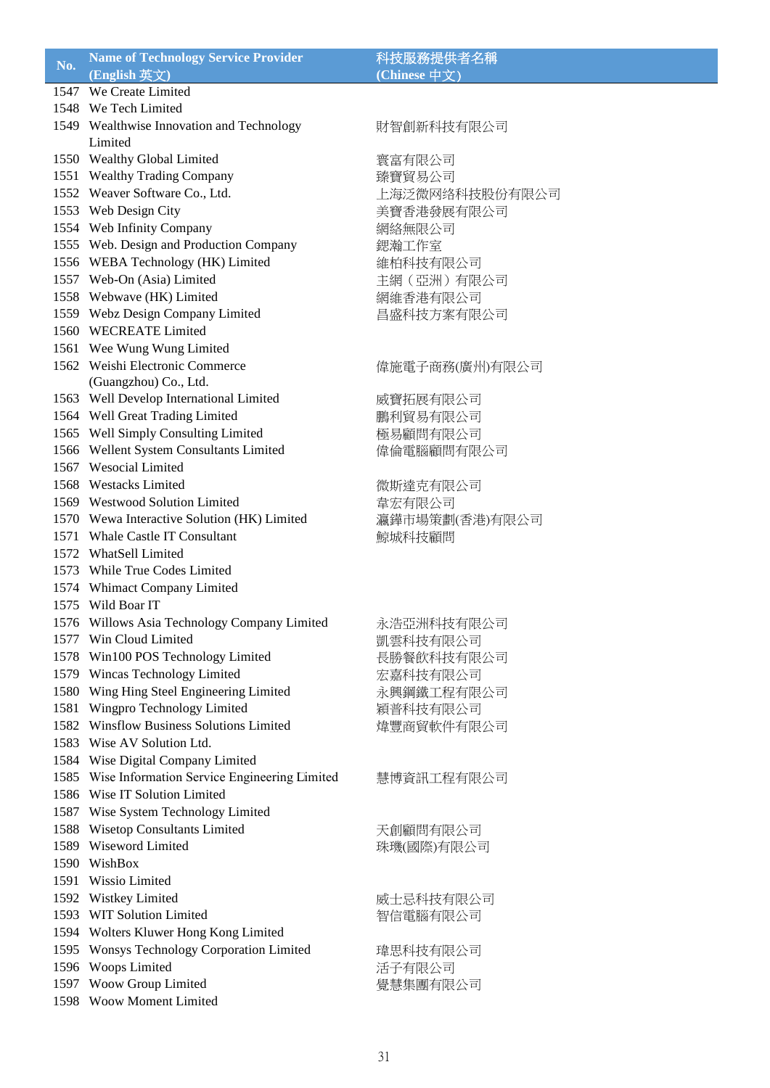## **Name of Technology Service Provider** 科技服務提供者名稱 **(English 英文) (English 英文) (English 英**文) **(English 英**文) 1547 We Create Limited 1548 We Tech Limited 1549 Wealthwise Innovation and Technology Limited 1550 Wealthy Global Limited 实富有限公司 1551 Wealthy Trading Company 臻寶貿易公司 1552 Weaver Software Co., Ltd. 上海泛微网络科技股份有限公司 1553 Web Design City The Content of the Second 美寶香港發展有限公司 1554 Web Infinity Company 網絡無限公司

- 1555 Web. Design and Production Company <br> 鍶瀚工作室
- 1556 WEBA Technology (HK) Limited 維柏科技有限公司
- 1557 Web-On (Asia) Limited 主網 (亞洲) 有限公司
- 1558 Webwave (HK) Limited 网络香港有限公司
- 1559 Webz Design Company Limited 昌盛科技方案有限公司
- 1560 WECREATE Limited
- 1561 Wee Wung Wung Limited
- 1562 Weishi Electronic Commerce
- (Guangzhou) Co., Ltd.
- 
- 
- 
- 1566 Wellent System Consultants Limited <br>
信倫電腦顧問有限公司
- 1567 Wesocial Limited
- 1568 Westacks Limited 微斯達克有限公司
- 1569 Westwood Solution Limited **The Table of Table 1569 Westwood Solution Limited**
- 1570 Wewa Interactive Solution (HK) Limited 瀛鏵市場策劃(香港)有限公司
- 1571 Whale Castle IT Consultant またのは ちょうちょう ちょうしょう みんちょう はんしょう
- 1572 WhatSell Limited
- 1573 While True Codes Limited
- 1574 Whimact Company Limited
- 1575 Wild Boar IT
- 1576 Willows Asia Technology Company Limited 永浩亞洲科技有限公司
- 1577 Win Cloud Limited **No. 2006** 凯雲科技有限公司
- 1578 Win100 POS Technology Limited 長勝餐飲科技有限公司
- 1579 Wincas Technology Limited 宋嘉科技有限公司
- 1580 Wing Hing Steel Engineering Limited <br>
永興鋼鐵工程有限公司
- 1581 Wingpro Technology Limited 穎普科技有限公司
- 1582 Winsflow Business Solutions Limited **the Conventional Conventional Designation**
- 1583 Wise AV Solution Ltd.
- 1584 Wise Digital Company Limited
- 1585 Wise Information Service Engineering Limited
- 1586 Wise IT Solution Limited
- 1587 Wise System Technology Limited
- 1588 Wisetop Consultants Limited 天創顧問有限公司
- 1589 Wiseword Limited <br>
<sub>珠璣(國際)有限公司</sub>
- 1590 WishBox
- 1591 Wissio Limited
- 
- 1593 WIT Solution Limited <br>
<sub>智信電腦有限公司</sub>
- 1594 Wolters Kluwer Hong Kong Limited
- 1595 Wonsys Technology Corporation Limited 瑋思科技有限公司
- 
- 1597 Woow Group Limited 覺慧集團有限公司
- 1598 Woow Moment Limited

# 財智創新科技有限公司

### 偉施電子商務(廣州)有限公司

- 1563 Well Develop International Limited **威寶拓展有限公司** 1564 Well Great Trading Limited **Book Book Book Book Book Book** 鵬利貿易有限公司 1565 Well Simply Consulting Limited **極易顧問有限公司** 
	-
- 慧博資訊工程有限公司 1592 Wistkey Limited 
<br>
united 
only in the Marketine Marketine and The Marketine Marketine and Marketine and Marketine and Marketine and Marketine and Marketine and Marketine and Marketine and Marketine and Marketine and
- 1596 Woops Limited 活子有限公司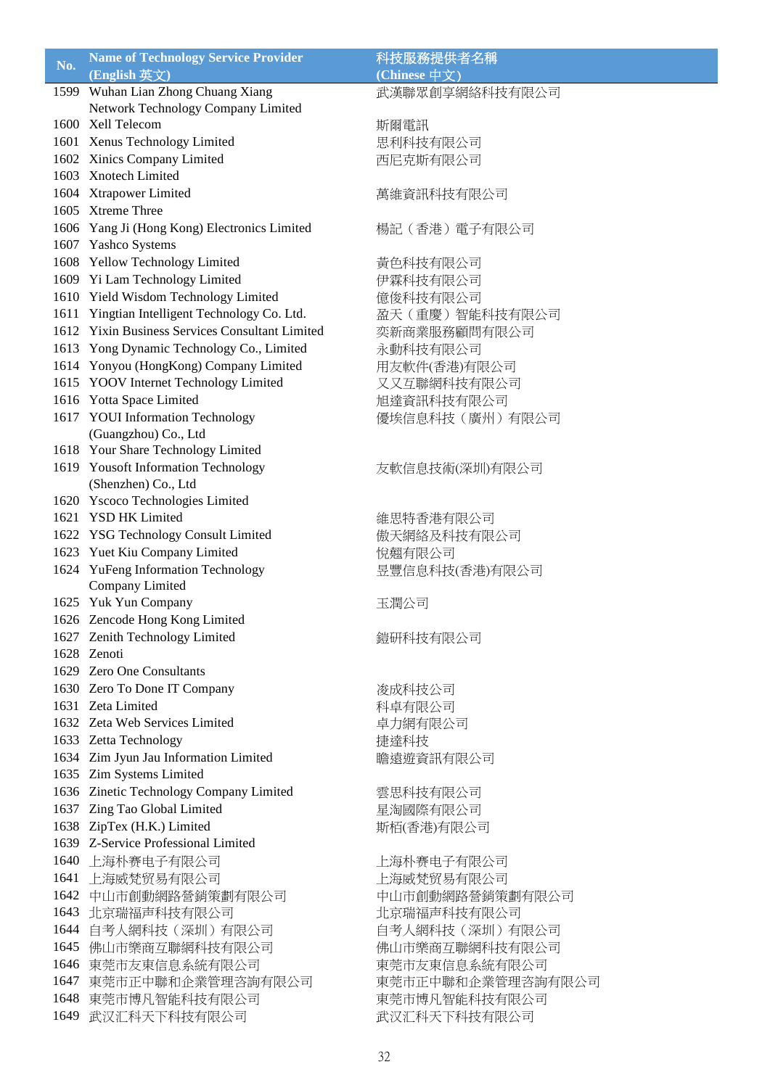|      | <b>Name of Technology Service Provider</b>                 | 科技服務提供者名稱         |
|------|------------------------------------------------------------|-------------------|
| No.  | (English 英文)                                               | (Chinese 中文)      |
|      | 1599 Wuhan Lian Zhong Chuang Xiang                         | 武漢聯眾創享網絡科技有限公司    |
|      | Network Technology Company Limited                         |                   |
|      | 1600 Xell Telecom                                          | 斯爾電訊              |
|      | 1601 Xenus Technology Limited                              | 思利科技有限公司          |
|      | 1602 Xinics Company Limited                                | 西尼克斯有限公司          |
|      | 1603 Xnotech Limited                                       |                   |
|      | 1604 Xtrapower Limited                                     | 萬維資訊科技有限公司        |
|      | 1605 Xtreme Three                                          |                   |
|      | 1606 Yang Ji (Hong Kong) Electronics Limited               | 楊記 (香港) 電子有限公司    |
|      | 1607 Yashco Systems                                        |                   |
|      | 1608 Yellow Technology Limited                             | 黃色科技有限公司          |
|      | 1609 Yi Lam Technology Limited                             | 伊霖科技有限公司          |
|      | 1610 Yield Wisdom Technology Limited                       | 億俊科技有限公司          |
|      | 1611 Yingtian Intelligent Technology Co. Ltd.              | 盈天 (重慶) 智能科技有限公司  |
|      | 1612 Yixin Business Services Consultant Limited            | 奕新商業服務顧問有限公司      |
|      | 1613 Yong Dynamic Technology Co., Limited                  |                   |
|      | 1614 Yonyou (HongKong) Company Limited                     | 永動科技有限公司          |
|      | 1615 YOOV Internet Technology Limited                      | 用友軟件(香港)有限公司      |
|      | 1616 Yotta Space Limited                                   | 又又互聯網科技有限公司       |
|      | 1617 YOUI Information Technology                           | 旭達資訊科技有限公司        |
|      |                                                            | 優埃信息科技(廣州)有限公司    |
|      | (Guangzhou) Co., Ltd<br>1618 Your Share Technology Limited |                   |
|      |                                                            |                   |
|      | 1619 Yousoft Information Technology                        | 友軟信息技術(深圳)有限公司    |
|      | (Shenzhen) Co., Ltd                                        |                   |
|      | 1620 Yscoco Technologies Limited<br>1621 YSD HK Limited    |                   |
|      |                                                            | 維思特香港有限公司         |
|      | 1622 YSG Technology Consult Limited                        | 傲天網絡及科技有限公司       |
|      | 1623 Yuet Kiu Company Limited                              | 悅翹有限公司            |
|      | 1624 YuFeng Information Technology                         | 昱豐信息科技(香港)有限公司    |
|      | Company Limited                                            |                   |
|      | 1625 Yuk Yun Company<br>1626 Zencode Hong Kong Limited     | 玉潤公司              |
|      |                                                            |                   |
|      | 1627 Zenith Technology Limited                             | 鎧研科技有限公司          |
|      | 1628 Zenoti<br>1629 Zero One Consultants                   |                   |
|      |                                                            |                   |
|      | 1630 Zero To Done IT Company                               | 浚成科技公司            |
|      | 1631 Zeta Limited                                          | 科卓有限公司            |
|      | 1632 Zeta Web Services Limited                             | 卓力網有限公司           |
|      | 1633 Zetta Technology                                      | 捷達科技              |
|      | 1634 Zim Jyun Jau Information Limited                      | 瞻遠遊資訊有限公司         |
|      | 1635 Zim Systems Limited                                   |                   |
|      | 1636 Zinetic Technology Company Limited                    | 雲思科技有限公司          |
|      | 1637 Zing Tao Global Limited                               | 星淘國際有限公司          |
|      | 1638 ZipTex (H.K.) Limited                                 | 斯栢(香港)有限公司        |
|      | 1639 Z-Service Professional Limited                        |                   |
|      | 1640 上海朴赛电子有限公司                                            | 上海朴赛电子有限公司        |
| 1641 | 上海威梵贸易有限公司                                                 | 上海威梵贸易有限公司        |
| 1642 | 中山市創動網路營銷策劃有限公司                                            | 中山市創動網路營銷策劃有限公司   |
| 1643 | 北京瑞福声科技有限公司                                                | 北京瑞福声科技有限公司       |
|      | 1644 自考人網科技 (深圳) 有限公司                                      | 自考人網科技(深圳)有限公司    |
|      | 1645 佛山市樂商互聯網科技有限公司                                        | 佛山市樂商互聯網科技有限公司    |
|      | 1646 東莞市友東信息系統有限公司                                         | 東莞市友東信息系統有限公司     |
| 1647 | 東莞市正中聯和企業管理咨詢有限公司                                          | 東莞市正中聯和企業管理咨詢有限公司 |
|      | 1648 東莞市博凡智能科技有限公司                                         | 東莞市博凡智能科技有限公司     |
| 1649 | 武汉汇科天下科技有限公司                                               | 武汉汇科天下科技有限公司      |